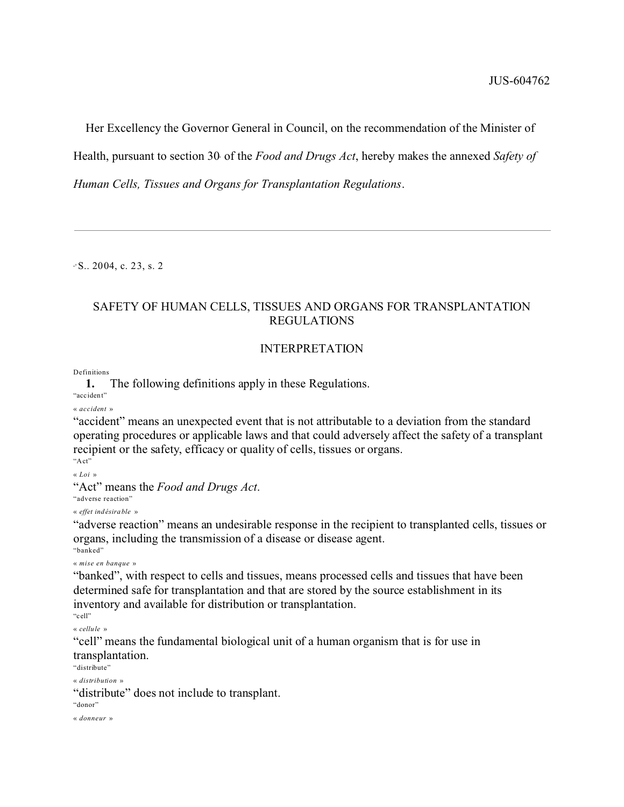Her Excellency the Governor General in Council, on the recommendation of the Minister of Health, pursuant to section 30 of the *Food and Drugs Act*, hereby makes the annexed *Safety of Human Cells, Tissues and Organs for Transplantation Regulations*.

<sup>a</sup>? S.. 2004, c. 23, s. 2

# SAFETY OF HUMAN CELLS, TISSUES AND ORGANS FOR TRANSPLANTATION REGULATIONS

# INTERPRETATION

Definitions

**1.** The following definitions apply in these Regulations.

"acc ident"

« *accident* »

"accident" means an unexpected event that is not attributable to a deviation from the standard operating procedures or applicable laws and that could adversely affect the safety of a transplant recipient or the safety, efficacy or quality of cells, tissues or organs. "Act"

« *Loi* »

"Act" means the *Food and Drugs Act*.

"adverse reaction" « *effet ind ésira ble* »

"adverse reaction" means an undesirable response in the recipient to transplanted cells, tissues or organs, including the transmission of a disease or disease agent.

"banked"

« *mise en banque* »

"banked", with respect to cells and tissues, means processed cells and tissues that have been determined safe for transplantation and that are stored by the source establishment in its inventory and available for distribution or transplantation.

"cell"

« *cellule* »

"cell" means the fundamental biological unit of a human organism that is for use in transplantation.

"distribute"

« *distribution* »

"distribute" does not include to transplant.

"donor"

« *donneur* »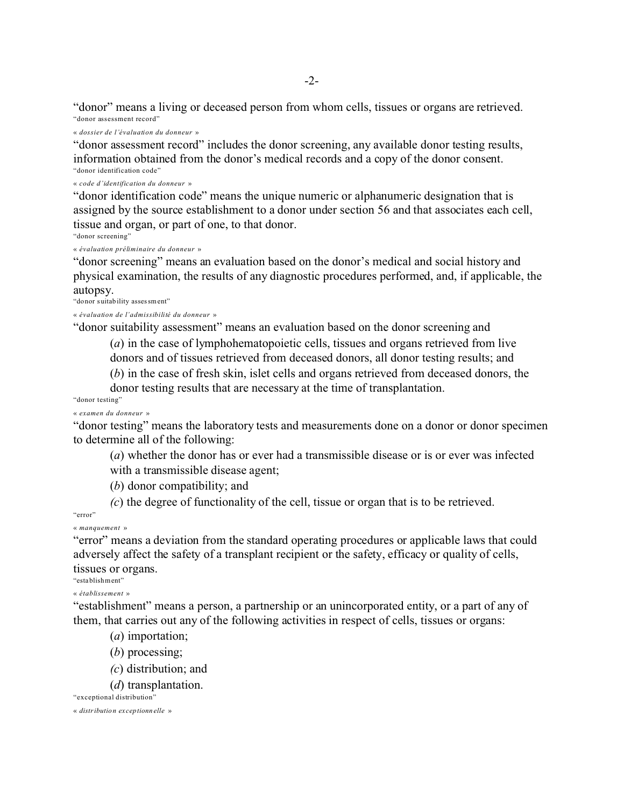"donor" means a living or deceased person from whom cells, tissues or organs are retrieved. "donor assessment record"

« *dossier de l'évaluation du donneur* »

"donor assessment record" includes the donor screening, any available donor testing results, information obtained from the donor's medical records and a copy of the donor consent. "donor identification code"

« *code d'identification du donneur* »

"donor identification code" means the unique numeric or alphanumeric designation that is assigned by the source establishment to a donor under section 56 and that associates each cell, tissue and organ, or part of one, to that donor.

"donor screening"

« *évaluation préliminaire du donneur* »

"donor screening" means an evaluation based on the donor's medical and social history and physical examination, the results of any diagnostic procedures performed, and, if applicable, the autopsy.

"donor suitability assessment"

« *évaluation de l'admissibilité du donneur* »

"donor suitability assessment" means an evaluation based on the donor screening and

(*a*) in the case of lymphohematopoietic cells, tissues and organs retrieved from live donors and of tissues retrieved from deceased donors, all donor testing results; and

(*b*) in the case of fresh skin, islet cells and organs retrieved from deceased donors, the

donor testing results that are necessary at the time of transplantation.

"donor testing"

« *examen du donneur* »

"donor testing" means the laboratory tests and measurements done on a donor or donor specimen to determine all of the following:

(*a*) whether the donor has or ever had a transmissible disease or is or ever was infected with a transmissible disease agent;

(*b*) donor compatibility; and

*(c*) the degree of functionality of the cell, tissue or organ that is to be retrieved.

"error"

« *manquement* »

"error" means a deviation from the standard operating procedures or applicable laws that could adversely affect the safety of a transplant recipient or the safety, efficacy or quality of cells, tissues or organs.

"establishment"

« *établissement* »

"establishment" means a person, a partnership or an unincorporated entity, or a part of any of them, that carries out any of the following activities in respect of cells, tissues or organs:

- (*a*) importation;
- (*b*) processing;
- *(c*) distribution; and
- (*d*) transplantation.

"exceptional distribution"

« *distribution ex ceptionn elle* »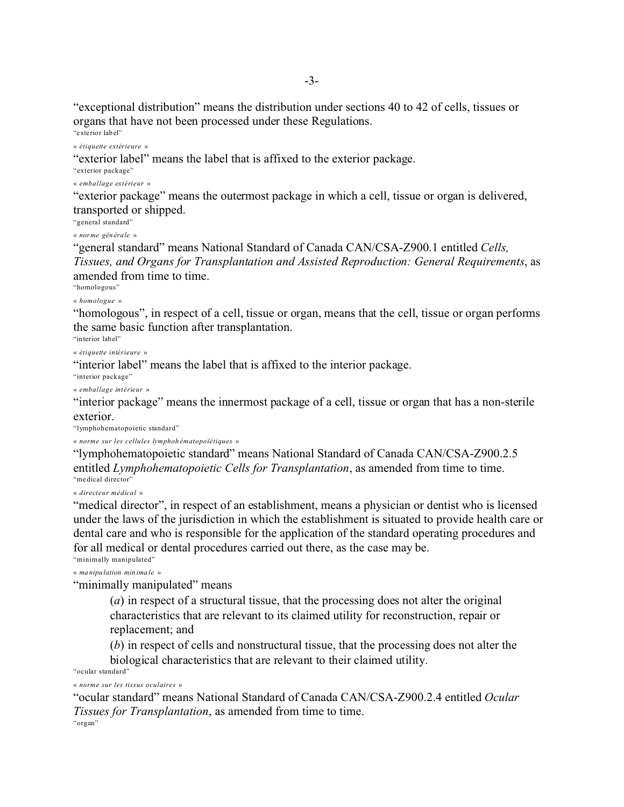"exceptional distribution" means the distribution under sections 40 to 42 of cells, tissues or organs that have not been processed under these Regulations.

"exte rior lab el"

« *étiquette extérieure* »

"exterior label" means the label that is affixed to the exterior package.

"exterior package"

« *emballage extérieur* »

"exterior package" means the outermost package in which a cell, tissue or organ is delivered, transported or shipped.

"general standard"

« *norme générale* »

"general standard" means National Standard of Canada CAN/CSA-Z900.1 entitled *Cells, Tissues, and Organs for Transplantation and Assisted Reproduction: General Requirements*, as amended from time to time.

"homologous"

« *homologue* »

"homologous", in respect of a cell, tissue or organ, means that the cell, tissue or organ performs the same basic function after transplantation.

"interior label"

« *étiquette intérieure* »

"interior label" means the label that is affixed to the interior package.

"interior package"

« *emballage intérieur* »

"interior package" means the innermost package of a cell, tissue or organ that has a non-sterile exterior.

"lymphohematopoietic standard"

« *norme sur les cellules lymphoh ématopoïétiques* »

"lymphohematopoietic standard" means National Standard of Canada CAN/CSA-Z900.2.5 entitled *Lymphohematopoietic Cells for Transplantation*, as amended from time to time. "me dical director"

« *directeur médical* »

"medical director", in respect of an establishment, means a physician or dentist who is licensed under the laws of the jurisdiction in which the establishment is situated to provide health care or dental care and who is responsible for the application of the standard operating procedures and for all medical or dental procedures carried out there, as the case may be.

"minimally manipulated"

« *ma nipu lation min ima le* »

"minimally manipulated" means

(*a*) in respect of a structural tissue, that the processing does not alter the original characteristics that are relevant to its claimed utility for reconstruction, repair or replacement; and

(*b*) in respect of cells and nonstructural tissue, that the processing does not alter the biological characteristics that are relevant to their claimed utility.

"ocular standard" « *norme sur les tissus oculaires* »

"ocular standard" means National Standard of Canada CAN/CSA-Z900.2.4 entitled *Ocular Tissues for Transplantation*, as amended from time to time. "organ"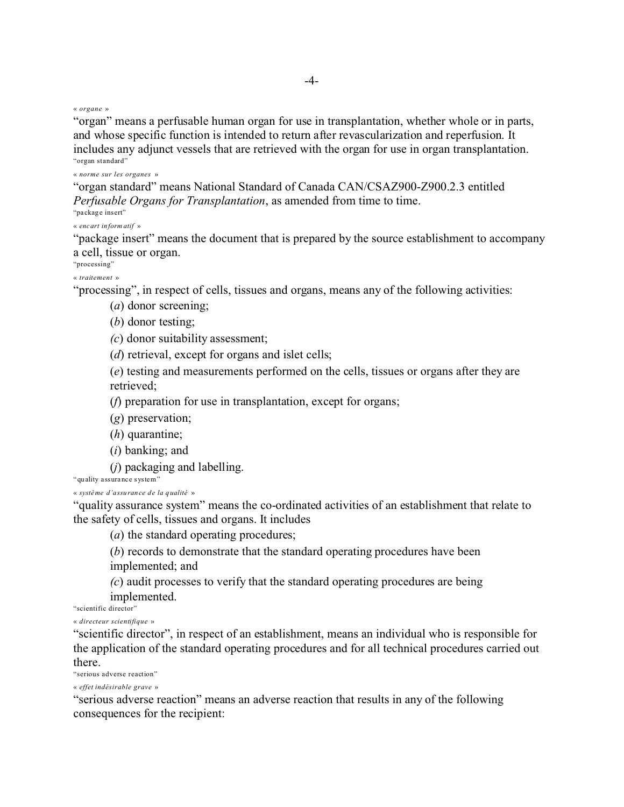« *organe* »

"organ" means a perfusable human organ for use in transplantation, whether whole or in parts, and whose specific function is intended to return after revascularization and reperfusion. It includes any adjunct vessels that are retrieved with the organ for use in organ transplantation. "organ standard"

« *norme sur les organes* »

"organ standard" means National Standard of Canada CAN/CSAZ900-Z900.2.3 entitled *Perfusable Organs for Transplantation*, as amended from time to time. "pa ckage ins ert"

« *encart inform atif* »

"package insert" means the document that is prepared by the source establishment to accompany a cell, tissue or organ.

"processing"

« *traitement* »

"processing", in respect of cells, tissues and organs, means any of the following activities:

(*a*) donor screening;

(*b*) donor testing;

*(c*) donor suitability assessment;

(*d*) retrieval, except for organs and islet cells;

(*e*) testing and measurements performed on the cells, tissues or organs after they are retrieved;

(*f*) preparation for use in transplantation, except for organs;

(*g*) preservation;

(*h*) quarantine;

(*i*) banking; and

(*j*) packaging and labelling.

"quality assurance system"

« *système d'assuran ce de la qualité* »

"quality assurance system" means the co-ordinated activities of an establishment that relate to the safety of cells, tissues and organs. It includes

(*a*) the standard operating procedures;

(*b*) records to demonstrate that the standard operating procedures have been implemented; and

*(c*) audit processes to verify that the standard operating procedures are being implemented.

"scientific director"

« *directeur scientifique* »

"scientific director", in respect of an establishment, means an individual who is responsible for the application of the standard operating procedures and for all technical procedures carried out there.

"serious adverse reaction"

« *effet indésirable grave* »

"serious adverse reaction" means an adverse reaction that results in any of the following consequences for the recipient: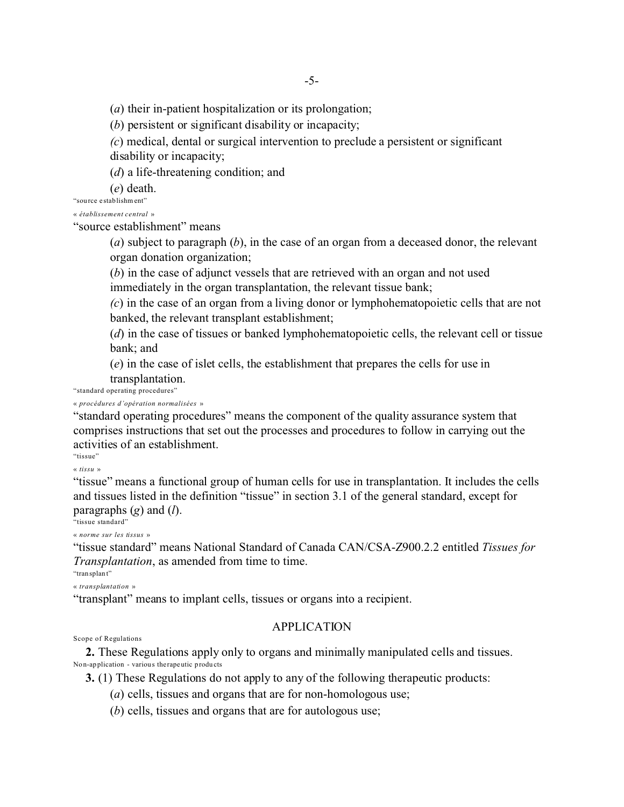(*a*) their in-patient hospitalization or its prolongation;

(*b*) persistent or significant disability or incapacity;

*(c*) medical, dental or surgical intervention to preclude a persistent or significant disability or incapacity;

(*d*) a life-threatening condition; and

(*e*) death.

"sou rce establishm ent"

« *établissement central* »

"source establishment" means

(*a*) subject to paragraph (*b*), in the case of an organ from a deceased donor, the relevant organ donation organization;

(*b*) in the case of adjunct vessels that are retrieved with an organ and not used immediately in the organ transplantation, the relevant tissue bank;

*(c*) in the case of an organ from a living donor or lymphohematopoietic cells that are not banked, the relevant transplant establishment;

(*d*) in the case of tissues or banked lymphohematopoietic cells, the relevant cell or tissue bank; and

(*e*) in the case of islet cells, the establishment that prepares the cells for use in transplantation.

"standard operating procedures"

« *procédures d'opération normalisées* »

"standard operating procedures" means the component of the quality assurance system that comprises instructions that set out the processes and procedures to follow in carrying out the activities of an establishment.

"tissue"

« *tissu* »

"tissue" means a functional group of human cells for use in transplantation. It includes the cells and tissues listed in the definition "tissue" in section 3.1 of the general standard, except for paragraphs (*g*) and (*l*).

"tissue standard"

« *norme sur les tissus* »

"tissue standard" means National Standard of Canada CAN/CSA-Z900.2.2 entitled *Tissues for Transplantation*, as amended from time to time.

"tran splant"

« *transplantation* »

"transplant" means to implant cells, tissues or organs into a recipient.

# **APPLICATION**

Scope of Regulations

**2.** These Regulations apply only to organs and minimally manipulated cells and tissues. Non-application - various the rapeutic products

**3.** (1) These Regulations do not apply to any of the following therapeutic products:

(*a*) cells, tissues and organs that are for non-homologous use;

(*b*) cells, tissues and organs that are for autologous use;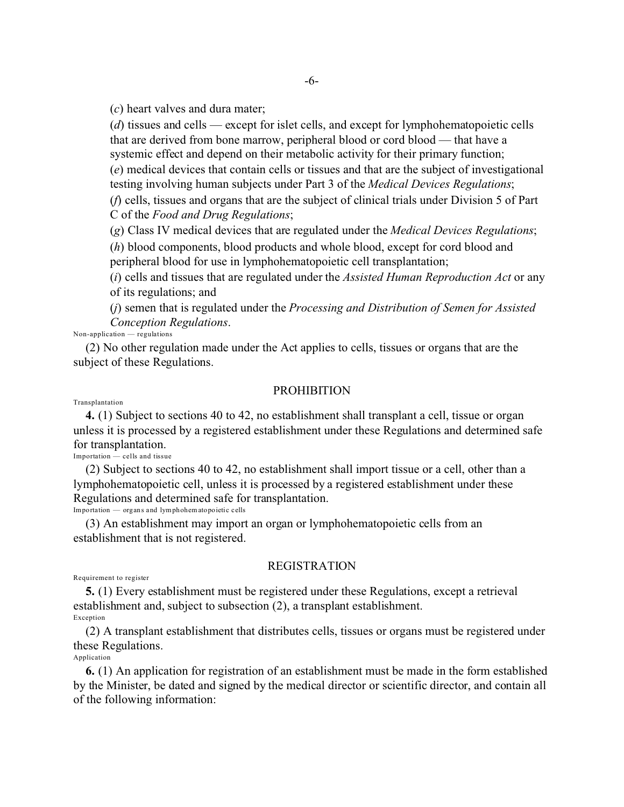(*c*) heart valves and dura mater;

(*d*) tissues and cells — except for islet cells, and except for lymphohematopoietic cells that are derived from bone marrow, peripheral blood or cord blood — that have a systemic effect and depend on their metabolic activity for their primary function; (*e*) medical devices that contain cells or tissues and that are the subject of investigational testing involving human subjects under Part 3 of the *Medical Devices Regulations*;

(*f*) cells, tissues and organs that are the subject of clinical trials under Division 5 of Part C of the *Food and Drug Regulations*;

(*g*) Class IV medical devices that are regulated under the *Medical Devices Regulations*;

(*h*) blood components, blood products and whole blood, except for cord blood and peripheral blood for use in lymphohematopoietic cell transplantation;

(*i*) cells and tissues that are regulated under the *Assisted Human Reproduction Act* or any of its regulations; and

(*j*) semen that is regulated under the *Processing and Distribution of Semen for Assisted Conception Regulations*.

Non-application — regulations

(2) No other regulation made under the Act applies to cells, tissues or organs that are the subject of these Regulations.

### **PROHIBITION**

Transplantation

**4.** (1) Subject to sections 40 to 42, no establishment shall transplant a cell, tissue or organ unless it is processed by a registered establishment under these Regulations and determined safe for transplantation.

Importation — cells and tissue

(2) Subject to sections 40 to 42, no establishment shall import tissue or a cell, other than a lymphohematopoietic cell, unless it is processed by a registered establishment under these Regulations and determined safe for transplantation.

Importation — organs and lymphohem atopoietic cells

(3) An establishment may import an organ or lymphohematopoietic cells from an establishment that is not registered.

# REGISTRATION

Requirement to register

**5.** (1) Every establishment must be registered under these Regulations, except a retrieval establishment and, subject to subsection (2), a transplant establishment. Exception

(2) A transplant establishment that distributes cells, tissues or organs must be registered under these Regulations.

Application

**6.** (1) An application for registration of an establishment must be made in the form established by the Minister, be dated and signed by the medical director or scientific director, and contain all of the following information: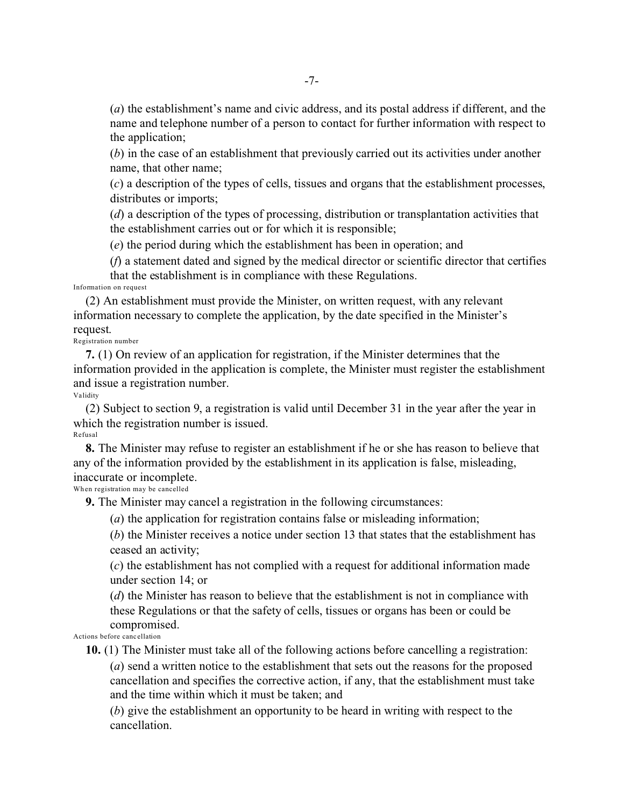(*a*) the establishment's name and civic address, and its postal address if different, and the name and telephone number of a person to contact for further information with respect to the application;

(*b*) in the case of an establishment that previously carried out its activities under another name, that other name;

(*c*) a description of the types of cells, tissues and organs that the establishment processes, distributes or imports;

(*d*) a description of the types of processing, distribution or transplantation activities that the establishment carries out or for which it is responsible;

(*e*) the period during which the establishment has been in operation; and

(*f*) a statement dated and signed by the medical director or scientific director that certifies that the establishment is in compliance with these Regulations. Information on request

(2) An establishment must provide the Minister, on written request, with any relevant information necessary to complete the application, by the date specified in the Minister's request.

Registration number

**7.** (1) On review of an application for registration, if the Minister determines that the information provided in the application is complete, the Minister must register the establishment and issue a registration number.

Validity

(2) Subject to section 9, a registration is valid until December 31 in the year after the year in which the registration number is issued. Refusal

**8.** The Minister may refuse to register an establishment if he or she has reason to believe that any of the information provided by the establishment in its application is false, misleading, inaccurate or incomplete.

When registration may be cancelled

**9.** The Minister may cancel a registration in the following circumstances:

(*a*) the application for registration contains false or misleading information;

(*b*) the Minister receives a notice under section 13 that states that the establishment has ceased an activity;

(*c*) the establishment has not complied with a request for additional information made under section 14; or

(*d*) the Minister has reason to believe that the establishment is not in compliance with these Regulations or that the safety of cells, tissues or organs has been or could be compromised.

Actions before canc ellation

**10.** (1) The Minister must take all of the following actions before cancelling a registration:

(*a*) send a written notice to the establishment that sets out the reasons for the proposed cancellation and specifies the corrective action, if any, that the establishment must take and the time within which it must be taken; and

(*b*) give the establishment an opportunity to be heard in writing with respect to the cancellation.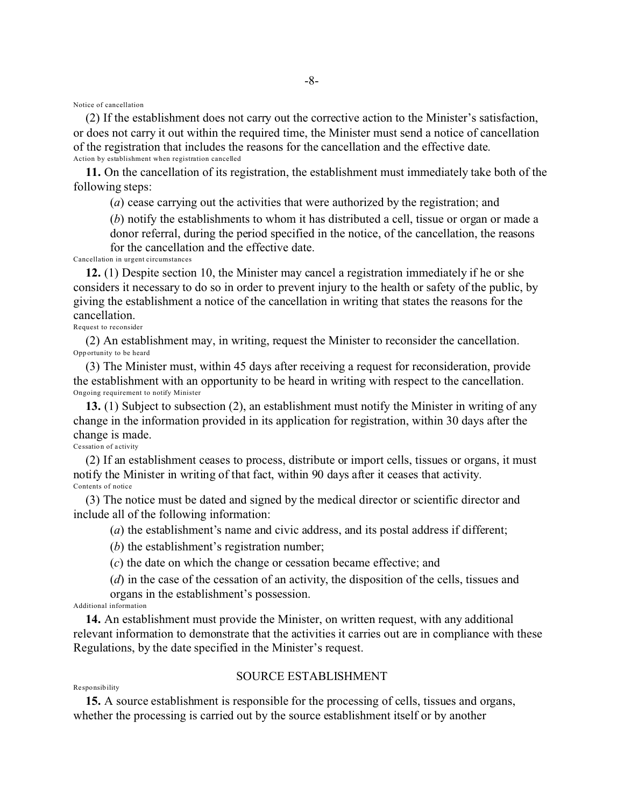Notice of cancellation

(2) If the establishment does not carry out the corrective action to the Minister's satisfaction, or does not carry it out within the required time, the Minister must send a notice of cancellation of the registration that includes the reasons for the cancellation and the effective date. Action by establishment when registration cancelled

-8-

**11.** On the cancellation of its registration, the establishment must immediately take both of the following steps:

(*a*) cease carrying out the activities that were authorized by the registration; and

(*b*) notify the establishments to whom it has distributed a cell, tissue or organ or made a donor referral, during the period specified in the notice, of the cancellation, the reasons

for the cancellation and the effective date.

Cancellation in urgent circumstances

**12.** (1) Despite section 10, the Minister may cancel a registration immediately if he or she considers it necessary to do so in order to prevent injury to the health or safety of the public, by giving the establishment a notice of the cancellation in writing that states the reasons for the cancellation.

Request to reconsider

(2) An establishment may, in writing, request the Minister to reconsider the cancellation. Opp ortunity to be heard

(3) The Minister must, within 45 days after receiving a request for reconsideration, provide the establishment with an opportunity to be heard in writing with respect to the cancellation. Ongoing requirement to notify Minister

**13.** (1) Subject to subsection (2), an establishment must notify the Minister in writing of any change in the information provided in its application for registration, within 30 days after the change is made.

Ce ssation of a ctivity

(2) If an establishment ceases to process, distribute or import cells, tissues or organs, it must notify the Minister in writing of that fact, within 90 days after it ceases that activity. Contents of notice

(3) The notice must be dated and signed by the medical director or scientific director and include all of the following information:

(*a*) the establishment's name and civic address, and its postal address if different;

(*b*) the establishment's registration number;

(*c*) the date on which the change or cessation became effective; and

(*d*) in the case of the cessation of an activity, the disposition of the cells, tissues and organs in the establishment's possession.

Additional information

**14.** An establishment must provide the Minister, on written request, with any additional relevant information to demonstrate that the activities it carries out are in compliance with these Regulations, by the date specified in the Minister's request.

## SOURCE ESTABLISHMENT

#### Re sponsib ility

**15.** A source establishment is responsible for the processing of cells, tissues and organs, whether the processing is carried out by the source establishment itself or by another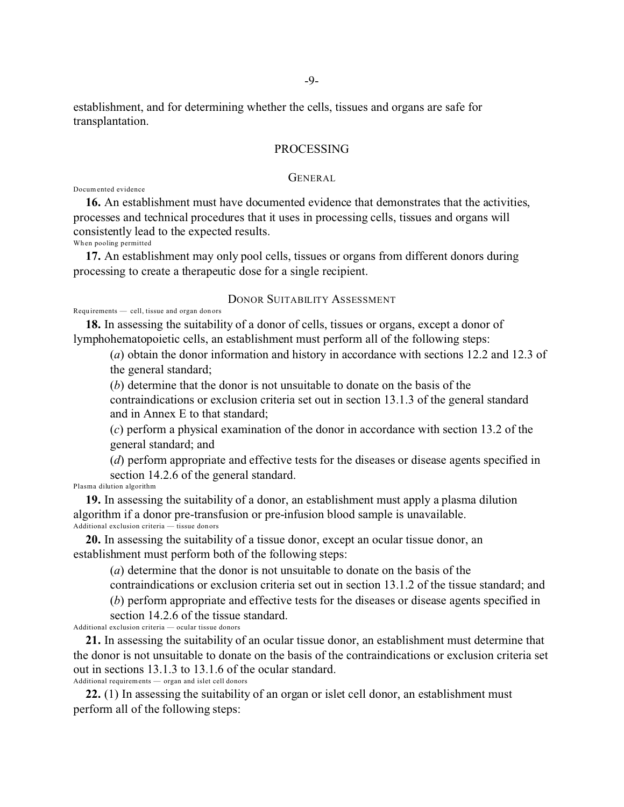establishment, and for determining whether the cells, tissues and organs are safe for transplantation.

## PROCESSING

### GENERAL

Docum ented evidence

**16.** An establishment must have documented evidence that demonstrates that the activities, processes and technical procedures that it uses in processing cells, tissues and organs will consistently lead to the expected results.

Wh en pooling permitted

**17.** An establishment may only pool cells, tissues or organs from different donors during processing to create a therapeutic dose for a single recipient.

# DONOR SUITABILITY ASSESSMENT

Requ irements — cell, tissue and organ don ors

**18.** In assessing the suitability of a donor of cells, tissues or organs, except a donor of lymphohematopoietic cells, an establishment must perform all of the following steps:

(*a*) obtain the donor information and history in accordance with sections 12.2 and 12.3 of the general standard;

(*b*) determine that the donor is not unsuitable to donate on the basis of the

contraindications or exclusion criteria set out in section 13.1.3 of the general standard and in Annex E to that standard;

(*c*) perform a physical examination of the donor in accordance with section 13.2 of the general standard; and

(*d*) perform appropriate and effective tests for the diseases or disease agents specified in section 14.2.6 of the general standard.

Plasma dilution algorithm

**19.** In assessing the suitability of a donor, an establishment must apply a plasma dilution algorithm if a donor pre-transfusion or pre-infusion blood sample is unavailable. Additional exclusion criteria — tissue donors

**20.** In assessing the suitability of a tissue donor, except an ocular tissue donor, an establishment must perform both of the following steps:

(*a*) determine that the donor is not unsuitable to donate on the basis of the

contraindications or exclusion criteria set out in section 13.1.2 of the tissue standard; and

(*b*) perform appropriate and effective tests for the diseases or disease agents specified in

section 14.2.6 of the tissue standard. Additional exclusion criteria — ocular tissue donors

**21.** In assessing the suitability of an ocular tissue donor, an establishment must determine that the donor is not unsuitable to donate on the basis of the contraindications or exclusion criteria set out in sections 13.1.3 to 13.1.6 of the ocular standard. Additional requirements — organ and islet cell donors

**22.** (1) In assessing the suitability of an organ or islet cell donor, an establishment must perform all of the following steps: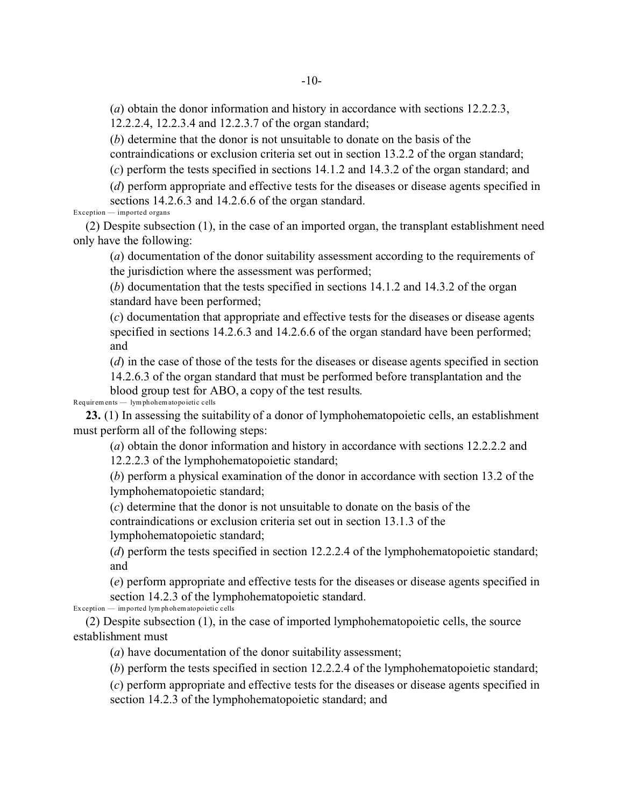(*a*) obtain the donor information and history in accordance with sections 12.2.2.3, 12.2.2.4, 12.2.3.4 and 12.2.3.7 of the organ standard;

(*b*) determine that the donor is not unsuitable to donate on the basis of the

contraindications or exclusion criteria set out in section 13.2.2 of the organ standard;

(*c*) perform the tests specified in sections 14.1.2 and 14.3.2 of the organ standard; and

(*d*) perform appropriate and effective tests for the diseases or disease agents specified in sections 14.2.6.3 and 14.2.6.6 of the organ standard.

Exception — imported organs

(2) Despite subsection (1), in the case of an imported organ, the transplant establishment need only have the following:

(*a*) documentation of the donor suitability assessment according to the requirements of the jurisdiction where the assessment was performed;

(*b*) documentation that the tests specified in sections 14.1.2 and 14.3.2 of the organ standard have been performed;

(*c*) documentation that appropriate and effective tests for the diseases or disease agents specified in sections 14.2.6.3 and 14.2.6.6 of the organ standard have been performed; and

(*d*) in the case of those of the tests for the diseases or disease agents specified in section

14.2.6.3 of the organ standard that must be performed before transplantation and the blood group test for ABO, a copy of the test results.

Requir em ents — lymphohem atopoietic cells

**23.** (1) In assessing the suitability of a donor of lymphohematopoietic cells, an establishment must perform all of the following steps:

(*a*) obtain the donor information and history in accordance with sections 12.2.2.2 and 12.2.2.3 of the lymphohematopoietic standard;

(*b*) perform a physical examination of the donor in accordance with section 13.2 of the lymphohematopoietic standard;

(*c*) determine that the donor is not unsuitable to donate on the basis of the

contraindications or exclusion criteria set out in section 13.1.3 of the lymphohematopoietic standard;

(*d*) perform the tests specified in section 12.2.2.4 of the lymphohematopoietic standard; and

(*e*) perform appropriate and effective tests for the diseases or disease agents specified in section 14.2.3 of the lymphohematopoietic standard.

 $Ex$  ception  $-\text{imported}$  lym phohem atopoietic cells

(2) Despite subsection (1), in the case of imported lymphohematopoietic cells, the source establishment must

(*a*) have documentation of the donor suitability assessment;

(*b*) perform the tests specified in section 12.2.2.4 of the lymphohematopoietic standard;

(*c*) perform appropriate and effective tests for the diseases or disease agents specified in section 14.2.3 of the lymphohematopoietic standard; and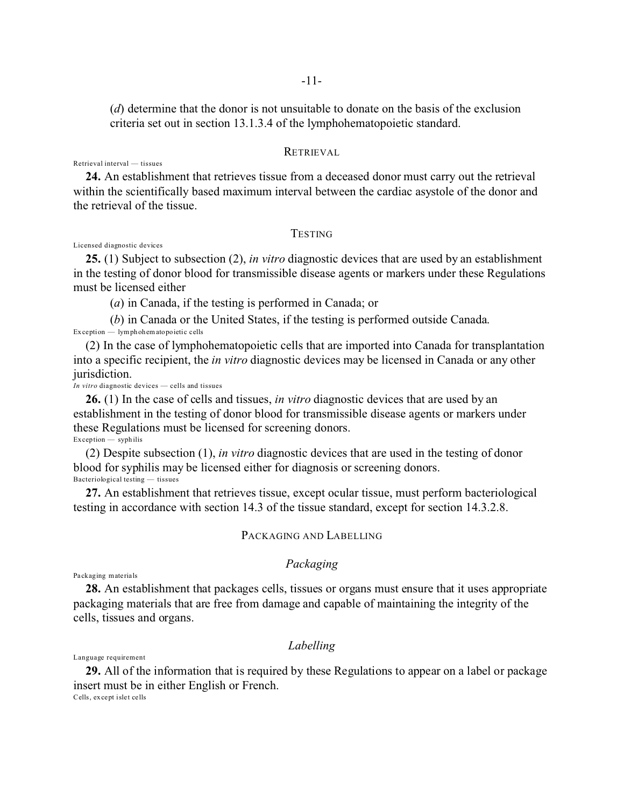(*d*) determine that the donor is not unsuitable to donate on the basis of the exclusion criteria set out in section 13.1.3.4 of the lymphohematopoietic standard.

## RETRIEVAL

Retrieval interval — tissues

**24.** An establishment that retrieves tissue from a deceased donor must carry out the retrieval within the scientifically based maximum interval between the cardiac asystole of the donor and the retrieval of the tissue.

### **TESTING**

Licensed diagnostic devices

**25.** (1) Subject to subsection (2), *in vitro* diagnostic devices that are used by an establishment in the testing of donor blood for transmissible disease agents or markers under these Regulations must be licensed either

(*a*) in Canada, if the testing is performed in Canada; or

(*b*) in Canada or the United States, if the testing is performed outside Canada.

Ex ception — lymphohem atopoietic cells

(2) In the case of lymphohematopoietic cells that are imported into Canada for transplantation into a specific recipient, the *in vitro* diagnostic devices may be licensed in Canada or any other jurisdiction.

*In vitro* diagnostic devices — cells and tissues

**26.** (1) In the case of cells and tissues, *in vitro* diagnostic devices that are used by an establishment in the testing of donor blood for transmissible disease agents or markers under these Regulations must be licensed for screening donors.  $Exception - syphilis$ 

(2) Despite subsection (1), *in vitro* diagnostic devices that are used in the testing of donor blood for syphilis may be licensed either for diagnosis or screening donors. Bacteriological testing — tissues

**27.** An establishment that retrieves tissue, except ocular tissue, must perform bacteriological testing in accordance with section 14.3 of the tissue standard, except for section 14.3.2.8.

#### PACKAGING AND LABELLING

# *Packaging*

Pa ckaging materials

**28.** An establishment that packages cells, tissues or organs must ensure that it uses appropriate packaging materials that are free from damage and capable of maintaining the integrity of the cells, tissues and organs.

## *Labelling*

Language requirement

**29.** All of the information that is required by these Regulations to appear on a label or package insert must be in either English or French. Cells, ex cept islet cells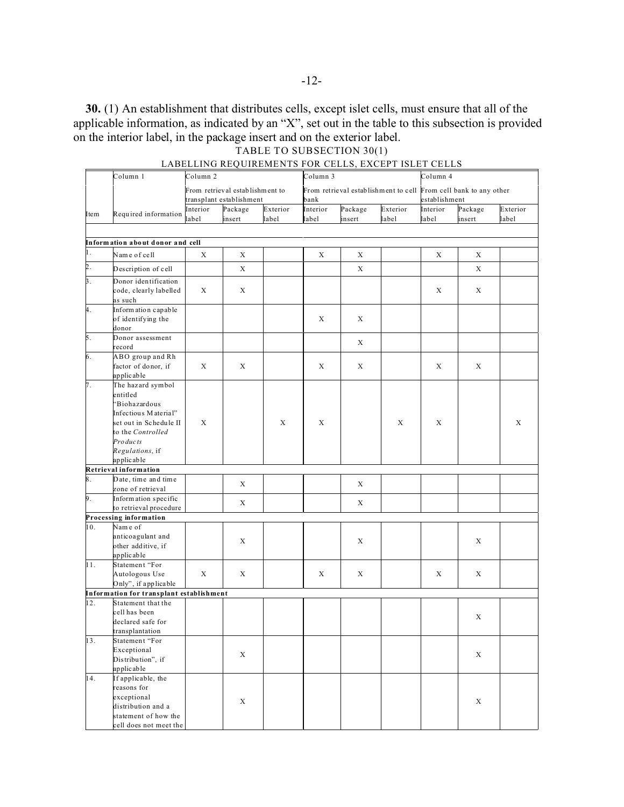**30.** (1) An establishment that distributes cells, except islet cells, must ensure that all of the applicable information, as indicated by an "X", set out in the table to this subsection is provided on the interior label, in the package insert and on the exterior label. TABLE TO SUBSECTION 30(1)

Column 1 Column 2 Column 3 Column 4 From retrieval estab lishm ent to transplant establishment From retrieval establishment to cell From cell bank to any other bank establishment Item Required information Interior label Package insert Exterior label Interior label Package insert Exterior label Interior label Package insert Exterior label **Inform ation about d onor and cell** Name of cell | X | X | X | X | X | X | X | X Description of cell  $X$   $X$   $X$   $X$   $X$   $X$   $X$   $X$   $X$ Donor identification code, clearly labelled as such  $X \mid X \mid$   $\mid$   $\mid$   $\mid$   $\mid$   $\mid$   $X \mid X$ Inform ation capable of identifying the donor  $X$   $X$ Donor assessment record X ABO group and Rh factor of donor, if applic able  $X \mid X \mid X \mid X \mid X \mid X$ The haz ard symbol entitled "Biohazardous Infectiou s M aterial" set out in Schedule II to the *Controlled Pro duc ts Regulations*, if applic able X X X X X X **Retrieval information** Date, time and time  $\sum_{z \in \mathcal{X}}$   $\sum_{z \in \mathcal{X}}$   $\sum_{z \in \mathcal{X}}$   $\sum_{z \in \mathcal{X}}$   $\sum_{z \in \mathcal{X}}$   $\sum_{z \in \mathcal{X}}$   $\sum_{z \in \mathcal{X}}$   $\sum_{z \in \mathcal{X}}$   $\sum_{z \in \mathcal{X}}$   $\sum_{z \in \mathcal{X}}$   $\sum_{z \in \mathcal{X}}$   $\sum_{z \in \mathcal{X}}$   $\sum_{z \in \mathcal{X}}$   $\sum_{z \in \mathcal{X}}$   $\sum_{z \in \mathcal{$ Inform ation specific nformation specific<br>to retrieval procedure  $X$  X X X X **Processing information** 10. Nam e of anticoagulant and other additive, if applic able  $X$  x x x x x 11. Statement "For Autologous Use Only", if applicable  $X \mid X \mid X \mid X \mid X \mid X$ **Information for transplant establishment** 12. Statement that the cell has been declared safe for transplantation X 13. Statement "For Exceptional Distribution", if applic able X X 14. If applicable, the reasons for exceptional distribution and a statement of how the X X

cell does not meet the

## LABELLING REQUIREMENTS FOR CELLS, EXCEPT ISLET CELLS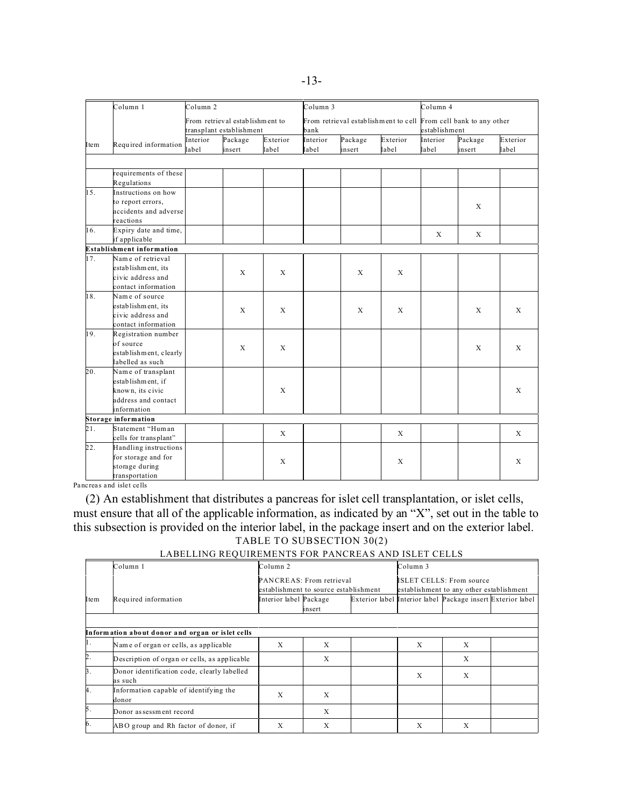|      | Column 1                         | Column <sub>2</sub> |                                                             |                   |                   | Column 3                                                         |                   |                   | Column 4          |                   |  |
|------|----------------------------------|---------------------|-------------------------------------------------------------|-------------------|-------------------|------------------------------------------------------------------|-------------------|-------------------|-------------------|-------------------|--|
|      |                                  |                     | From retrieval establishment to<br>transplant establishment |                   | bank              | From retrieval establishment to cell From cell bank to any other |                   |                   | establishment     |                   |  |
| Item | Required information             | Interior<br>label   | Package<br>insert                                           | Exterior<br>label | Interior<br>label | Package<br>insert                                                | Exterior<br>label | Interior<br>label | Package<br>insert | Exterior<br>label |  |
|      |                                  |                     |                                                             |                   |                   |                                                                  |                   |                   |                   |                   |  |
|      | requirements of these            |                     |                                                             |                   |                   |                                                                  |                   |                   |                   |                   |  |
|      | Regulations                      |                     |                                                             |                   |                   |                                                                  |                   |                   |                   |                   |  |
| 15.  | Instructions on how              |                     |                                                             |                   |                   |                                                                  |                   |                   |                   |                   |  |
|      | to report errors,                |                     |                                                             |                   |                   |                                                                  |                   |                   | $\mathbf{X}$      |                   |  |
|      | accidents and adverse            |                     |                                                             |                   |                   |                                                                  |                   |                   |                   |                   |  |
|      | reactions                        |                     |                                                             |                   |                   |                                                                  |                   |                   |                   |                   |  |
| 16.  | Expiry date and time,            |                     |                                                             |                   |                   |                                                                  |                   | $\mathbf X$       | $\mathbf{X}$      |                   |  |
|      | if applicable                    |                     |                                                             |                   |                   |                                                                  |                   |                   |                   |                   |  |
|      | <b>Establishment information</b> |                     |                                                             |                   |                   |                                                                  |                   |                   |                   |                   |  |
| 17.  | Name of retrieval                |                     | X                                                           |                   |                   |                                                                  |                   |                   |                   |                   |  |
|      | establishment, its               |                     |                                                             | $\mathbf X$       |                   | $\mathbf X$                                                      | $\mathbf X$       |                   |                   |                   |  |
|      | civic address and                |                     |                                                             |                   |                   |                                                                  |                   |                   |                   |                   |  |
|      | contact information              |                     |                                                             |                   |                   |                                                                  |                   |                   |                   |                   |  |
| 18.  | Name of source                   |                     |                                                             |                   |                   |                                                                  |                   |                   |                   |                   |  |
|      | establishment, its               |                     | X                                                           | $\mathbf{x}$      |                   | X                                                                | X                 |                   | X                 | $\mathbf{X}$      |  |
|      | civic address and                |                     |                                                             |                   |                   |                                                                  |                   |                   |                   |                   |  |
|      | contact information              |                     |                                                             |                   |                   |                                                                  |                   |                   |                   |                   |  |
| 19.  | Registration number              |                     |                                                             |                   |                   |                                                                  |                   |                   |                   |                   |  |
|      | of source                        |                     | X                                                           | $\mathbf X$       |                   |                                                                  |                   |                   | X                 | $\mathbf{X}$      |  |
|      | establishment, clearly           |                     |                                                             |                   |                   |                                                                  |                   |                   |                   |                   |  |
|      | labelled as such                 |                     |                                                             |                   |                   |                                                                  |                   |                   |                   |                   |  |
| 20.  | Name of transplant               |                     |                                                             |                   |                   |                                                                  |                   |                   |                   |                   |  |
|      | establishment, if                |                     |                                                             |                   |                   |                                                                  |                   |                   |                   |                   |  |
|      | known, its civic                 |                     |                                                             | X                 |                   |                                                                  |                   |                   |                   | $\mathbf{x}$      |  |
|      | address and contact              |                     |                                                             |                   |                   |                                                                  |                   |                   |                   |                   |  |
|      | information                      |                     |                                                             |                   |                   |                                                                  |                   |                   |                   |                   |  |
|      | Storage information              |                     |                                                             |                   |                   |                                                                  |                   |                   |                   |                   |  |
| 21.  | Statement "Human                 |                     |                                                             | X                 |                   |                                                                  | X                 |                   |                   | X                 |  |
|      | cells for transplant"            |                     |                                                             |                   |                   |                                                                  |                   |                   |                   |                   |  |
| 22.  | Handling instructions            |                     |                                                             |                   |                   |                                                                  |                   |                   |                   |                   |  |
|      | for storage and for              |                     |                                                             | X                 |                   |                                                                  | X                 |                   |                   | X                 |  |
|      | storage during                   |                     |                                                             |                   |                   |                                                                  |                   |                   |                   |                   |  |
|      | transportation                   |                     |                                                             |                   |                   |                                                                  |                   |                   |                   |                   |  |

Pancreas and islet cells

(2) An establishment that distributes a pancreas for islet cell transplantation, or islet cells, must ensure that all of the applicable information, as indicated by an "X", set out in the table to this subsection is provided on the interior label, in the package insert and on the exterior label. TABLE TO SUBSECTION 30(2)

|      | Column 1                                               | Column <sub>2</sub>      |                                       |  | Column <sub>3</sub>                      |                                                             |  |  |
|------|--------------------------------------------------------|--------------------------|---------------------------------------|--|------------------------------------------|-------------------------------------------------------------|--|--|
|      |                                                        | PANCREAS: From retrieval |                                       |  | <b>ISLET CELLS: From source</b>          |                                                             |  |  |
|      |                                                        |                          | establishment to source establishment |  | establishment to any other establishment |                                                             |  |  |
| Item | Required information                                   | Interior label Package   |                                       |  |                                          | Exterior label Interior label Package insert Exterior label |  |  |
|      |                                                        |                          | insert                                |  |                                          |                                                             |  |  |
|      |                                                        |                          |                                       |  |                                          |                                                             |  |  |
|      | Information about donor and organ or islet cells       |                          |                                       |  |                                          |                                                             |  |  |
| 1.   | Name of organ or cells, as applicable                  | X                        | X                                     |  | X                                        | X                                                           |  |  |
| 2.   | Description of organ or cells, as applicable           |                          | X                                     |  |                                          | X                                                           |  |  |
| 3.   | Donor identification code, clearly labelled<br>as such |                          |                                       |  | X                                        | X                                                           |  |  |
| 4.   | Information capable of identifying the<br>donor        | X                        | X                                     |  |                                          |                                                             |  |  |
| 5.   | Donor as sessment record                               |                          | X                                     |  |                                          |                                                             |  |  |
| 6.   | ABO group and Rh factor of donor, if                   | X                        | X                                     |  | X                                        | X                                                           |  |  |

### LABELLING REQUIREMENTS FOR PANCREAS AND ISLET CELLS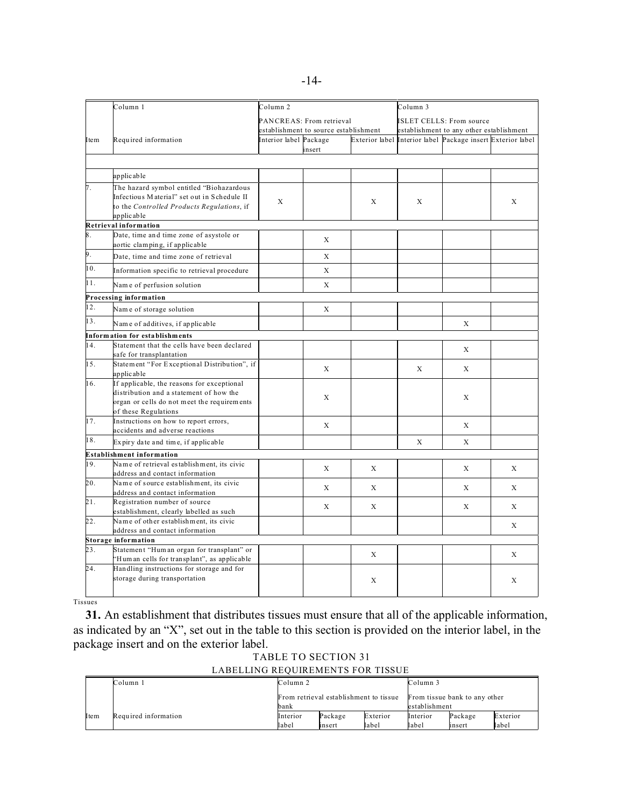|      | Column 1                                                                          | Column 2               |                                       |                | Column 3                 |                                              |              |  |
|------|-----------------------------------------------------------------------------------|------------------------|---------------------------------------|----------------|--------------------------|----------------------------------------------|--------------|--|
|      |                                                                                   |                        | PANCREAS: From retrieval              |                | ISLET CELLS: From source |                                              |              |  |
|      |                                                                                   |                        | establishment to source establishment |                |                          | establishment to any other establishment     |              |  |
| Item | Required information                                                              | Interior label Package |                                       | Exterior label |                          | Interior label Package insert Exterior label |              |  |
|      |                                                                                   |                        | insert                                |                |                          |                                              |              |  |
|      |                                                                                   |                        |                                       |                |                          |                                              |              |  |
|      | applicable                                                                        |                        |                                       |                |                          |                                              |              |  |
| 7.   | The hazard symbol entitled "Biohazardous                                          |                        |                                       |                |                          |                                              |              |  |
|      | Infectious Material" set out in Schedule II                                       | X                      |                                       | X              | X                        |                                              | X            |  |
|      | to the Controlled Products Regulations, if                                        |                        |                                       |                |                          |                                              |              |  |
|      | applicable                                                                        |                        |                                       |                |                          |                                              |              |  |
|      | Retrieval information                                                             |                        |                                       |                |                          |                                              |              |  |
| 8.   | Date, time and time zone of asystole or<br>aortic clamping, if applicable         |                        | X                                     |                |                          |                                              |              |  |
| 9.   | Date, time and time zone of retrieval                                             |                        | X                                     |                |                          |                                              |              |  |
| 10.  | Information specific to retrieval procedure                                       |                        | X                                     |                |                          |                                              |              |  |
| 11.  | Name of perfusion solution                                                        |                        | $\mathbf{x}$                          |                |                          |                                              |              |  |
|      | Processing information                                                            |                        |                                       |                |                          |                                              |              |  |
| 12.  | Name of storage solution                                                          |                        | X                                     |                |                          |                                              |              |  |
| 13.  | Name of additives, if applicable                                                  |                        |                                       |                |                          | X                                            |              |  |
|      | Information for establishments                                                    |                        |                                       |                |                          |                                              |              |  |
| 14.  | Statement that the cells have been declared                                       |                        |                                       |                |                          | X                                            |              |  |
|      | safe for transplantation                                                          |                        |                                       |                |                          |                                              |              |  |
| 15.  | Statement "For Exceptional Distribution", if                                      |                        | X                                     |                | X                        | X                                            |              |  |
| 16.  | applicable<br>If applicable, the reasons for exceptional                          |                        |                                       |                |                          |                                              |              |  |
|      | distribution and a statement of how the                                           |                        |                                       |                |                          |                                              |              |  |
|      | organ or cells do not meet the requirements                                       |                        | X                                     |                |                          | X                                            |              |  |
|      | of these Regulations                                                              |                        |                                       |                |                          |                                              |              |  |
| 17.  | Instructions on how to report errors,                                             |                        | X                                     |                |                          | X                                            |              |  |
|      | accidents and adverse reactions                                                   |                        |                                       |                |                          |                                              |              |  |
| 18.  | Expiry date and time, if applicable                                               |                        |                                       |                | $\mathbf X$              | X                                            |              |  |
|      | Establishment information                                                         |                        |                                       |                |                          |                                              |              |  |
| 19.  | Name of retrieval establishment, its civic<br>address and contact information     |                        | X                                     | X              |                          | X                                            | X            |  |
| 20.  | Name of source establishment, its civic                                           |                        |                                       |                |                          |                                              |              |  |
|      | address and contact information                                                   |                        | X                                     | X              |                          | X                                            | X            |  |
| 21.  | Registration number of source                                                     |                        | X                                     | X              |                          | X                                            | X            |  |
| 22.  | establishment, clearly labelled as such<br>Name of other establishment, its civic |                        |                                       |                |                          |                                              |              |  |
|      | address and contact information                                                   |                        |                                       |                |                          |                                              | $\mathbf{x}$ |  |
|      | <b>Storage information</b>                                                        |                        |                                       |                |                          |                                              |              |  |
| 23.  | Statement "Hum an organ for transplant" or                                        |                        |                                       |                |                          |                                              |              |  |
|      | 'Hum an cells for transplant", as applicable                                      |                        |                                       | X              |                          |                                              | X            |  |
| 24.  | Handling instructions for storage and for                                         |                        |                                       |                |                          |                                              |              |  |
|      | storage during transportation                                                     |                        |                                       | X              |                          |                                              | X            |  |
|      |                                                                                   |                        |                                       |                |                          |                                              |              |  |

Tissues

**31.** An establishment that distributes tissues must ensure that all of the applicable information, as indicated by an "X", set out in the table to this section is provided on the interior label, in the package insert and on the exterior label.

TABLE TO SECTION 31 LABELLING REQUIREMENTS FOR TISSUE

|      | Column 1             | Column <sub>2</sub> |                                        |          | Column 3                                       |         |          |  |
|------|----------------------|---------------------|----------------------------------------|----------|------------------------------------------------|---------|----------|--|
|      |                      | bank                | From retrieval establishment to tissue |          | From tissue bank to any other<br>establishment |         |          |  |
|      |                      |                     |                                        |          |                                                |         |          |  |
| Item | Required information | Interior            | Package                                | Exterior | Interior                                       | Package | Exterior |  |
|      |                      | label               | insert                                 | label    | label                                          | insert  | label    |  |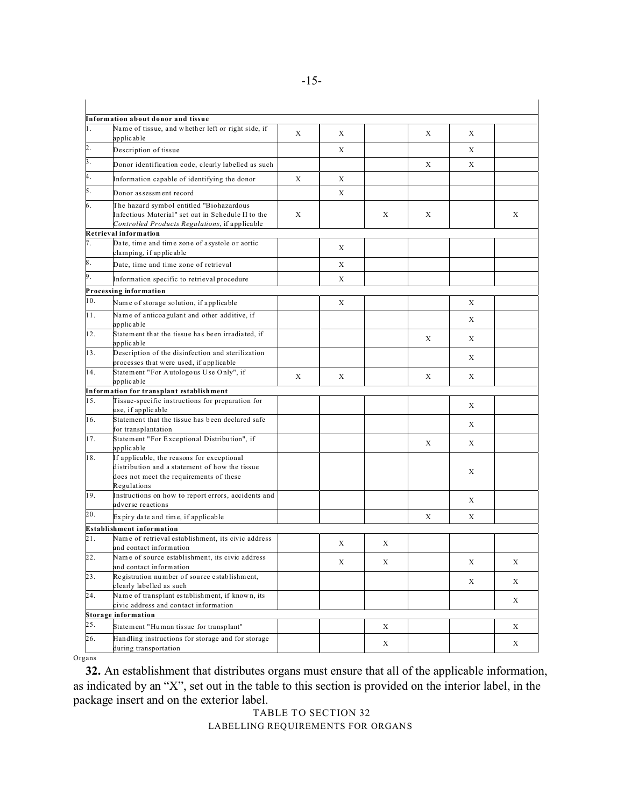|     | Information about donor and tissue                                                                                                               |   |   |   |   |   |   |
|-----|--------------------------------------------------------------------------------------------------------------------------------------------------|---|---|---|---|---|---|
| 1.  | Name of tissue, and whether left or right side, if<br>applicable                                                                                 | X | X |   | X | X |   |
| 2.  | Description of tissue                                                                                                                            |   | X |   |   | X |   |
| 3.  | Donor identification code, clearly labelled as such                                                                                              |   |   |   | X | X |   |
| 4.  |                                                                                                                                                  | X | X |   |   |   |   |
| 5.  | Information capable of identifying the donor                                                                                                     |   |   |   |   |   |   |
|     | Donor as sessment record                                                                                                                         |   | X |   |   |   |   |
| 6.  | The hazard symbol entitled "Biohazardous<br>Infectious Material" set out in Schedule II to the<br>Controlled Products Regulations, if applicable | X |   | X | X |   | X |
|     | Retrieval information                                                                                                                            |   |   |   |   |   |   |
| 7.  | Date, time and time zone of asystole or aortic<br>clamping, if applicable                                                                        |   | X |   |   |   |   |
| 8.  | Date, time and time zone of retrieval                                                                                                            |   | X |   |   |   |   |
| 9.  | Information specific to retrieval procedure                                                                                                      |   | X |   |   |   |   |
|     | Processing information                                                                                                                           |   |   |   |   |   |   |
| 10. | Name of storage solution, if applicable                                                                                                          |   | X |   |   | X |   |
| 11. | Name of anticoagulant and other additive, if<br>applicable                                                                                       |   |   |   |   | X |   |
| 12. | Statement that the tissue has been irradiated, if<br>applicable                                                                                  |   |   |   | X | X |   |
| 13. | Description of the disinfection and sterilization<br>processes that were used, if applicable                                                     |   |   |   |   | X |   |
| 14. | Statement "For Autologous Use Only", if<br>applicable                                                                                            | X | X |   | X | X |   |
|     | Information for transplant establishment                                                                                                         |   |   |   |   |   |   |
| 15. | Tissue-specific instructions for preparation for<br>use, if applicable                                                                           |   |   |   |   | X |   |
| 16. | Statement that the tissue has been declared safe<br>for transplantation                                                                          |   |   |   |   | X |   |
| 17. | Statement "For Exceptional Distribution", if<br>applicable                                                                                       |   |   |   | X | X |   |
| 18. | If applicable, the reasons for exceptional                                                                                                       |   |   |   |   |   |   |
|     | distribution and a statement of how the tissue                                                                                                   |   |   |   |   | X |   |
|     | does not meet the requirements of these<br>Regulations                                                                                           |   |   |   |   |   |   |
| 19. | Instructions on how to report errors, accidents and<br>adverse reactions                                                                         |   |   |   |   | X |   |
| 20. | Expiry date and time, if applicable                                                                                                              |   |   |   | X | X |   |
|     | <b>Establishment information</b>                                                                                                                 |   |   |   |   |   |   |
| 21. | Name of retrieval establishment, its civic address                                                                                               |   |   |   |   |   |   |
|     | and contact information                                                                                                                          |   | X | X |   |   |   |
| 22. | Name of source establishment, its civic address<br>and contact information                                                                       |   | X | X |   | X | X |
| 23. | Registration number of source establishment,<br>clearly labelled as such                                                                         |   |   |   |   | X | X |
| 24. | Name of transplant establishment, if known, its                                                                                                  |   |   |   |   |   | X |
|     | civic address and contact information<br><b>Storage information</b>                                                                              |   |   |   |   |   |   |
| 25. | Statement "Human tissue for transplant"                                                                                                          |   |   | X |   |   | X |
| 26. | Handling instructions for storage and for storage                                                                                                |   |   |   |   |   |   |
|     | during transportation                                                                                                                            |   |   | X |   |   | X |

Organs

**32.** An establishment that distributes organs must ensure that all of the applicable information, as indicated by an "X", set out in the table to this section is provided on the interior label, in the package insert and on the exterior label.

# TABLE TO SECTION 32 LABELLING REQUIREMENTS FOR ORGANS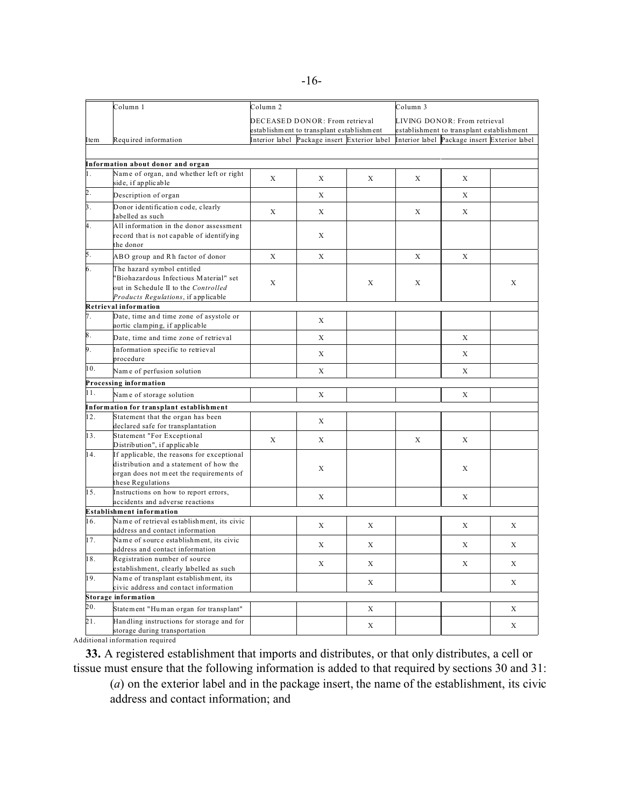|                | Column 1                                                                   | Column 2 |                                              |   | Column 3                                                                  |                                              |   |  |
|----------------|----------------------------------------------------------------------------|----------|----------------------------------------------|---|---------------------------------------------------------------------------|----------------------------------------------|---|--|
|                |                                                                            |          | DECEASED DONOR: From retrieval               |   | LIVING DONOR: From retrieval<br>establishment to transplant establishment |                                              |   |  |
|                |                                                                            |          | establishment to transplant establishment    |   |                                                                           |                                              |   |  |
| Item           | Required information                                                       |          | Interior label Package insert Exterior label |   |                                                                           | Interior label Package insert Exterior label |   |  |
|                |                                                                            |          |                                              |   |                                                                           |                                              |   |  |
|                | Information about donor and organ                                          |          |                                              |   |                                                                           |                                              |   |  |
| 1.             | Name of organ, and whether left or right                                   |          |                                              |   |                                                                           |                                              |   |  |
|                | side, if applicable                                                        | X        | X                                            | X | X                                                                         | X                                            |   |  |
| þ.             | Description of organ                                                       |          | X                                            |   |                                                                           | X                                            |   |  |
| $\mathbf{3}$ . | Donor identification code, clearly                                         | X        | X                                            |   | X                                                                         | X                                            |   |  |
|                | labelled as such                                                           |          |                                              |   |                                                                           |                                              |   |  |
| 4.             | All information in the donor assessment                                    |          |                                              |   |                                                                           |                                              |   |  |
|                | record that is not capable of identifying<br>the donor                     |          | X                                            |   |                                                                           |                                              |   |  |
| 5.             | ABO group and Rh factor of donor                                           | X        | X                                            |   | X                                                                         | X                                            |   |  |
| 6.             | The hazard symbol entitled                                                 |          |                                              |   |                                                                           |                                              |   |  |
|                | "Biohazardous Infectious Material" set                                     |          |                                              |   |                                                                           |                                              |   |  |
|                | out in Schedule II to the Controlled                                       | X        |                                              | X | X                                                                         |                                              | X |  |
|                | Products Regulations, if applicable                                        |          |                                              |   |                                                                           |                                              |   |  |
|                | Retrieval information                                                      |          |                                              |   |                                                                           |                                              |   |  |
| 7.             | Date, time and time zone of asystole or                                    |          | X                                            |   |                                                                           |                                              |   |  |
|                | aortic clamping, if applicable                                             |          |                                              |   |                                                                           |                                              |   |  |
| 8.             | Date, time and time zone of retrieval                                      |          | X                                            |   |                                                                           | X                                            |   |  |
| 9.             | Information specific to retrieval                                          |          | X                                            |   |                                                                           | X                                            |   |  |
|                | procedure                                                                  |          |                                              |   |                                                                           |                                              |   |  |
| 10.            | Name of perfusion solution                                                 |          | X                                            |   |                                                                           | X                                            |   |  |
|                | Processing information                                                     |          |                                              |   |                                                                           |                                              |   |  |
| 11.            | Name of storage solution                                                   |          | X                                            |   |                                                                           | Х                                            |   |  |
|                | Information for transplant establishment                                   |          |                                              |   |                                                                           |                                              |   |  |
| 12.            | Statement that the organ has been                                          |          | X                                            |   |                                                                           |                                              |   |  |
|                | declared safe for transplantation                                          |          |                                              |   |                                                                           |                                              |   |  |
| 13.            | Statement "For Exceptional                                                 | X        | X                                            |   | X                                                                         | X                                            |   |  |
| 14.            | Distribution", if applicable<br>If applicable, the reasons for exceptional |          |                                              |   |                                                                           |                                              |   |  |
|                | distribution and a statement of how the                                    |          |                                              |   |                                                                           |                                              |   |  |
|                | organ does not meet the requirements of                                    |          | X                                            |   |                                                                           | X                                            |   |  |
|                | these Regulations                                                          |          |                                              |   |                                                                           |                                              |   |  |
| 15.            | Instructions on how to report errors,                                      |          | X                                            |   |                                                                           | X                                            |   |  |
|                | accidents and adverse reactions                                            |          |                                              |   |                                                                           |                                              |   |  |
|                | <b>Establishment information</b>                                           |          |                                              |   |                                                                           |                                              |   |  |
| 16.            | Name of retrieval establishment, its civic                                 |          | X                                            | X |                                                                           | X                                            | X |  |
|                | address and contact information<br>Name of source establishment, its civic |          |                                              |   |                                                                           |                                              |   |  |
| 17.            | address and contact information                                            |          | X                                            | X |                                                                           | X                                            | X |  |
| 18.            | Registration number of source                                              |          |                                              |   |                                                                           |                                              |   |  |
|                | establishment, clearly labelled as such                                    |          | X                                            | X |                                                                           | X                                            | X |  |
| 19.            | Name of transplant establishment, its                                      |          |                                              |   |                                                                           |                                              |   |  |
|                | civic address and contact information                                      |          |                                              | X |                                                                           |                                              | X |  |
|                | <b>Storage information</b>                                                 |          |                                              |   |                                                                           |                                              |   |  |
| 20.            | Statement "Human organ for transplant"                                     |          |                                              | X |                                                                           |                                              | X |  |
| 21.            | Handling instructions for storage and for                                  |          |                                              | X |                                                                           |                                              | X |  |
|                | storage during transportation                                              |          |                                              |   |                                                                           |                                              |   |  |

Additional information required

**33.** A registered establishment that imports and distributes, or that only distributes, a cell or tissue must ensure that the following information is added to that required by sections 30 and 31:

(*a*) on the exterior label and in the package insert, the name of the establishment, its civic address and contact information; and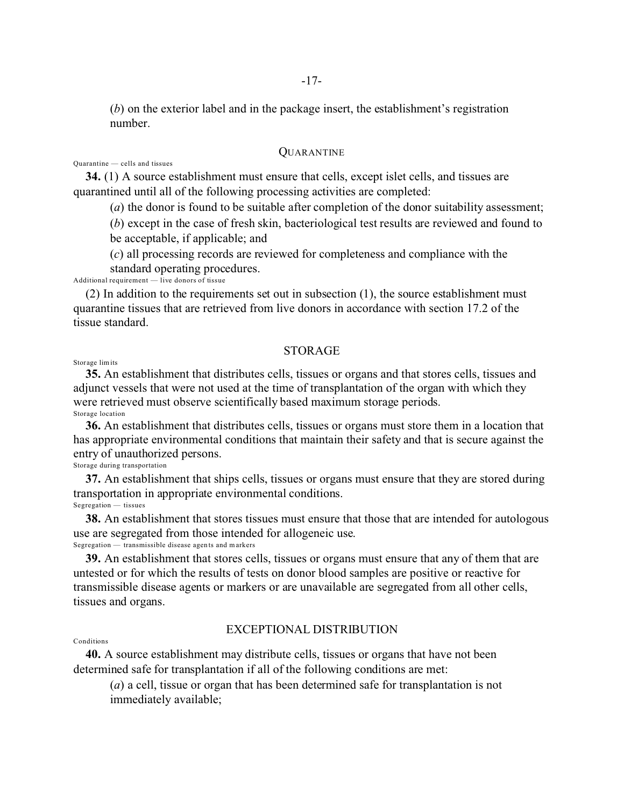(*b*) on the exterior label and in the package insert, the establishment's registration number.

# QUARANTINE

Quarantine — cells and tissues

**34.** (1) A source establishment must ensure that cells, except islet cells, and tissues are quarantined until all of the following processing activities are completed:

(*a*) the donor is found to be suitable after completion of the donor suitability assessment;

(*b*) except in the case of fresh skin, bacteriological test results are reviewed and found to be acceptable, if applicable; and

(*c*) all processing records are reviewed for completeness and compliance with the standard operating procedures.

Additional requirement  $-\overline{ }$  live donors of tissue

(2) In addition to the requirements set out in subsection (1), the source establishment must quarantine tissues that are retrieved from live donors in accordance with section 17.2 of the tissue standard.

## **STORAGE**

Storage lim its

**35.** An establishment that distributes cells, tissues or organs and that stores cells, tissues and adjunct vessels that were not used at the time of transplantation of the organ with which they were retrieved must observe scientifically based maximum storage periods. Storage location

**36.** An establishment that distributes cells, tissues or organs must store them in a location that has appropriate environmental conditions that maintain their safety and that is secure against the entry of unauthorized persons.

Storage during transportation

**37.** An establishment that ships cells, tissues or organs must ensure that they are stored during transportation in appropriate environmental conditions. Segregation — tissues

**38.** An establishment that stores tissues must ensure that those that are intended for autologous use are segregated from those intended for allogeneic use. Segregation — transmissible disease agents and markers

**39.** An establishment that stores cells, tissues or organs must ensure that any of them that are untested or for which the results of tests on donor blood samples are positive or reactive for transmissible disease agents or markers or are unavailable are segregated from all other cells, tissues and organs.

# EXCEPTIONAL DISTRIBUTION

#### Conditions

**40.** A source establishment may distribute cells, tissues or organs that have not been determined safe for transplantation if all of the following conditions are met:

(*a*) a cell, tissue or organ that has been determined safe for transplantation is not immediately available;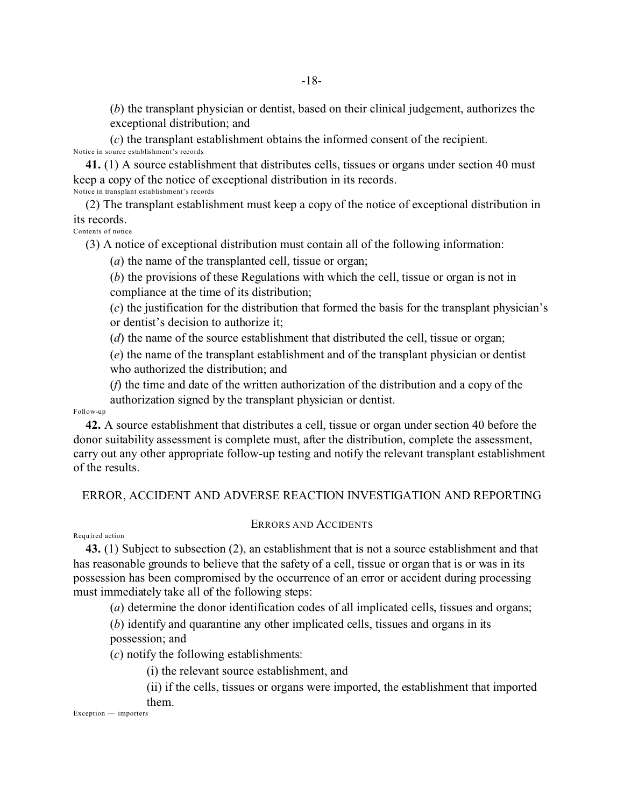(*b*) the transplant physician or dentist, based on their clinical judgement, authorizes the exceptional distribution; and

(*c*) the transplant establishment obtains the informed consent of the recipient. Notice in source establishment's records

**41.** (1) A source establishment that distributes cells, tissues or organs under section 40 must keep a copy of the notice of exceptional distribution in its records. Notice in transplant establishment's records

(2) The transplant establishment must keep a copy of the notice of exceptional distribution in its records.

Contents of notice

(3) A notice of exceptional distribution must contain all of the following information:

(*a*) the name of the transplanted cell, tissue or organ;

(*b*) the provisions of these Regulations with which the cell, tissue or organ is not in compliance at the time of its distribution;

(*c*) the justification for the distribution that formed the basis for the transplant physician's or dentist's decision to authorize it;

(*d*) the name of the source establishment that distributed the cell, tissue or organ;

(*e*) the name of the transplant establishment and of the transplant physician or dentist who authorized the distribution; and

(*f*) the time and date of the written authorization of the distribution and a copy of the authorization signed by the transplant physician or dentist.

Follow-up

**42.** A source establishment that distributes a cell, tissue or organ under section 40 before the donor suitability assessment is complete must, after the distribution, complete the assessment, carry out any other appropriate follow-up testing and notify the relevant transplant establishment of the results.

# ERROR, ACCIDENT AND ADVERSE REACTION INVESTIGATION AND REPORTING

ERRORS AND ACCIDENTS

#### Requ ired action

**43.** (1) Subject to subsection (2), an establishment that is not a source establishment and that has reasonable grounds to believe that the safety of a cell, tissue or organ that is or was in its possession has been compromised by the occurrence of an error or accident during processing

must immediately take all of the following steps: (*a*) determine the donor identification codes of all implicated cells, tissues and organs;

(*b*) identify and quarantine any other implicated cells, tissues and organs in its possession; and

(*c*) notify the following establishments:

(i) the relevant source establishment, and

(ii) if the cells, tissues or organs were imported, the establishment that imported them.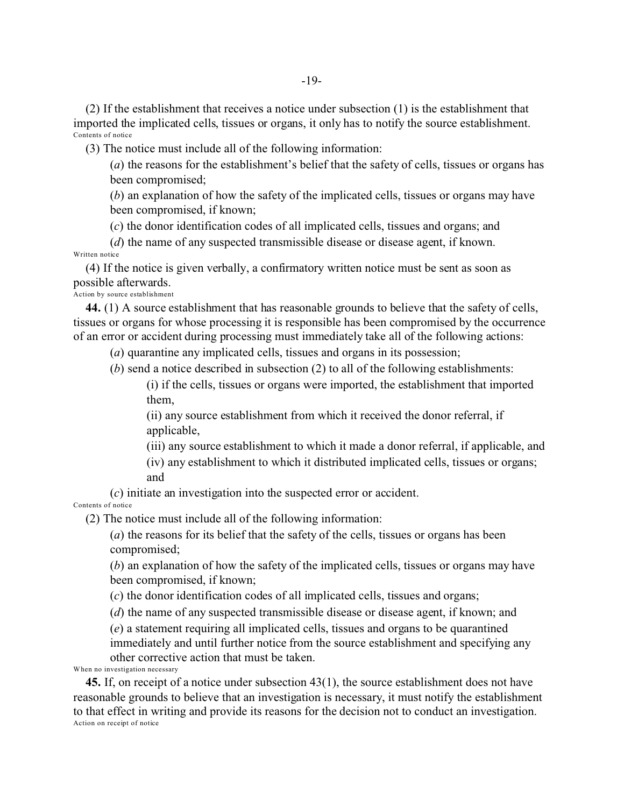(2) If the establishment that receives a notice under subsection (1) is the establishment that imported the implicated cells, tissues or organs, it only has to notify the source establishment. Contents of notice

(3) The notice must include all of the following information:

(*a*) the reasons for the establishment's belief that the safety of cells, tissues or organs has been compromised;

(*b*) an explanation of how the safety of the implicated cells, tissues or organs may have been compromised, if known;

(*c*) the donor identification codes of all implicated cells, tissues and organs; and

(*d*) the name of any suspected transmissible disease or disease agent, if known. Written notice

(4) If the notice is given verbally, a confirmatory written notice must be sent as soon as possible afterwards. Action by source establishment

**44.** (1) A source establishment that has reasonable grounds to believe that the safety of cells, tissues or organs for whose processing it is responsible has been compromised by the occurrence of an error or accident during processing must immediately take all of the following actions:

(*a*) quarantine any implicated cells, tissues and organs in its possession;

(*b*) send a notice described in subsection (2) to all of the following establishments:

(i) if the cells, tissues or organs were imported, the establishment that imported them,

(ii) any source establishment from which it received the donor referral, if applicable,

(iii) any source establishment to which it made a donor referral, if applicable, and

(iv) any establishment to which it distributed implicated cells, tissues or organs; and

(*c*) initiate an investigation into the suspected error or accident.

Contents of notice

(2) The notice must include all of the following information:

(*a*) the reasons for its belief that the safety of the cells, tissues or organs has been compromised;

(*b*) an explanation of how the safety of the implicated cells, tissues or organs may have been compromised, if known;

(*c*) the donor identification codes of all implicated cells, tissues and organs;

(*d*) the name of any suspected transmissible disease or disease agent, if known; and

(*e*) a statement requiring all implicated cells, tissues and organs to be quarantined immediately and until further notice from the source establishment and specifying any other corrective action that must be taken.

When no investigation necessary

**45.** If, on receipt of a notice under subsection 43(1), the source establishment does not have reasonable grounds to believe that an investigation is necessary, it must notify the establishment to that effect in writing and provide its reasons for the decision not to conduct an investigation. Action on receipt of notice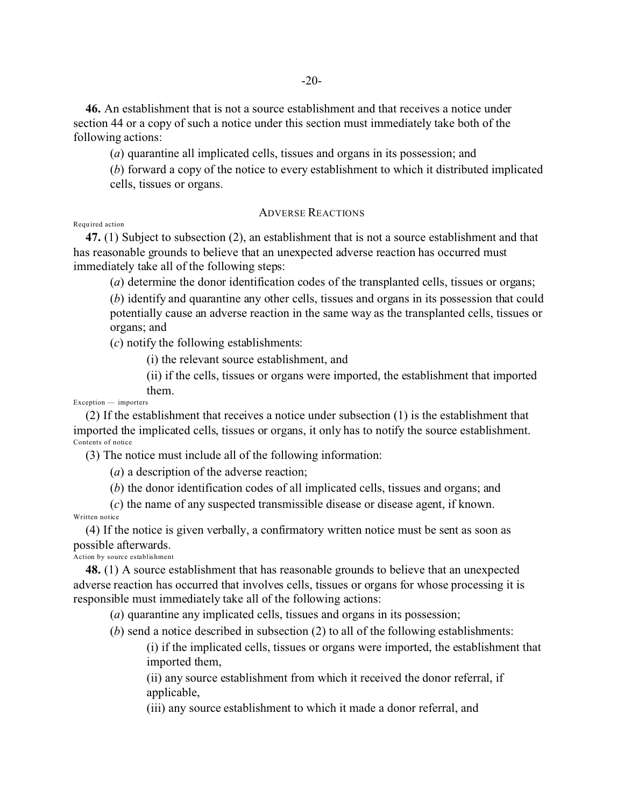**46.** An establishment that is not a source establishment and that receives a notice under section 44 or a copy of such a notice under this section must immediately take both of the following actions:

(*a*) quarantine all implicated cells, tissues and organs in its possession; and

(*b*) forward a copy of the notice to every establishment to which it distributed implicated cells, tissues or organs.

# ADVERSE REACTIONS

Requ ired action

**47.** (1) Subject to subsection (2), an establishment that is not a source establishment and that has reasonable grounds to believe that an unexpected adverse reaction has occurred must immediately take all of the following steps:

(*a*) determine the donor identification codes of the transplanted cells, tissues or organs;

(*b*) identify and quarantine any other cells, tissues and organs in its possession that could potentially cause an adverse reaction in the same way as the transplanted cells, tissues or organs; and

(*c*) notify the following establishments:

(i) the relevant source establishment, and

(ii) if the cells, tissues or organs were imported, the establishment that imported them.

Exception — importers

(2) If the establishment that receives a notice under subsection (1) is the establishment that imported the implicated cells, tissues or organs, it only has to notify the source establishment. Contents of notice

(3) The notice must include all of the following information:

(*a*) a description of the adverse reaction;

(*b*) the donor identification codes of all implicated cells, tissues and organs; and

(*c*) the name of any suspected transmissible disease or disease agent, if known. Written notice

(4) If the notice is given verbally, a confirmatory written notice must be sent as soon as possible afterwards.

Action by source establishment

**48.** (1) A source establishment that has reasonable grounds to believe that an unexpected adverse reaction has occurred that involves cells, tissues or organs for whose processing it is responsible must immediately take all of the following actions:

(*a*) quarantine any implicated cells, tissues and organs in its possession;

(*b*) send a notice described in subsection (2) to all of the following establishments:

(i) if the implicated cells, tissues or organs were imported, the establishment that imported them,

(ii) any source establishment from which it received the donor referral, if applicable,

(iii) any source establishment to which it made a donor referral, and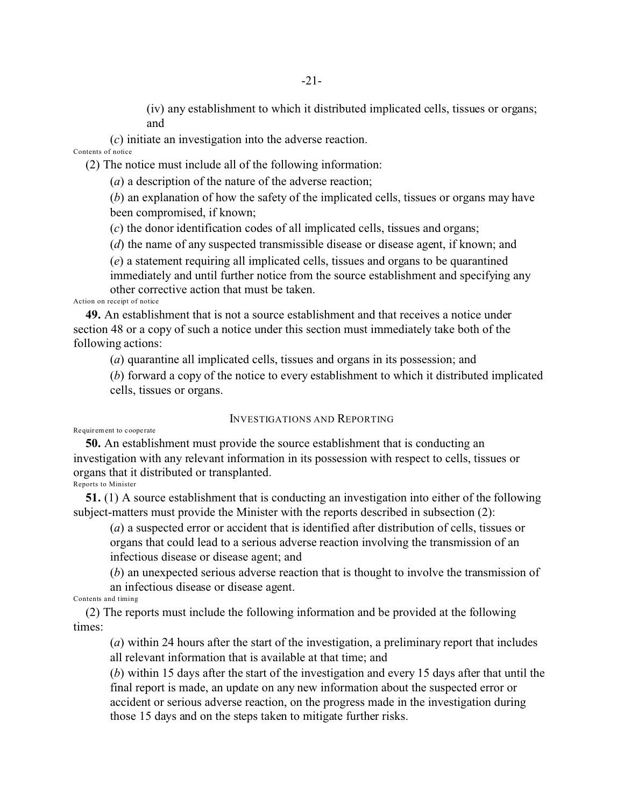(iv) any establishment to which it distributed implicated cells, tissues or organs; and

(*c*) initiate an investigation into the adverse reaction. Contents of notice

(2) The notice must include all of the following information:

(*a*) a description of the nature of the adverse reaction;

(*b*) an explanation of how the safety of the implicated cells, tissues or organs may have been compromised, if known;

(*c*) the donor identification codes of all implicated cells, tissues and organs;

(*d*) the name of any suspected transmissible disease or disease agent, if known; and

(*e*) a statement requiring all implicated cells, tissues and organs to be quarantined immediately and until further notice from the source establishment and specifying any other corrective action that must be taken.

Action on receipt of notice

**49.** An establishment that is not a source establishment and that receives a notice under section 48 or a copy of such a notice under this section must immediately take both of the following actions:

(*a*) quarantine all implicated cells, tissues and organs in its possession; and

(*b*) forward a copy of the notice to every establishment to which it distributed implicated cells, tissues or organs.

## INVESTIGATIONS AND REPORTING

#### Requirement to cooperate

**50.** An establishment must provide the source establishment that is conducting an investigation with any relevant information in its possession with respect to cells, tissues or organs that it distributed or transplanted. Reports to Minister

**51.** (1) A source establishment that is conducting an investigation into either of the following subject-matters must provide the Minister with the reports described in subsection (2):

(*a*) a suspected error or accident that is identified after distribution of cells, tissues or organs that could lead to a serious adverse reaction involving the transmission of an infectious disease or disease agent; and

(*b*) an unexpected serious adverse reaction that is thought to involve the transmission of an infectious disease or disease agent.

Contents and timing

(2) The reports must include the following information and be provided at the following times:

(*a*) within 24 hours after the start of the investigation, a preliminary report that includes all relevant information that is available at that time; and

(*b*) within 15 days after the start of the investigation and every 15 days after that until the final report is made, an update on any new information about the suspected error or accident or serious adverse reaction, on the progress made in the investigation during those 15 days and on the steps taken to mitigate further risks.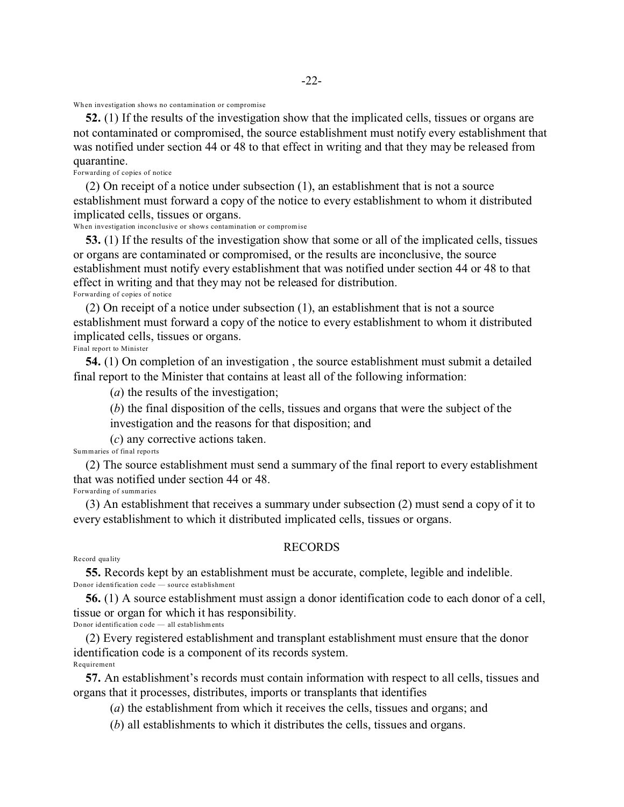When investigation shows no contamination or compromise

**52.** (1) If the results of the investigation show that the implicated cells, tissues or organs are not contaminated or compromised, the source establishment must notify every establishment that was notified under section 44 or 48 to that effect in writing and that they may be released from quarantine.

Forwarding of copies of notice

(2) On receipt of a notice under subsection (1), an establishment that is not a source establishment must forward a copy of the notice to every establishment to whom it distributed implicated cells, tissues or organs.

When investigation inconclusive or shows contamination or compromise

**53.** (1) If the results of the investigation show that some or all of the implicated cells, tissues or organs are contaminated or compromised, or the results are inconclusive, the source establishment must notify every establishment that was notified under section 44 or 48 to that effect in writing and that they may not be released for distribution. Forwarding of copies of notice

(2) On receipt of a notice under subsection (1), an establishment that is not a source establishment must forward a copy of the notice to every establishment to whom it distributed implicated cells, tissues or organs.

Final report to Minister

**54.** (1) On completion of an investigation , the source establishment must submit a detailed final report to the Minister that contains at least all of the following information:

(*a*) the results of the investigation;

(*b*) the final disposition of the cells, tissues and organs that were the subject of the investigation and the reasons for that disposition; and

(*c*) any corrective actions taken.

Summaries of final reports

(2) The source establishment must send a summary of the final report to every establishment that was notified under section 44 or 48. Forwarding of summaries

(3) An establishment that receives a summary under subsection (2) must send a copy of it to every establishment to which it distributed implicated cells, tissues or organs.

## RECORDS

#### Re cord qua lity

**55.** Records kept by an establishment must be accurate, complete, legible and indelible. Donor identification code — source establishment

**56.** (1) A source establishment must assign a donor identification code to each donor of a cell, tissue or organ for which it has responsibility.

Donor id entific ation code — all establishm ents

(2) Every registered establishment and transplant establishment must ensure that the donor identification code is a component of its records system. Requirement

**57.** An establishment's records must contain information with respect to all cells, tissues and organs that it processes, distributes, imports or transplants that identifies

(*a*) the establishment from which it receives the cells, tissues and organs; and

(*b*) all establishments to which it distributes the cells, tissues and organs.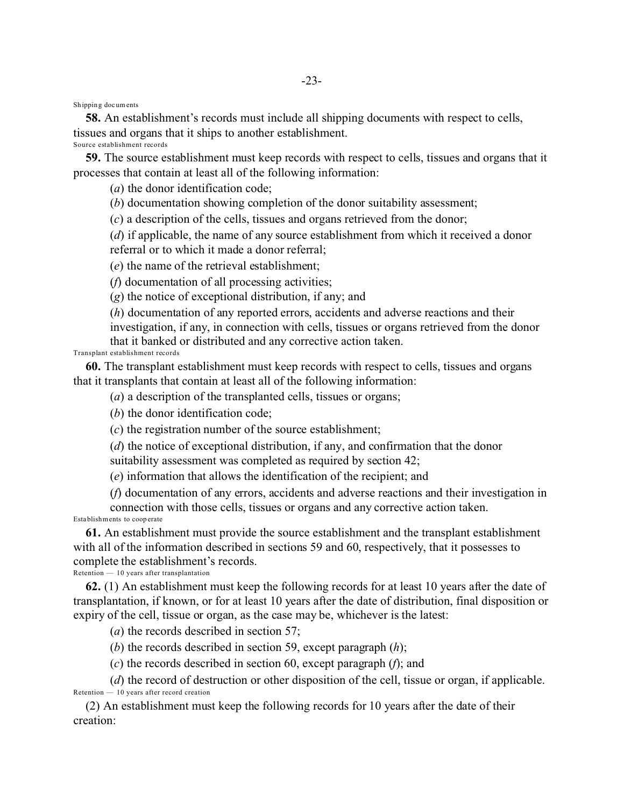Shippin g documents

**58.** An establishment's records must include all shipping documents with respect to cells, tissues and organs that it ships to another establishment. Source establishment records

**59.** The source establishment must keep records with respect to cells, tissues and organs that it processes that contain at least all of the following information:

(*a*) the donor identification code;

(*b*) documentation showing completion of the donor suitability assessment;

(*c*) a description of the cells, tissues and organs retrieved from the donor;

(*d*) if applicable, the name of any source establishment from which it received a donor

referral or to which it made a donor referral;

(*e*) the name of the retrieval establishment;

(*f*) documentation of all processing activities;

(*g*) the notice of exceptional distribution, if any; and

(*h*) documentation of any reported errors, accidents and adverse reactions and their investigation, if any, in connection with cells, tissues or organs retrieved from the donor that it banked or distributed and any corrective action taken.

Transplant establishment records

**60.** The transplant establishment must keep records with respect to cells, tissues and organs that it transplants that contain at least all of the following information:

(*a*) a description of the transplanted cells, tissues or organs;

(*b*) the donor identification code;

(*c*) the registration number of the source establishment;

(*d*) the notice of exceptional distribution, if any, and confirmation that the donor suitability assessment was completed as required by section 42;

(*e*) information that allows the identification of the recipient; and

(*f*) documentation of any errors, accidents and adverse reactions and their investigation in

connection with those cells, tissues or organs and any corrective action taken. Establishments to coop erate

**61.** An establishment must provide the source establishment and the transplant establishment with all of the information described in sections 59 and 60, respectively, that it possesses to complete the establishment's records.

Retention — 10 years after transplantation

**62.** (1) An establishment must keep the following records for at least 10 years after the date of transplantation, if known, or for at least 10 years after the date of distribution, final disposition or expiry of the cell, tissue or organ, as the case may be, whichever is the latest:

(*a*) the records described in section 57;

(*b*) the records described in section 59, except paragraph (*h*);

(*c*) the records described in section 60, except paragraph (*f*); and

(*d*) the record of destruction or other disposition of the cell, tissue or organ, if applicable. Retention — 10 years after record creation

(2) An establishment must keep the following records for 10 years after the date of their creation: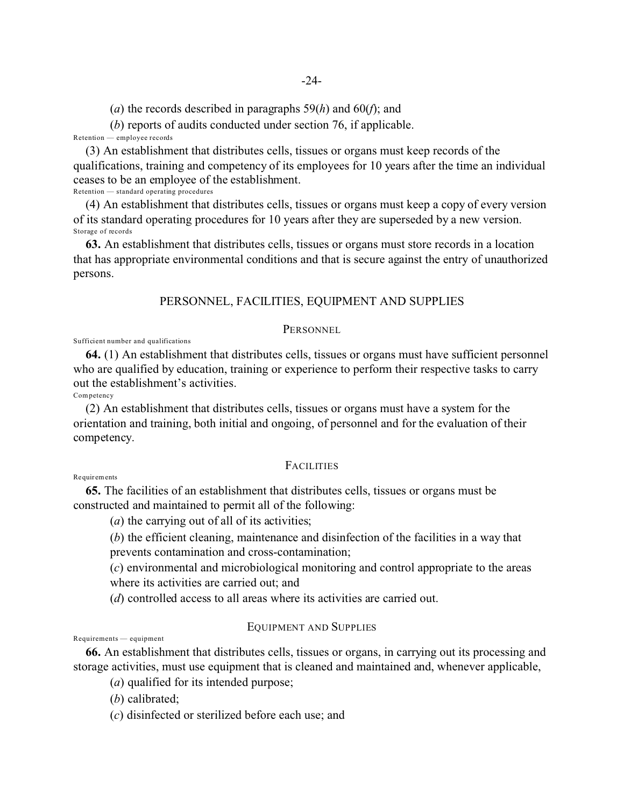(*a*) the records described in paragraphs 59(*h*) and 60(*f*); and

(*b*) reports of audits conducted under section 76, if applicable.

Retention — employee records

(3) An establishment that distributes cells, tissues or organs must keep records of the qualifications, training and competency of its employees for 10 years after the time an individual ceases to be an employee of the establishment. Retention — standard operating procedures

(4) An establishment that distributes cells, tissues or organs must keep a copy of every version of its standard operating procedures for 10 years after they are superseded by a new version. Storage of records

**63.** An establishment that distributes cells, tissues or organs must store records in a location that has appropriate environmental conditions and that is secure against the entry of unauthorized persons.

# PERSONNEL, FACILITIES, EQUIPMENT AND SUPPLIES

## PERSONNEL

Sufficient number and qualifications

**64.** (1) An establishment that distributes cells, tissues or organs must have sufficient personnel who are qualified by education, training or experience to perform their respective tasks to carry out the establishment's activities.

**Competency** 

(2) An establishment that distributes cells, tissues or organs must have a system for the orientation and training, both initial and ongoing, of personnel and for the evaluation of their competency.

# **FACILITIES**

**Requirements** 

**65.** The facilities of an establishment that distributes cells, tissues or organs must be constructed and maintained to permit all of the following:

(*a*) the carrying out of all of its activities;

(*b*) the efficient cleaning, maintenance and disinfection of the facilities in a way that

prevents contamination and cross-contamination;

(*c*) environmental and microbiological monitoring and control appropriate to the areas where its activities are carried out; and

(*d*) controlled access to all areas where its activities are carried out.

# EQUIPMENT AND SUPPLIES

Requirements — equipment

**66.** An establishment that distributes cells, tissues or organs, in carrying out its processing and storage activities, must use equipment that is cleaned and maintained and, whenever applicable,

(*a*) qualified for its intended purpose;

(*b*) calibrated;

(*c*) disinfected or sterilized before each use; and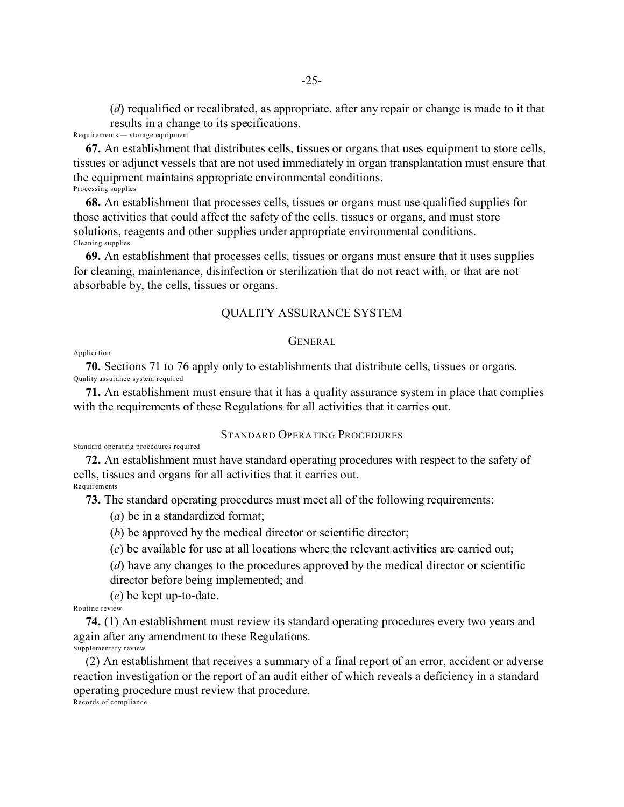(*d*) requalified or recalibrated, as appropriate, after any repair or change is made to it that results in a change to its specifications.

Requirements — storage equipment

**67.** An establishment that distributes cells, tissues or organs that uses equipment to store cells, tissues or adjunct vessels that are not used immediately in organ transplantation must ensure that the equipment maintains appropriate environmental conditions. Processing supplies

**68.** An establishment that processes cells, tissues or organs must use qualified supplies for those activities that could affect the safety of the cells, tissues or organs, and must store solutions, reagents and other supplies under appropriate environmental conditions. Cleaning supplies

**69.** An establishment that processes cells, tissues or organs must ensure that it uses supplies for cleaning, maintenance, disinfection or sterilization that do not react with, or that are not absorbable by, the cells, tissues or organs.

## QUALITY ASSURANCE SYSTEM

## GENERAL

Application

**70.** Sections 71 to 76 apply only to establishments that distribute cells, tissues or organs. Quality assurance system required

**71.** An establishment must ensure that it has a quality assurance system in place that complies with the requirements of these Regulations for all activities that it carries out.

# STANDARD OPERATING PROCEDURES

Standard operating procedures required

**72.** An establishment must have standard operating procedures with respect to the safety of cells, tissues and organs for all activities that it carries out.

Requir ements

**73.** The standard operating procedures must meet all of the following requirements:

(*a*) be in a standardized format;

(*b*) be approved by the medical director or scientific director;

(*c*) be available for use at all locations where the relevant activities are carried out;

(*d*) have any changes to the procedures approved by the medical director or scientific director before being implemented; and

(*e*) be kept up-to-date.

Routine review

**74.** (1) An establishment must review its standard operating procedures every two years and again after any amendment to these Regulations. Supplementary review

(2) An establishment that receives a summary of a final report of an error, accident or adverse reaction investigation or the report of an audit either of which reveals a deficiency in a standard operating procedure must review that procedure.

Records of compliance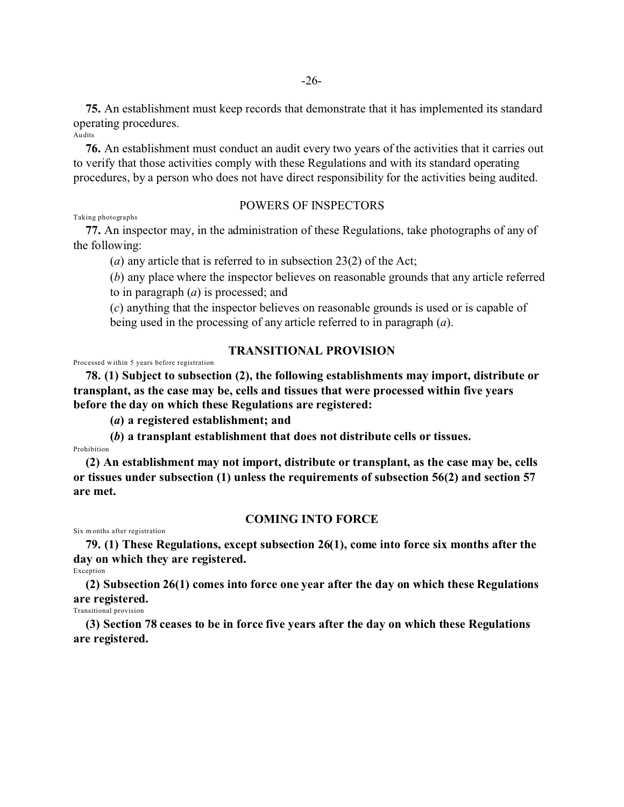**75.** An establishment must keep records that demonstrate that it has implemented its standard operating procedures. Audits

**76.** An establishment must conduct an audit every two years of the activities that it carries out to verify that those activities comply with these Regulations and with its standard operating procedures, by a person who does not have direct responsibility for the activities being audited.

POWERS OF INSPECTORS

#### Taking photographs

**77.** An inspector may, in the administration of these Regulations, take photographs of any of the following:

(*a*) any article that is referred to in subsection 23(2) of the Act;

(*b*) any place where the inspector believes on reasonable grounds that any article referred to in paragraph (*a*) is processed; and

(*c*) anything that the inspector believes on reasonable grounds is used or is capable of being used in the processing of any article referred to in paragraph (*a*).

## **TRANSITIONAL PROVISION**

Processed w ithin 5 years before registration

**78. (1) Subject to subsection (2), the following establishments may import, distribute or transplant, as the case may be, cells and tissues that were processed within five years before the day on which these Regulations are registered:**

**(***a***) a registered establishment; and**

**(***b***) a transplant establishment that does not distribute cells or tissues.**

Prohibition

**(2) An establishment may not import, distribute or transplant, as the case may be, cells or tissues under subsection (1) unless the requirements of subsection 56(2) and section 57 are met.**

## **COMING INTO FORCE**

Six months after registration

**79. (1) These Regulations, except subsection 26(1), come into force six months after the day on which they are registered.**

Exception

**(2) Subsection 26(1) comes into force one year after the day on which these Regulations are registered.**

Transitional provision

**(3) Section 78 ceases to be in force five years after the day on which these Regulations are registered.**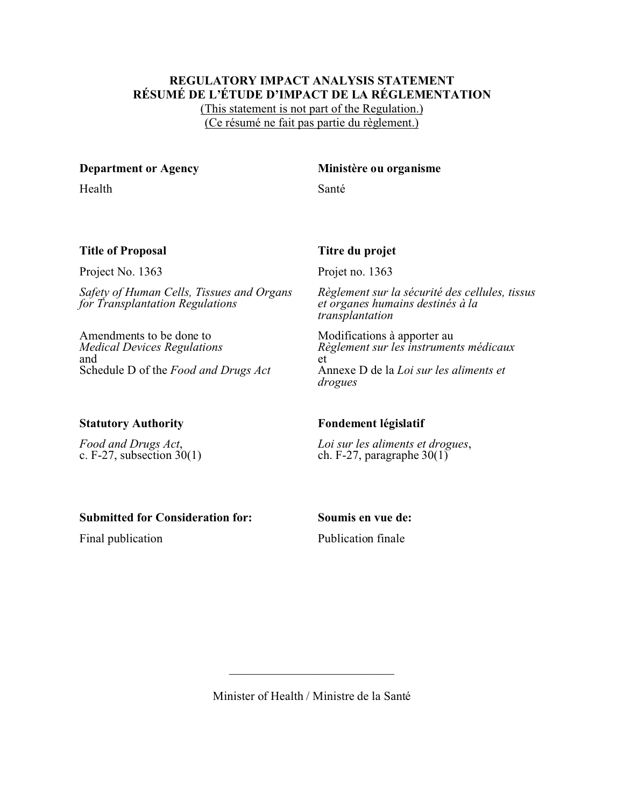## **REGULATORY IMPACT ANALYSIS STATEMENT RÉSUMÉ DE L'ÉTUDE D'IMPACT DE LA RÉGLEMENTATION**

(This statement is not part of the Regulation.) (Ce résumé ne fait pas partie du règlement.)

Health Santé

# **Department or Agency Ministère ou organisme**

# **Title of Proposal Titre du projet**

Project No. 1363 Projet no. 1363

*Safety of Human Cells, Tissues and Organs for Transplantation Regulations*

Amendments to be done to *Medical Devices Regulations* and Schedule D of the *Food and Drugs Act*

*Règlement sur la sécurité des cellules, tissus et organes humains destinés à la transplantation*

Modifications à apporter au *Règlement sur les instruments médicaux* et Annexe D de la *Loi sur les aliments et drogues*

*Food and Drugs Act*, c. F-27, subsection  $30(1)$ 

# **Statutory Authority Fondement législatif**

*Loi sur les aliments et drogues*, ch. F-27, paragraphe  $30(1)$ 

# **Submitted for Consideration for: Soumis en vue de:**

Final publication **Publication** Publication finale

Minister of Health / Ministre de la Santé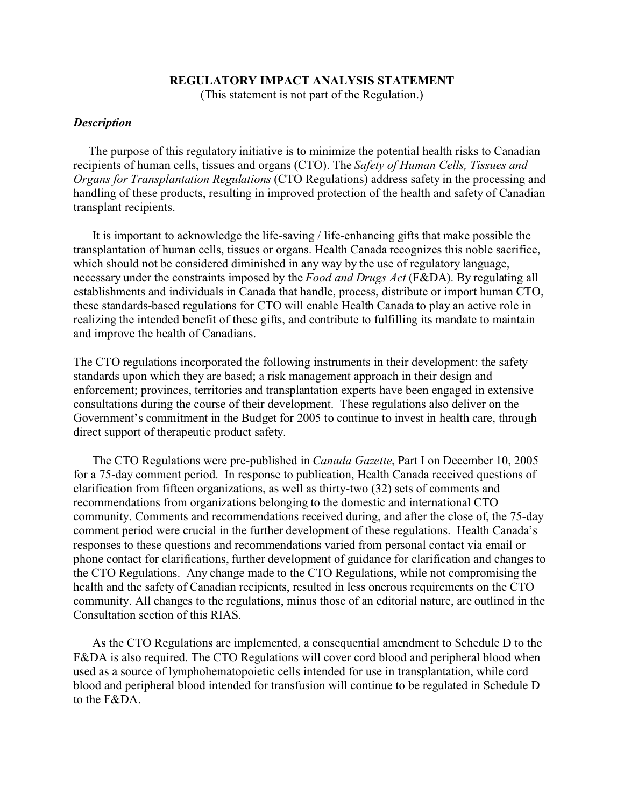# **REGULATORY IMPACT ANALYSIS STATEMENT**

(This statement is not part of the Regulation.)

# *Description*

 The purpose of this regulatory initiative is to minimize the potential health risks to Canadian recipients of human cells, tissues and organs (CTO). The *Safety of Human Cells, Tissues and Organs for Transplantation Regulations* (CTO Regulations) address safety in the processing and handling of these products, resulting in improved protection of the health and safety of Canadian transplant recipients.

It is important to acknowledge the life-saving / life-enhancing gifts that make possible the transplantation of human cells, tissues or organs. Health Canada recognizes this noble sacrifice, which should not be considered diminished in any way by the use of regulatory language, necessary under the constraints imposed by the *Food and Drugs Act* (F&DA). By regulating all establishments and individuals in Canada that handle, process, distribute or import human CTO, these standards-based regulations for CTO will enable Health Canada to play an active role in realizing the intended benefit of these gifts, and contribute to fulfilling its mandate to maintain and improve the health of Canadians.

The CTO regulations incorporated the following instruments in their development: the safety standards upon which they are based; a risk management approach in their design and enforcement; provinces, territories and transplantation experts have been engaged in extensive consultations during the course of their development. These regulations also deliver on the Government's commitment in the Budget for 2005 to continue to invest in health care, through direct support of therapeutic product safety.

The CTO Regulations were pre-published in *Canada Gazette*, Part I on December 10, 2005 for a 75-day comment period. In response to publication, Health Canada received questions of clarification from fifteen organizations, as well as thirty-two (32) sets of comments and recommendations from organizations belonging to the domestic and international CTO community. Comments and recommendations received during, and after the close of, the 75-day comment period were crucial in the further development of these regulations. Health Canada's responses to these questions and recommendations varied from personal contact via email or phone contact for clarifications, further development of guidance for clarification and changes to the CTO Regulations. Any change made to the CTO Regulations, while not compromising the health and the safety of Canadian recipients, resulted in less onerous requirements on the CTO community. All changes to the regulations, minus those of an editorial nature, are outlined in the Consultation section of this RIAS.

As the CTO Regulations are implemented, a consequential amendment to Schedule D to the F&DA is also required. The CTO Regulations will cover cord blood and peripheral blood when used as a source of lymphohematopoietic cells intended for use in transplantation, while cord blood and peripheral blood intended for transfusion will continue to be regulated in Schedule D to the F&DA.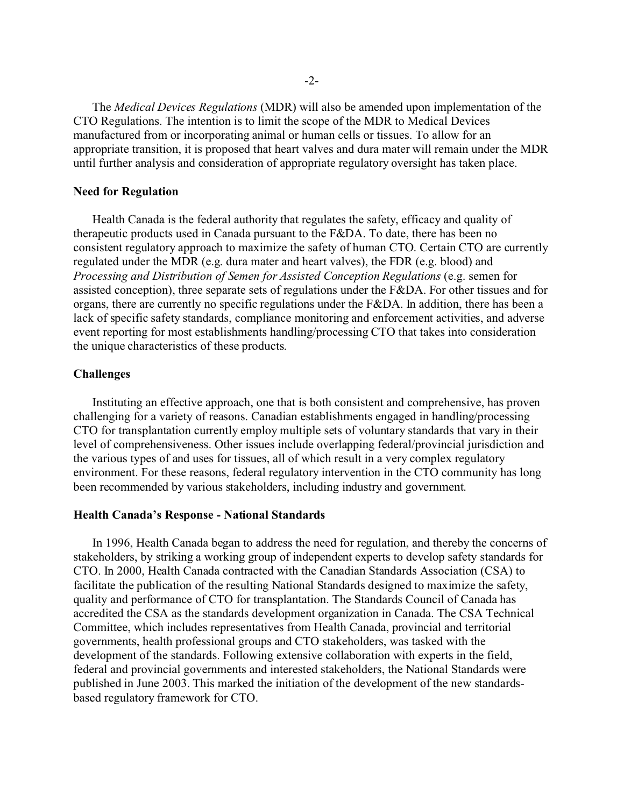The *Medical Devices Regulations* (MDR) will also be amended upon implementation of the CTO Regulations. The intention is to limit the scope of the MDR to Medical Devices manufactured from or incorporating animal or human cells or tissues. To allow for an appropriate transition, it is proposed that heart valves and dura mater will remain under the MDR until further analysis and consideration of appropriate regulatory oversight has taken place.

## **Need for Regulation**

Health Canada is the federal authority that regulates the safety, efficacy and quality of therapeutic products used in Canada pursuant to the F&DA. To date, there has been no consistent regulatory approach to maximize the safety of human CTO. Certain CTO are currently regulated under the MDR (e.g. dura mater and heart valves), the FDR (e.g. blood) and *Processing and Distribution of Semen for Assisted Conception Regulations* (e.g. semen for assisted conception), three separate sets of regulations under the F&DA. For other tissues and for organs, there are currently no specific regulations under the F&DA. In addition, there has been a lack of specific safety standards, compliance monitoring and enforcement activities, and adverse event reporting for most establishments handling/processing CTO that takes into consideration the unique characteristics of these products.

## **Challenges**

Instituting an effective approach, one that is both consistent and comprehensive, has proven challenging for a variety of reasons. Canadian establishments engaged in handling/processing CTO for transplantation currently employ multiple sets of voluntary standards that vary in their level of comprehensiveness. Other issues include overlapping federal/provincial jurisdiction and the various types of and uses for tissues, all of which result in a very complex regulatory environment. For these reasons, federal regulatory intervention in the CTO community has long been recommended by various stakeholders, including industry and government.

## **Health Canada's Response - National Standards**

In 1996, Health Canada began to address the need for regulation, and thereby the concerns of stakeholders, by striking a working group of independent experts to develop safety standards for CTO. In 2000, Health Canada contracted with the Canadian Standards Association (CSA) to facilitate the publication of the resulting National Standards designed to maximize the safety, quality and performance of CTO for transplantation. The Standards Council of Canada has accredited the CSA as the standards development organization in Canada. The CSA Technical Committee, which includes representatives from Health Canada, provincial and territorial governments, health professional groups and CTO stakeholders, was tasked with the development of the standards. Following extensive collaboration with experts in the field, federal and provincial governments and interested stakeholders, the National Standards were published in June 2003. This marked the initiation of the development of the new standardsbased regulatory framework for CTO.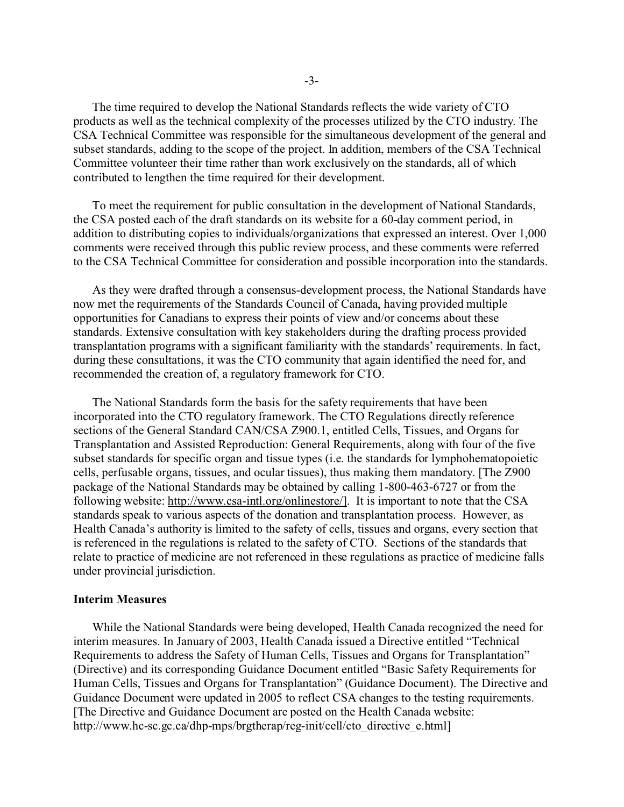The time required to develop the National Standards reflects the wide variety of CTO products as well as the technical complexity of the processes utilized by the CTO industry. The CSA Technical Committee was responsible for the simultaneous development of the general and subset standards, adding to the scope of the project. In addition, members of the CSA Technical Committee volunteer their time rather than work exclusively on the standards, all of which contributed to lengthen the time required for their development.

To meet the requirement for public consultation in the development of National Standards, the CSA posted each of the draft standards on its website for a 60-day comment period, in addition to distributing copies to individuals/organizations that expressed an interest. Over 1,000 comments were received through this public review process, and these comments were referred to the CSA Technical Committee for consideration and possible incorporation into the standards.

As they were drafted through a consensus-development process, the National Standards have now met the requirements of the Standards Council of Canada, having provided multiple opportunities for Canadians to express their points of view and/or concerns about these standards. Extensive consultation with key stakeholders during the drafting process provided transplantation programs with a significant familiarity with the standards' requirements. In fact, during these consultations, it was the CTO community that again identified the need for, and recommended the creation of, a regulatory framework for CTO.

The National Standards form the basis for the safety requirements that have been incorporated into the CTO regulatory framework. The CTO Regulations directly reference sections of the General Standard CAN/CSA Z900.1, entitled Cells, Tissues, and Organs for Transplantation and Assisted Reproduction: General Requirements, along with four of the five subset standards for specific organ and tissue types (i.e. the standards for lymphohematopoietic cells, perfusable organs, tissues, and ocular tissues), thus making them mandatory. [The Z900 package of the National Standards may be obtained by calling 1-800-463-6727 or from the following website: [http://www.csa-intl.org/onlinestore/\].](http://www.csa-intl.org/onlinestore/].) It is important to note that the CSA standards speak to various aspects of the donation and transplantation process. However, as Health Canada's authority is limited to the safety of cells, tissues and organs, every section that is referenced in the regulations is related to the safety of CTO. Sections of the standards that relate to practice of medicine are not referenced in these regulations as practice of medicine falls under provincial jurisdiction.

## **Interim Measures**

While the National Standards were being developed, Health Canada recognized the need for interim measures. In January of 2003, Health Canada issued a Directive entitled "Technical Requirements to address the Safety of Human Cells, Tissues and Organs for Transplantation" (Directive) and its corresponding Guidance Document entitled "Basic Safety Requirements for Human Cells, Tissues and Organs for Transplantation" (Guidance Document). The Directive and Guidance Document were updated in 2005 to reflect CSA changes to the testing requirements. [The Directive and Guidance Document are posted on the Health Canada website: http://www.hc-sc.gc.ca/dhp-mps/brgtherap/reg-init/cell/cto\_directive\_e.html]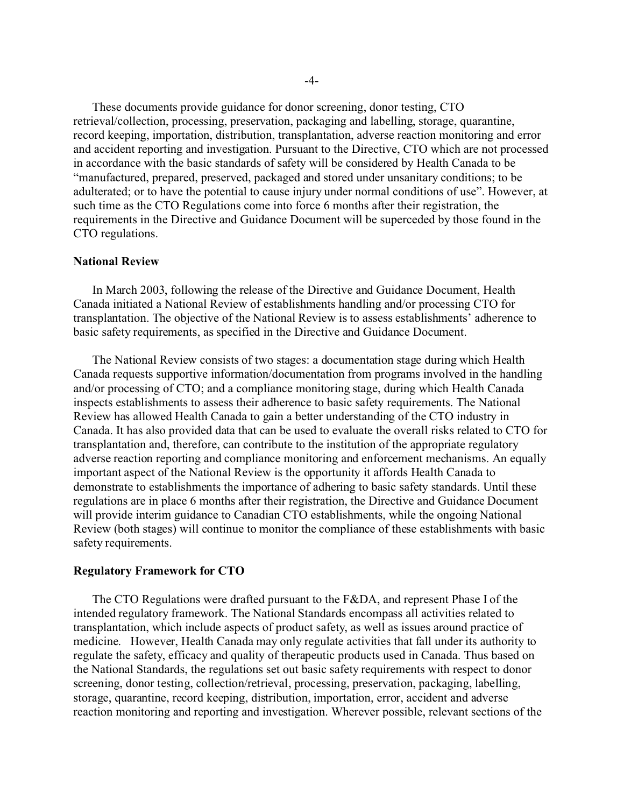These documents provide guidance for donor screening, donor testing, CTO retrieval/collection, processing, preservation, packaging and labelling, storage, quarantine, record keeping, importation, distribution, transplantation, adverse reaction monitoring and error and accident reporting and investigation. Pursuant to the Directive, CTO which are not processed in accordance with the basic standards of safety will be considered by Health Canada to be "manufactured, prepared, preserved, packaged and stored under unsanitary conditions; to be adulterated; or to have the potential to cause injury under normal conditions of use". However, at such time as the CTO Regulations come into force 6 months after their registration, the requirements in the Directive and Guidance Document will be superceded by those found in the CTO regulations.

## **National Review**

In March 2003, following the release of the Directive and Guidance Document, Health Canada initiated a National Review of establishments handling and/or processing CTO for transplantation. The objective of the National Review is to assess establishments' adherence to basic safety requirements, as specified in the Directive and Guidance Document.

The National Review consists of two stages: a documentation stage during which Health Canada requests supportive information/documentation from programs involved in the handling and/or processing of CTO; and a compliance monitoring stage, during which Health Canada inspects establishments to assess their adherence to basic safety requirements. The National Review has allowed Health Canada to gain a better understanding of the CTO industry in Canada. It has also provided data that can be used to evaluate the overall risks related to CTO for transplantation and, therefore, can contribute to the institution of the appropriate regulatory adverse reaction reporting and compliance monitoring and enforcement mechanisms. An equally important aspect of the National Review is the opportunity it affords Health Canada to demonstrate to establishments the importance of adhering to basic safety standards. Until these regulations are in place 6 months after their registration, the Directive and Guidance Document will provide interim guidance to Canadian CTO establishments, while the ongoing National Review (both stages) will continue to monitor the compliance of these establishments with basic safety requirements.

## **Regulatory Framework for CTO**

The CTO Regulations were drafted pursuant to the F&DA, and represent Phase I of the intended regulatory framework. The National Standards encompass all activities related to transplantation, which include aspects of product safety, as well as issues around practice of medicine. However, Health Canada may only regulate activities that fall under its authority to regulate the safety, efficacy and quality of therapeutic products used in Canada. Thus based on the National Standards, the regulations set out basic safety requirements with respect to donor screening, donor testing, collection/retrieval, processing, preservation, packaging, labelling, storage, quarantine, record keeping, distribution, importation, error, accident and adverse reaction monitoring and reporting and investigation. Wherever possible, relevant sections of the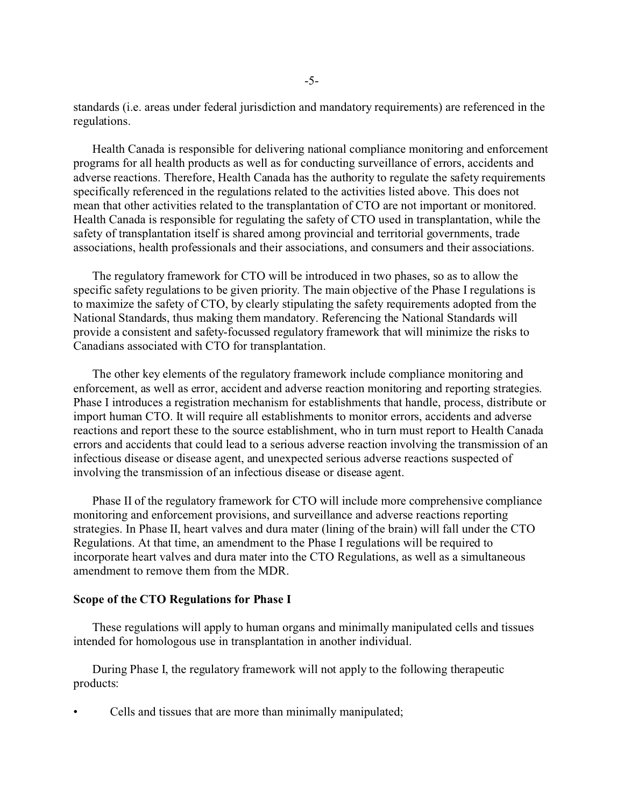standards (i.e. areas under federal jurisdiction and mandatory requirements) are referenced in the regulations.

Health Canada is responsible for delivering national compliance monitoring and enforcement programs for all health products as well as for conducting surveillance of errors, accidents and adverse reactions. Therefore, Health Canada has the authority to regulate the safety requirements specifically referenced in the regulations related to the activities listed above. This does not mean that other activities related to the transplantation of CTO are not important or monitored. Health Canada is responsible for regulating the safety of CTO used in transplantation, while the safety of transplantation itself is shared among provincial and territorial governments, trade associations, health professionals and their associations, and consumers and their associations.

The regulatory framework for CTO will be introduced in two phases, so as to allow the specific safety regulations to be given priority. The main objective of the Phase I regulations is to maximize the safety of CTO, by clearly stipulating the safety requirements adopted from the National Standards, thus making them mandatory. Referencing the National Standards will provide a consistent and safety-focussed regulatory framework that will minimize the risks to Canadians associated with CTO for transplantation.

The other key elements of the regulatory framework include compliance monitoring and enforcement, as well as error, accident and adverse reaction monitoring and reporting strategies. Phase I introduces a registration mechanism for establishments that handle, process, distribute or import human CTO. It will require all establishments to monitor errors, accidents and adverse reactions and report these to the source establishment, who in turn must report to Health Canada errors and accidents that could lead to a serious adverse reaction involving the transmission of an infectious disease or disease agent, and unexpected serious adverse reactions suspected of involving the transmission of an infectious disease or disease agent.

Phase II of the regulatory framework for CTO will include more comprehensive compliance monitoring and enforcement provisions, and surveillance and adverse reactions reporting strategies. In Phase II, heart valves and dura mater (lining of the brain) will fall under the CTO Regulations. At that time, an amendment to the Phase I regulations will be required to incorporate heart valves and dura mater into the CTO Regulations, as well as a simultaneous amendment to remove them from the MDR.

## **Scope of the CTO Regulations for Phase I**

These regulations will apply to human organs and minimally manipulated cells and tissues intended for homologous use in transplantation in another individual.

During Phase I, the regulatory framework will not apply to the following therapeutic products:

• Cells and tissues that are more than minimally manipulated;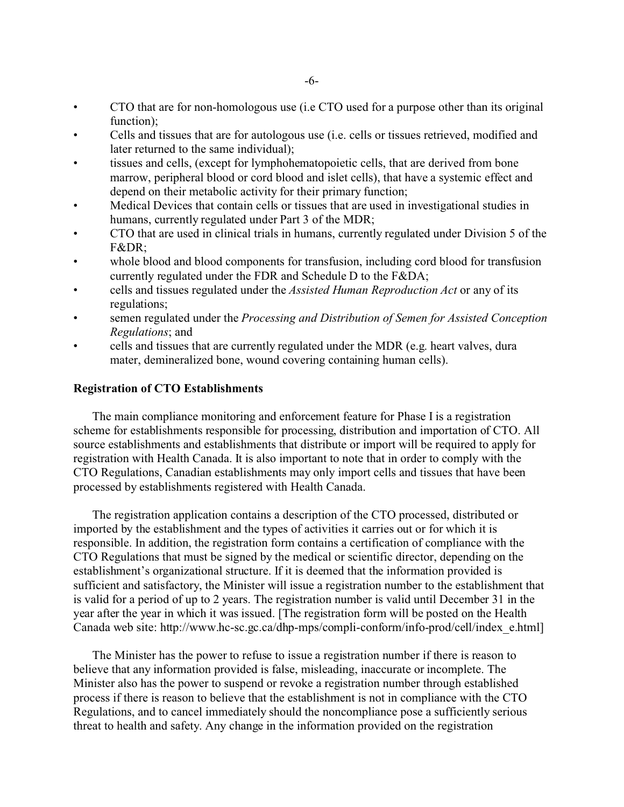- CTO that are for non-homologous use (i.e CTO used for a purpose other than its original function);
- Cells and tissues that are for autologous use (i.e. cells or tissues retrieved, modified and later returned to the same individual);
- tissues and cells, (except for lymphohematopoietic cells, that are derived from bone marrow, peripheral blood or cord blood and islet cells), that have a systemic effect and depend on their metabolic activity for their primary function;
- Medical Devices that contain cells or tissues that are used in investigational studies in humans, currently regulated under Part 3 of the MDR;
- CTO that are used in clinical trials in humans, currently regulated under Division 5 of the F&DR;
- whole blood and blood components for transfusion, including cord blood for transfusion currently regulated under the FDR and Schedule D to the F&DA;
- cells and tissues regulated under the *Assisted Human Reproduction Act* or any of its regulations;
- semen regulated under the *Processing and Distribution of Semen for Assisted Conception Regulations*; and
- cells and tissues that are currently regulated under the MDR (e.g. heart valves, dura mater, demineralized bone, wound covering containing human cells).

## **Registration of CTO Establishments**

The main compliance monitoring and enforcement feature for Phase I is a registration scheme for establishments responsible for processing, distribution and importation of CTO. All source establishments and establishments that distribute or import will be required to apply for registration with Health Canada. It is also important to note that in order to comply with the CTO Regulations, Canadian establishments may only import cells and tissues that have been processed by establishments registered with Health Canada.

The registration application contains a description of the CTO processed, distributed or imported by the establishment and the types of activities it carries out or for which it is responsible. In addition, the registration form contains a certification of compliance with the CTO Regulations that must be signed by the medical or scientific director, depending on the establishment's organizational structure. If it is deemed that the information provided is sufficient and satisfactory, the Minister will issue a registration number to the establishment that is valid for a period of up to 2 years. The registration number is valid until December 31 in the year after the year in which it was issued. [The registration form will be posted on the Health Canada web site: http://www.hc-sc.gc.ca/dhp-mps/compli-conform/info-prod/cell/index\_e.html]

The Minister has the power to refuse to issue a registration number if there is reason to believe that any information provided is false, misleading, inaccurate or incomplete. The Minister also has the power to suspend or revoke a registration number through established process if there is reason to believe that the establishment is not in compliance with the CTO Regulations, and to cancel immediately should the noncompliance pose a sufficiently serious threat to health and safety. Any change in the information provided on the registration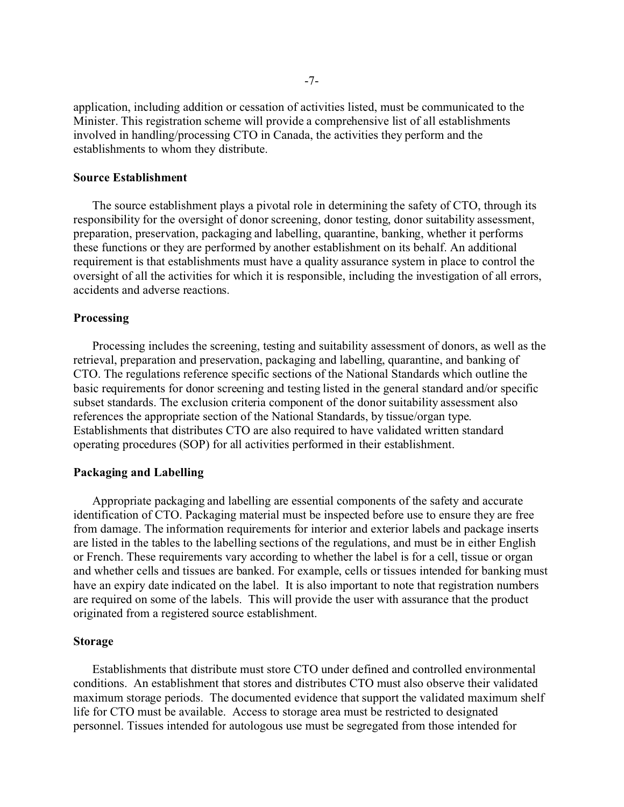application, including addition or cessation of activities listed, must be communicated to the Minister. This registration scheme will provide a comprehensive list of all establishments involved in handling/processing CTO in Canada, the activities they perform and the establishments to whom they distribute.

## **Source Establishment**

The source establishment plays a pivotal role in determining the safety of CTO, through its responsibility for the oversight of donor screening, donor testing, donor suitability assessment, preparation, preservation, packaging and labelling, quarantine, banking, whether it performs these functions or they are performed by another establishment on its behalf. An additional requirement is that establishments must have a quality assurance system in place to control the oversight of all the activities for which it is responsible, including the investigation of all errors, accidents and adverse reactions.

### **Processing**

Processing includes the screening, testing and suitability assessment of donors, as well as the retrieval, preparation and preservation, packaging and labelling, quarantine, and banking of CTO. The regulations reference specific sections of the National Standards which outline the basic requirements for donor screening and testing listed in the general standard and/or specific subset standards. The exclusion criteria component of the donor suitability assessment also references the appropriate section of the National Standards, by tissue/organ type. Establishments that distributes CTO are also required to have validated written standard operating procedures (SOP) for all activities performed in their establishment.

## **Packaging and Labelling**

Appropriate packaging and labelling are essential components of the safety and accurate identification of CTO. Packaging material must be inspected before use to ensure they are free from damage. The information requirements for interior and exterior labels and package inserts are listed in the tables to the labelling sections of the regulations, and must be in either English or French. These requirements vary according to whether the label is for a cell, tissue or organ and whether cells and tissues are banked. For example, cells or tissues intended for banking must have an expiry date indicated on the label. It is also important to note that registration numbers are required on some of the labels. This will provide the user with assurance that the product originated from a registered source establishment.

## **Storage**

Establishments that distribute must store CTO under defined and controlled environmental conditions. An establishment that stores and distributes CTO must also observe their validated maximum storage periods. The documented evidence that support the validated maximum shelf life for CTO must be available. Access to storage area must be restricted to designated personnel. Tissues intended for autologous use must be segregated from those intended for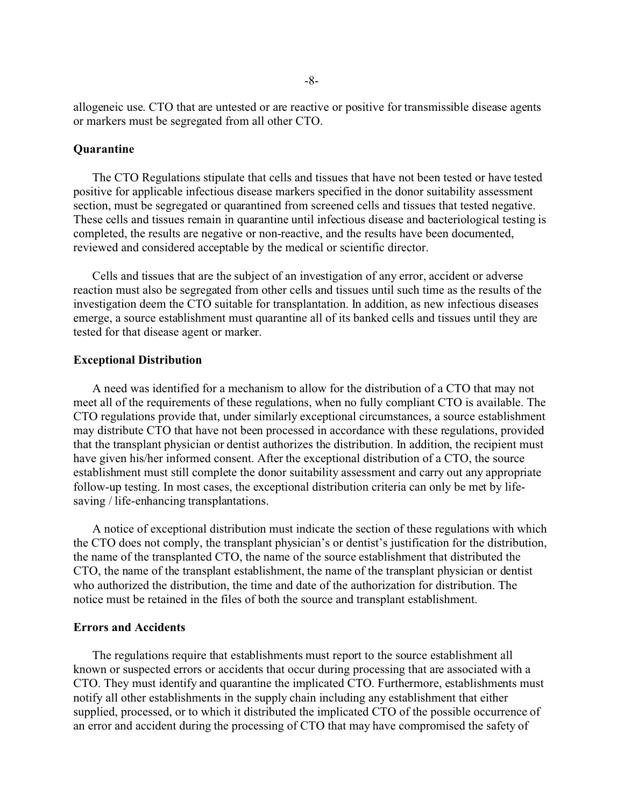allogeneic use. CTO that are untested or are reactive or positive for transmissible disease agents or markers must be segregated from all other CTO.

## **Quarantine**

The CTO Regulations stipulate that cells and tissues that have not been tested or have tested positive for applicable infectious disease markers specified in the donor suitability assessment section, must be segregated or quarantined from screened cells and tissues that tested negative. These cells and tissues remain in quarantine until infectious disease and bacteriological testing is completed, the results are negative or non-reactive, and the results have been documented, reviewed and considered acceptable by the medical or scientific director.

Cells and tissues that are the subject of an investigation of any error, accident or adverse reaction must also be segregated from other cells and tissues until such time as the results of the investigation deem the CTO suitable for transplantation. In addition, as new infectious diseases emerge, a source establishment must quarantine all of its banked cells and tissues until they are tested for that disease agent or marker.

## **Exceptional Distribution**

A need was identified for a mechanism to allow for the distribution of a CTO that may not meet all of the requirements of these regulations, when no fully compliant CTO is available. The CTO regulations provide that, under similarly exceptional circumstances, a source establishment may distribute CTO that have not been processed in accordance with these regulations, provided that the transplant physician or dentist authorizes the distribution. In addition, the recipient must have given his/her informed consent. After the exceptional distribution of a CTO, the source establishment must still complete the donor suitability assessment and carry out any appropriate follow-up testing. In most cases, the exceptional distribution criteria can only be met by lifesaving / life-enhancing transplantations.

A notice of exceptional distribution must indicate the section of these regulations with which the CTO does not comply, the transplant physician's or dentist's justification for the distribution, the name of the transplanted CTO, the name of the source establishment that distributed the CTO, the name of the transplant establishment, the name of the transplant physician or dentist who authorized the distribution, the time and date of the authorization for distribution. The notice must be retained in the files of both the source and transplant establishment.

## **Errors and Accidents**

The regulations require that establishments must report to the source establishment all known or suspected errors or accidents that occur during processing that are associated with a CTO. They must identify and quarantine the implicated CTO. Furthermore, establishments must notify all other establishments in the supply chain including any establishment that either supplied, processed, or to which it distributed the implicated CTO of the possible occurrence of an error and accident during the processing of CTO that may have compromised the safety of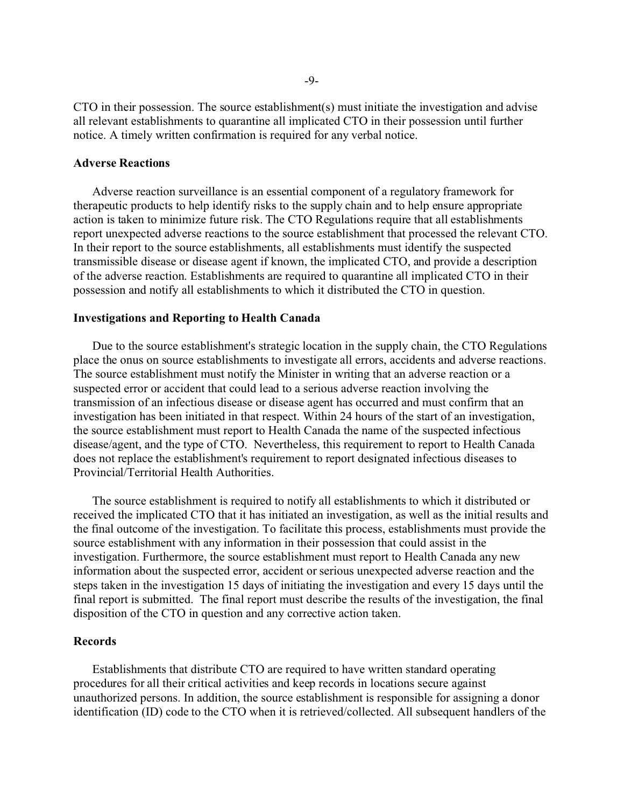CTO in their possession. The source establishment(s) must initiate the investigation and advise all relevant establishments to quarantine all implicated CTO in their possession until further notice. A timely written confirmation is required for any verbal notice.

# **Adverse Reactions**

Adverse reaction surveillance is an essential component of a regulatory framework for therapeutic products to help identify risks to the supply chain and to help ensure appropriate action is taken to minimize future risk. The CTO Regulations require that all establishments report unexpected adverse reactions to the source establishment that processed the relevant CTO. In their report to the source establishments, all establishments must identify the suspected transmissible disease or disease agent if known, the implicated CTO, and provide a description of the adverse reaction. Establishments are required to quarantine all implicated CTO in their possession and notify all establishments to which it distributed the CTO in question.

### **Investigations and Reporting to Health Canada**

Due to the source establishment's strategic location in the supply chain, the CTO Regulations place the onus on source establishments to investigate all errors, accidents and adverse reactions. The source establishment must notify the Minister in writing that an adverse reaction or a suspected error or accident that could lead to a serious adverse reaction involving the transmission of an infectious disease or disease agent has occurred and must confirm that an investigation has been initiated in that respect. Within 24 hours of the start of an investigation, the source establishment must report to Health Canada the name of the suspected infectious disease/agent, and the type of CTO. Nevertheless, this requirement to report to Health Canada does not replace the establishment's requirement to report designated infectious diseases to Provincial/Territorial Health Authorities.

The source establishment is required to notify all establishments to which it distributed or received the implicated CTO that it has initiated an investigation, as well as the initial results and the final outcome of the investigation. To facilitate this process, establishments must provide the source establishment with any information in their possession that could assist in the investigation. Furthermore, the source establishment must report to Health Canada any new information about the suspected error, accident or serious unexpected adverse reaction and the steps taken in the investigation 15 days of initiating the investigation and every 15 days until the final report is submitted. The final report must describe the results of the investigation, the final disposition of the CTO in question and any corrective action taken.

## **Records**

Establishments that distribute CTO are required to have written standard operating procedures for all their critical activities and keep records in locations secure against unauthorized persons. In addition, the source establishment is responsible for assigning a donor identification (ID) code to the CTO when it is retrieved/collected. All subsequent handlers of the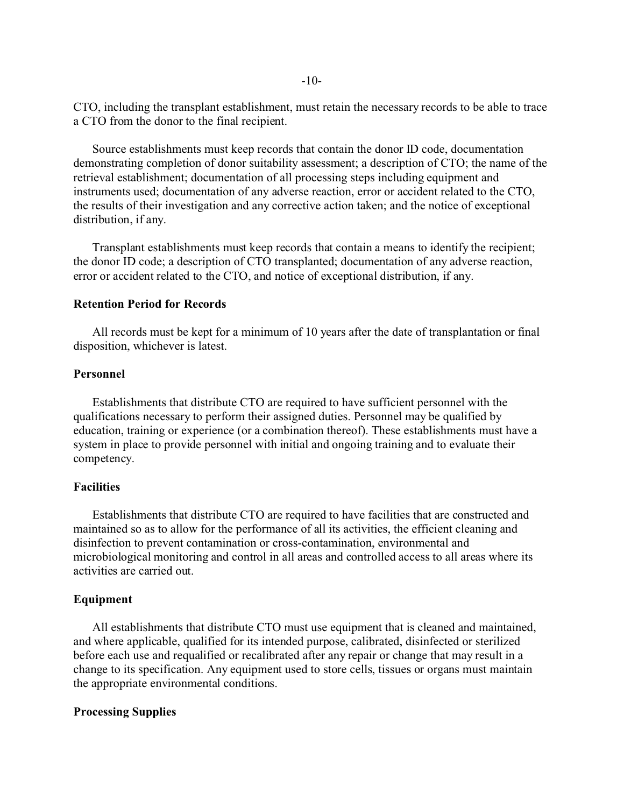CTO, including the transplant establishment, must retain the necessary records to be able to trace a CTO from the donor to the final recipient.

Source establishments must keep records that contain the donor ID code, documentation demonstrating completion of donor suitability assessment; a description of CTO; the name of the retrieval establishment; documentation of all processing steps including equipment and instruments used; documentation of any adverse reaction, error or accident related to the CTO, the results of their investigation and any corrective action taken; and the notice of exceptional distribution, if any.

Transplant establishments must keep records that contain a means to identify the recipient; the donor ID code; a description of CTO transplanted; documentation of any adverse reaction, error or accident related to the CTO, and notice of exceptional distribution, if any.

## **Retention Period for Records**

All records must be kept for a minimum of 10 years after the date of transplantation or final disposition, whichever is latest.

## **Personnel**

Establishments that distribute CTO are required to have sufficient personnel with the qualifications necessary to perform their assigned duties. Personnel may be qualified by education, training or experience (or a combination thereof). These establishments must have a system in place to provide personnel with initial and ongoing training and to evaluate their competency.

## **Facilities**

Establishments that distribute CTO are required to have facilities that are constructed and maintained so as to allow for the performance of all its activities, the efficient cleaning and disinfection to prevent contamination or cross-contamination, environmental and microbiological monitoring and control in all areas and controlled access to all areas where its activities are carried out.

## **Equipment**

All establishments that distribute CTO must use equipment that is cleaned and maintained, and where applicable, qualified for its intended purpose, calibrated, disinfected or sterilized before each use and requalified or recalibrated after any repair or change that may result in a change to its specification. Any equipment used to store cells, tissues or organs must maintain the appropriate environmental conditions.

## **Processing Supplies**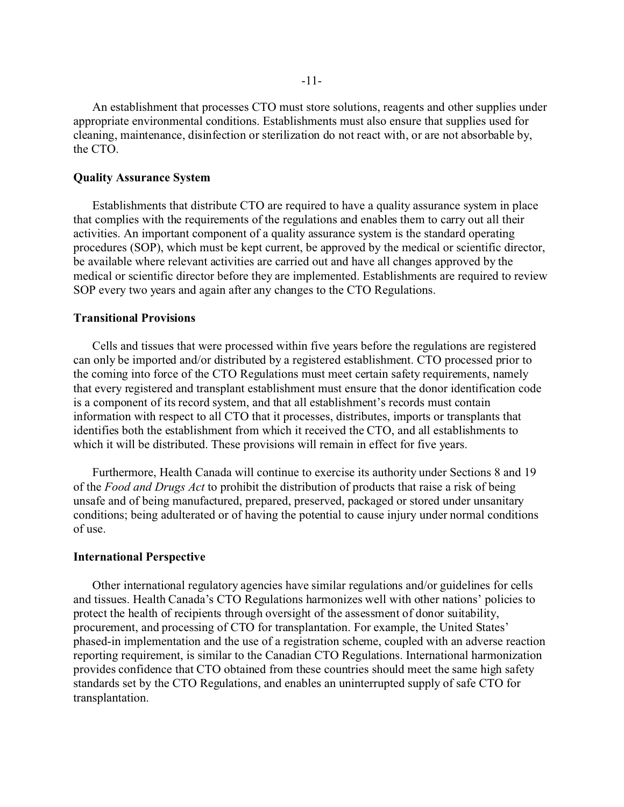An establishment that processes CTO must store solutions, reagents and other supplies under appropriate environmental conditions. Establishments must also ensure that supplies used for cleaning, maintenance, disinfection or sterilization do not react with, or are not absorbable by, the CTO.

### **Quality Assurance System**

Establishments that distribute CTO are required to have a quality assurance system in place that complies with the requirements of the regulations and enables them to carry out all their activities. An important component of a quality assurance system is the standard operating procedures (SOP), which must be kept current, be approved by the medical or scientific director, be available where relevant activities are carried out and have all changes approved by the medical or scientific director before they are implemented. Establishments are required to review SOP every two years and again after any changes to the CTO Regulations.

# **Transitional Provisions**

Cells and tissues that were processed within five years before the regulations are registered can only be imported and/or distributed by a registered establishment. CTO processed prior to the coming into force of the CTO Regulations must meet certain safety requirements, namely that every registered and transplant establishment must ensure that the donor identification code is a component of its record system, and that all establishment's records must contain information with respect to all CTO that it processes, distributes, imports or transplants that identifies both the establishment from which it received the CTO, and all establishments to which it will be distributed. These provisions will remain in effect for five years.

Furthermore, Health Canada will continue to exercise its authority under Sections 8 and 19 of the *Food and Drugs Act* to prohibit the distribution of products that raise a risk of being unsafe and of being manufactured, prepared, preserved, packaged or stored under unsanitary conditions; being adulterated or of having the potential to cause injury under normal conditions of use.

## **International Perspective**

Other international regulatory agencies have similar regulations and/or guidelines for cells and tissues. Health Canada's CTO Regulations harmonizes well with other nations' policies to protect the health of recipients through oversight of the assessment of donor suitability, procurement, and processing of CTO for transplantation. For example, the United States' phased-in implementation and the use of a registration scheme, coupled with an adverse reaction reporting requirement, is similar to the Canadian CTO Regulations. International harmonization provides confidence that CTO obtained from these countries should meet the same high safety standards set by the CTO Regulations, and enables an uninterrupted supply of safe CTO for transplantation.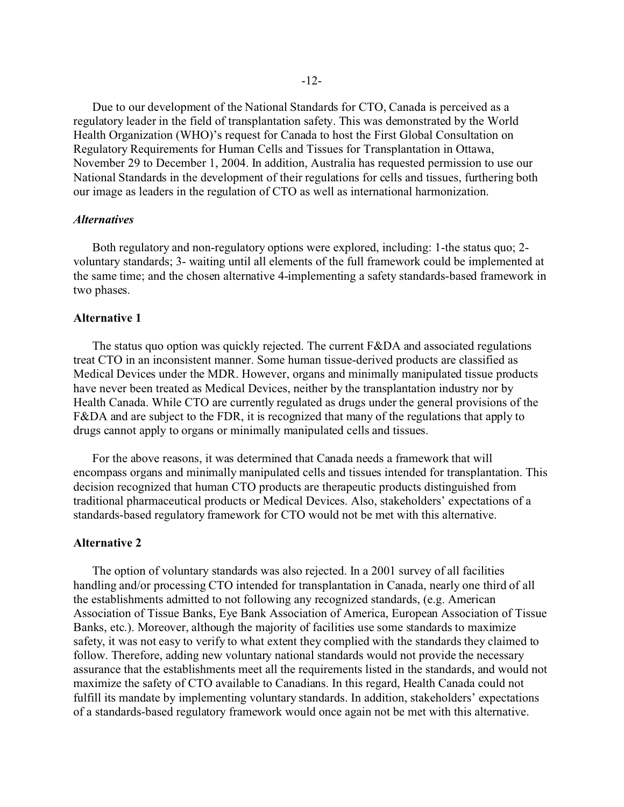Due to our development of the National Standards for CTO, Canada is perceived as a regulatory leader in the field of transplantation safety. This was demonstrated by the World Health Organization (WHO)'s request for Canada to host the First Global Consultation on Regulatory Requirements for Human Cells and Tissues for Transplantation in Ottawa, November 29 to December 1, 2004. In addition, Australia has requested permission to use our National Standards in the development of their regulations for cells and tissues, furthering both our image as leaders in the regulation of CTO as well as international harmonization.

## *Alternatives*

Both regulatory and non-regulatory options were explored, including: 1-the status quo; 2 voluntary standards; 3- waiting until all elements of the full framework could be implemented at the same time; and the chosen alternative 4-implementing a safety standards-based framework in two phases.

## **Alternative 1**

The status quo option was quickly rejected. The current F&DA and associated regulations treat CTO in an inconsistent manner. Some human tissue-derived products are classified as Medical Devices under the MDR. However, organs and minimally manipulated tissue products have never been treated as Medical Devices, neither by the transplantation industry nor by Health Canada. While CTO are currently regulated as drugs under the general provisions of the F&DA and are subject to the FDR, it is recognized that many of the regulations that apply to drugs cannot apply to organs or minimally manipulated cells and tissues.

For the above reasons, it was determined that Canada needs a framework that will encompass organs and minimally manipulated cells and tissues intended for transplantation. This decision recognized that human CTO products are therapeutic products distinguished from traditional pharmaceutical products or Medical Devices. Also, stakeholders' expectations of a standards-based regulatory framework for CTO would not be met with this alternative.

## **Alternative 2**

The option of voluntary standards was also rejected. In a 2001 survey of all facilities handling and/or processing CTO intended for transplantation in Canada, nearly one third of all the establishments admitted to not following any recognized standards, (e.g. American Association of Tissue Banks, Eye Bank Association of America, European Association of Tissue Banks, etc.). Moreover, although the majority of facilities use some standards to maximize safety, it was not easy to verify to what extent they complied with the standards they claimed to follow. Therefore, adding new voluntary national standards would not provide the necessary assurance that the establishments meet all the requirements listed in the standards, and would not maximize the safety of CTO available to Canadians. In this regard, Health Canada could not fulfill its mandate by implementing voluntary standards. In addition, stakeholders' expectations of a standards-based regulatory framework would once again not be met with this alternative.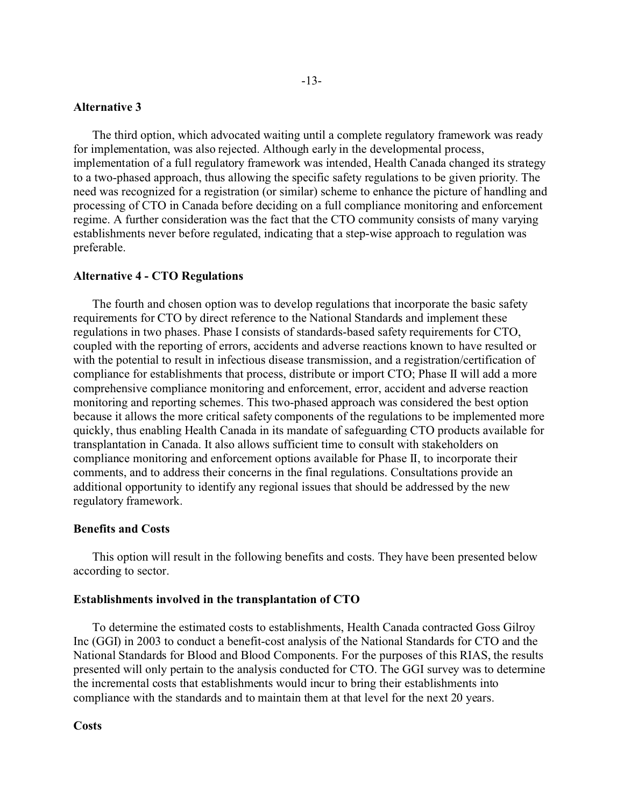## **Alternative 3**

The third option, which advocated waiting until a complete regulatory framework was ready for implementation, was also rejected. Although early in the developmental process, implementation of a full regulatory framework was intended, Health Canada changed its strategy to a two-phased approach, thus allowing the specific safety regulations to be given priority. The need was recognized for a registration (or similar) scheme to enhance the picture of handling and processing of CTO in Canada before deciding on a full compliance monitoring and enforcement regime. A further consideration was the fact that the CTO community consists of many varying establishments never before regulated, indicating that a step-wise approach to regulation was preferable.

## **Alternative 4 - CTO Regulations**

The fourth and chosen option was to develop regulations that incorporate the basic safety requirements for CTO by direct reference to the National Standards and implement these regulations in two phases. Phase I consists of standards-based safety requirements for CTO, coupled with the reporting of errors, accidents and adverse reactions known to have resulted or with the potential to result in infectious disease transmission, and a registration/certification of compliance for establishments that process, distribute or import CTO; Phase II will add a more comprehensive compliance monitoring and enforcement, error, accident and adverse reaction monitoring and reporting schemes. This two-phased approach was considered the best option because it allows the more critical safety components of the regulations to be implemented more quickly, thus enabling Health Canada in its mandate of safeguarding CTO products available for transplantation in Canada. It also allows sufficient time to consult with stakeholders on compliance monitoring and enforcement options available for Phase II, to incorporate their comments, and to address their concerns in the final regulations. Consultations provide an additional opportunity to identify any regional issues that should be addressed by the new regulatory framework.

## **Benefits and Costs**

This option will result in the following benefits and costs. They have been presented below according to sector.

## **Establishments involved in the transplantation of CTO**

To determine the estimated costs to establishments, Health Canada contracted Goss Gilroy Inc (GGI) in 2003 to conduct a benefit-cost analysis of the National Standards for CTO and the National Standards for Blood and Blood Components. For the purposes of this RIAS, the results presented will only pertain to the analysis conducted for CTO. The GGI survey was to determine the incremental costs that establishments would incur to bring their establishments into compliance with the standards and to maintain them at that level for the next 20 years.

#### **Costs**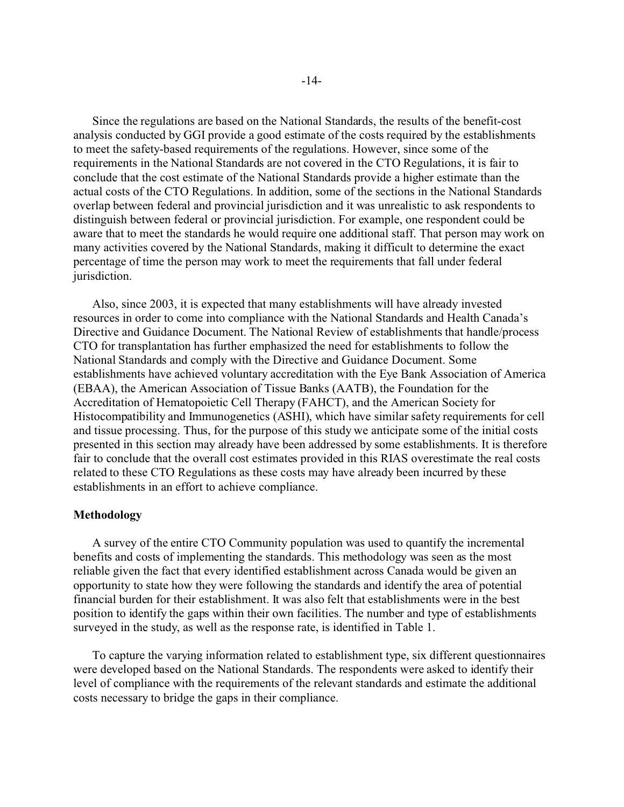Since the regulations are based on the National Standards, the results of the benefit-cost analysis conducted by GGI provide a good estimate of the costs required by the establishments to meet the safety-based requirements of the regulations. However, since some of the requirements in the National Standards are not covered in the CTO Regulations, it is fair to conclude that the cost estimate of the National Standards provide a higher estimate than the actual costs of the CTO Regulations. In addition, some of the sections in the National Standards overlap between federal and provincial jurisdiction and it was unrealistic to ask respondents to distinguish between federal or provincial jurisdiction. For example, one respondent could be aware that to meet the standards he would require one additional staff. That person may work on many activities covered by the National Standards, making it difficult to determine the exact percentage of time the person may work to meet the requirements that fall under federal jurisdiction.

Also, since 2003, it is expected that many establishments will have already invested resources in order to come into compliance with the National Standards and Health Canada's Directive and Guidance Document. The National Review of establishments that handle/process CTO for transplantation has further emphasized the need for establishments to follow the National Standards and comply with the Directive and Guidance Document. Some establishments have achieved voluntary accreditation with the Eye Bank Association of America (EBAA), the American Association of Tissue Banks (AATB), the Foundation for the Accreditation of Hematopoietic Cell Therapy (FAHCT), and the American Society for Histocompatibility and Immunogenetics (ASHI), which have similar safety requirements for cell and tissue processing. Thus, for the purpose of this study we anticipate some of the initial costs presented in this section may already have been addressed by some establishments. It is therefore fair to conclude that the overall cost estimates provided in this RIAS overestimate the real costs related to these CTO Regulations as these costs may have already been incurred by these establishments in an effort to achieve compliance.

## **Methodology**

A survey of the entire CTO Community population was used to quantify the incremental benefits and costs of implementing the standards. This methodology was seen as the most reliable given the fact that every identified establishment across Canada would be given an opportunity to state how they were following the standards and identify the area of potential financial burden for their establishment. It was also felt that establishments were in the best position to identify the gaps within their own facilities. The number and type of establishments surveyed in the study, as well as the response rate, is identified in Table 1.

To capture the varying information related to establishment type, six different questionnaires were developed based on the National Standards. The respondents were asked to identify their level of compliance with the requirements of the relevant standards and estimate the additional costs necessary to bridge the gaps in their compliance.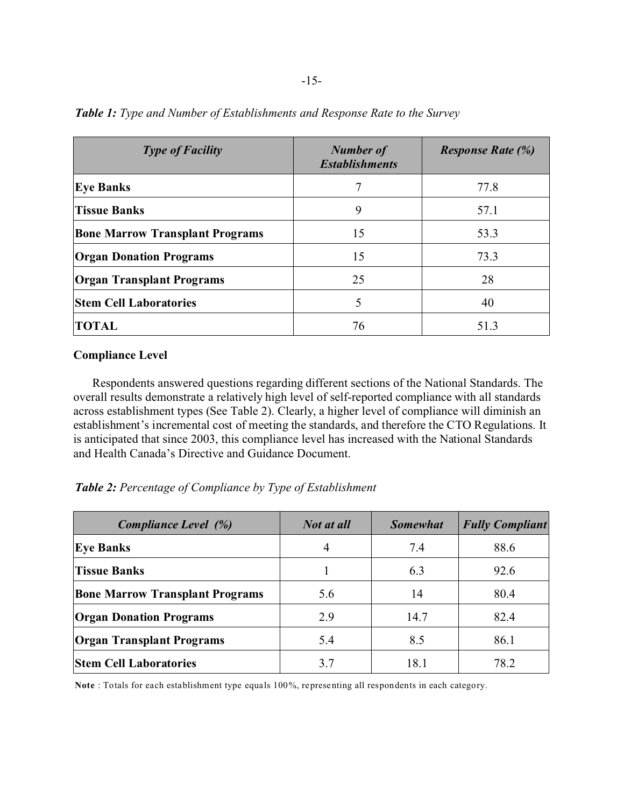| <b>Type of Facility</b>                | <b>Number of</b><br><b>Establishments</b> | <b>Response Rate (%)</b> |
|----------------------------------------|-------------------------------------------|--------------------------|
| <b>Eye Banks</b>                       | 7                                         | 77.8                     |
| <b>Tissue Banks</b>                    | 9                                         | 57.1                     |
| <b>Bone Marrow Transplant Programs</b> | 15                                        | 53.3                     |
| <b>Organ Donation Programs</b>         | 15                                        | 73.3                     |
| <b>Organ Transplant Programs</b>       | 25                                        | 28                       |
| <b>Stem Cell Laboratories</b>          | 5                                         | 40                       |
| <b>TOTAL</b>                           | 76                                        | 51.3                     |

*Table 1: Type and Number of Establishments and Response Rate to the Survey*

## **Compliance Level**

Respondents answered questions regarding different sections of the National Standards. The overall results demonstrate a relatively high level of self-reported compliance with all standards across establishment types (See Table 2). Clearly, a higher level of compliance will diminish an establishment's incremental cost of meeting the standards, and therefore the CTO Regulations. It is anticipated that since 2003, this compliance level has increased with the National Standards and Health Canada's Directive and Guidance Document.

*Table 2: Percentage of Compliance by Type of Establishment*

| Compliance Level (%)                   | Not at all | <b>Somewhat</b> | <b>Fully Compliant</b> |
|----------------------------------------|------------|-----------------|------------------------|
| <b>Eye Banks</b>                       | 4          | 7.4             | 88.6                   |
| <b>Tissue Banks</b>                    |            | 6.3             | 92.6                   |
| <b>Bone Marrow Transplant Programs</b> | 5.6        | 14              | 80.4                   |
| <b>Organ Donation Programs</b>         | 2.9        | 14.7            | 82.4                   |
| <b>Organ Transplant Programs</b>       | 5.4        | 8.5             | 86.1                   |
| <b>Stem Cell Laboratories</b>          | 3.7        | 18.1            | 78.2                   |

**Note** : Totals for each establishment type equals 100%, representing all respondents in each category.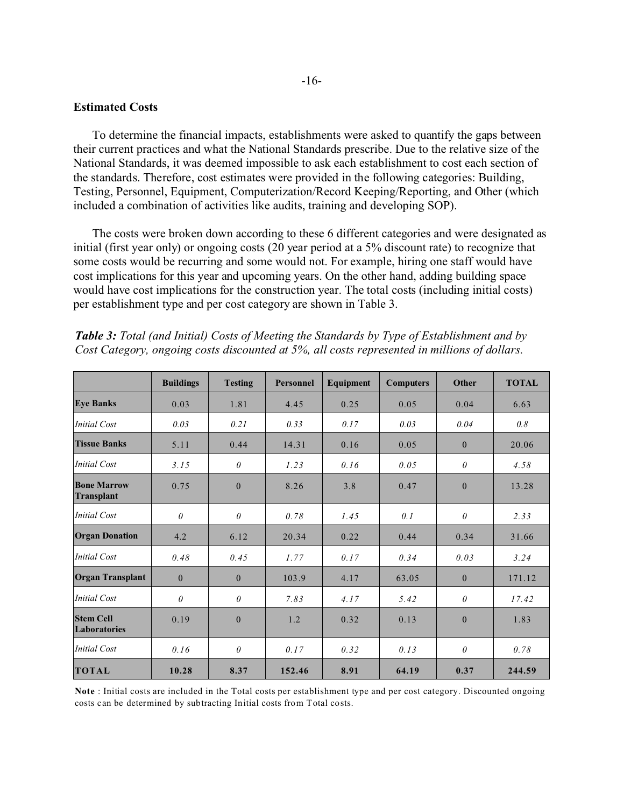## **Estimated Costs**

To determine the financial impacts, establishments were asked to quantify the gaps between their current practices and what the National Standards prescribe. Due to the relative size of the National Standards, it was deemed impossible to ask each establishment to cost each section of the standards. Therefore, cost estimates were provided in the following categories: Building, Testing, Personnel, Equipment, Computerization/Record Keeping/Reporting, and Other (which included a combination of activities like audits, training and developing SOP).

The costs were broken down according to these 6 different categories and were designated as initial (first year only) or ongoing costs (20 year period at a 5% discount rate) to recognize that some costs would be recurring and some would not. For example, hiring one staff would have cost implications for this year and upcoming years. On the other hand, adding building space would have cost implications for the construction year. The total costs (including initial costs) per establishment type and per cost category are shown in Table 3.

|                                         | <b>Buildings</b> | <b>Testing</b> | <b>Personnel</b> | Equipment | <b>Computers</b> | Other        | <b>TOTAL</b> |
|-----------------------------------------|------------------|----------------|------------------|-----------|------------------|--------------|--------------|
| <b>Eye Banks</b>                        | 0.03             | 1.81           | 4.45             | 0.25      | 0.05             | 0.04         | 6.63         |
| Initial Cost                            | 0.03             | 0.21           | 0.33             | 0.17      | 0.03             | 0.04         | 0.8          |
| <b>Tissue Banks</b>                     | 5.11             | 0.44           | 14.31            | 0.16      | 0.05             | $\mathbf{0}$ | 20.06        |
| Initial Cost                            | 3.15             | $\theta$       | 1.23             | 0.16      | 0.05             | $\theta$     | 4.58         |
| <b>Bone Marrow</b><br>Transplant        | 0.75             | $\theta$       | 8.26             | 3.8       | 0.47             | $\mathbf{0}$ | 13.28        |
| Initial Cost                            | $\theta$         | $\theta$       | 0.78             | 1.45      | 0.1              | $\theta$     | 2.33         |
| <b>Organ Donation</b>                   | 4.2              | 6.12           | 20.34            | 0.22      | 0.44             | 0.34         | 31.66        |
| <b>Initial Cost</b>                     | 0.48             | 0.45           | 1.77             | 0.17      | 0.34             | 0.03         | 3.24         |
| <b>Organ Transplant</b>                 | $\mathbf{0}$     | $\theta$       | 103.9            | 4.17      | 63.05            | $\mathbf{0}$ | 171.12       |
| <b>Initial Cost</b>                     | $\theta$         | $\theta$       | 7.83             | 4.17      | 5.42             | $\theta$     | 17.42        |
| <b>Stem Cell</b><br><b>Laboratories</b> | 0.19             | $\theta$       | 1.2              | 0.32      | 0.13             | $\mathbf{0}$ | 1.83         |
| Initial Cost                            | 0.16             | $\theta$       | 0.17             | 0.32      | 0.13             | $\theta$     | 0.78         |
| <b>TOTAL</b>                            | 10.28            | 8.37           | 152.46           | 8.91      | 64.19            | 0.37         | 244.59       |

*Table 3: Total (and Initial) Costs of Meeting the Standards by Type of Establishment and by Cost Category, ongoing costs discounted at 5%, all costs represented in millions of dollars.*

**Note** : Initial costs are included in the Total costs per establishment type and per cost category. Discounted ongoing costs can be determined by subtracting Initial costs from Total costs.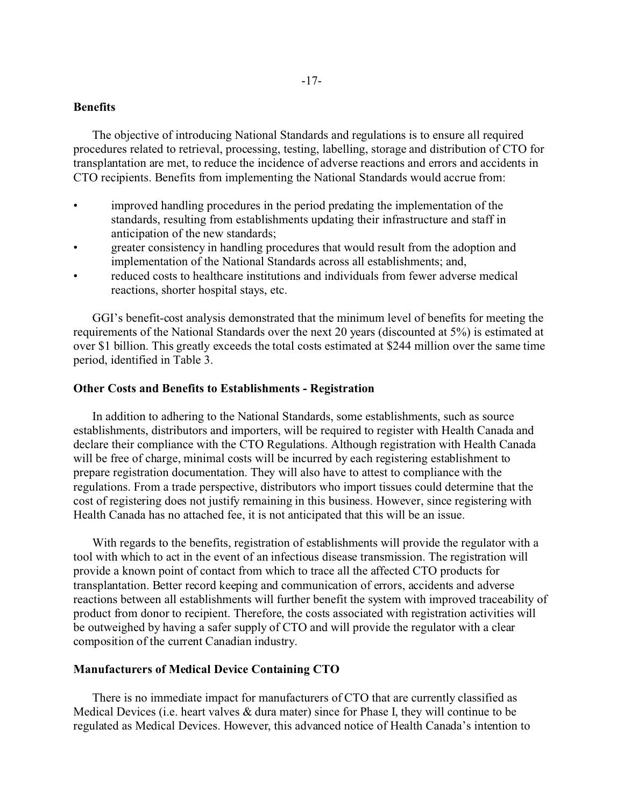# **Benefits**

The objective of introducing National Standards and regulations is to ensure all required procedures related to retrieval, processing, testing, labelling, storage and distribution of CTO for transplantation are met, to reduce the incidence of adverse reactions and errors and accidents in CTO recipients. Benefits from implementing the National Standards would accrue from:

- improved handling procedures in the period predating the implementation of the standards, resulting from establishments updating their infrastructure and staff in anticipation of the new standards;
- greater consistency in handling procedures that would result from the adoption and implementation of the National Standards across all establishments; and,
- reduced costs to healthcare institutions and individuals from fewer adverse medical reactions, shorter hospital stays, etc.

GGI's benefit-cost analysis demonstrated that the minimum level of benefits for meeting the requirements of the National Standards over the next 20 years (discounted at 5%) is estimated at over \$1 billion. This greatly exceeds the total costs estimated at \$244 million over the same time period, identified in Table 3.

## **Other Costs and Benefits to Establishments - Registration**

In addition to adhering to the National Standards, some establishments, such as source establishments, distributors and importers, will be required to register with Health Canada and declare their compliance with the CTO Regulations. Although registration with Health Canada will be free of charge, minimal costs will be incurred by each registering establishment to prepare registration documentation. They will also have to attest to compliance with the regulations. From a trade perspective, distributors who import tissues could determine that the cost of registering does not justify remaining in this business. However, since registering with Health Canada has no attached fee, it is not anticipated that this will be an issue.

With regards to the benefits, registration of establishments will provide the regulator with a tool with which to act in the event of an infectious disease transmission. The registration will provide a known point of contact from which to trace all the affected CTO products for transplantation. Better record keeping and communication of errors, accidents and adverse reactions between all establishments will further benefit the system with improved traceability of product from donor to recipient. Therefore, the costs associated with registration activities will be outweighed by having a safer supply of CTO and will provide the regulator with a clear composition of the current Canadian industry.

## **Manufacturers of Medical Device Containing CTO**

There is no immediate impact for manufacturers of CTO that are currently classified as Medical Devices (i.e. heart valves & dura mater) since for Phase I, they will continue to be regulated as Medical Devices. However, this advanced notice of Health Canada's intention to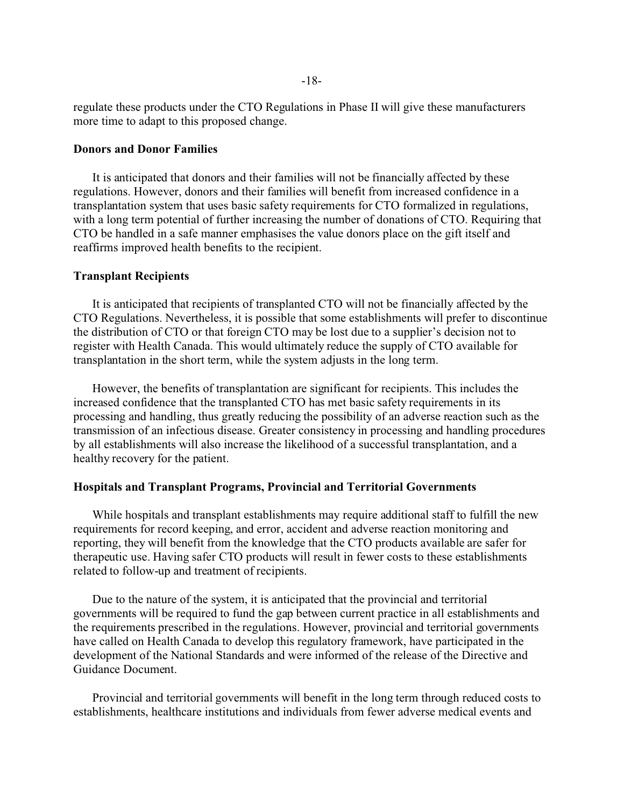regulate these products under the CTO Regulations in Phase II will give these manufacturers more time to adapt to this proposed change.

## **Donors and Donor Families**

It is anticipated that donors and their families will not be financially affected by these regulations. However, donors and their families will benefit from increased confidence in a transplantation system that uses basic safety requirements for CTO formalized in regulations, with a long term potential of further increasing the number of donations of CTO. Requiring that CTO be handled in a safe manner emphasises the value donors place on the gift itself and reaffirms improved health benefits to the recipient.

## **Transplant Recipients**

It is anticipated that recipients of transplanted CTO will not be financially affected by the CTO Regulations. Nevertheless, it is possible that some establishments will prefer to discontinue the distribution of CTO or that foreign CTO may be lost due to a supplier's decision not to register with Health Canada. This would ultimately reduce the supply of CTO available for transplantation in the short term, while the system adjusts in the long term.

However, the benefits of transplantation are significant for recipients. This includes the increased confidence that the transplanted CTO has met basic safety requirements in its processing and handling, thus greatly reducing the possibility of an adverse reaction such as the transmission of an infectious disease. Greater consistency in processing and handling procedures by all establishments will also increase the likelihood of a successful transplantation, and a healthy recovery for the patient.

## **Hospitals and Transplant Programs, Provincial and Territorial Governments**

While hospitals and transplant establishments may require additional staff to fulfill the new requirements for record keeping, and error, accident and adverse reaction monitoring and reporting, they will benefit from the knowledge that the CTO products available are safer for therapeutic use. Having safer CTO products will result in fewer costs to these establishments related to follow-up and treatment of recipients.

Due to the nature of the system, it is anticipated that the provincial and territorial governments will be required to fund the gap between current practice in all establishments and the requirements prescribed in the regulations. However, provincial and territorial governments have called on Health Canada to develop this regulatory framework, have participated in the development of the National Standards and were informed of the release of the Directive and Guidance Document.

Provincial and territorial governments will benefit in the long term through reduced costs to establishments, healthcare institutions and individuals from fewer adverse medical events and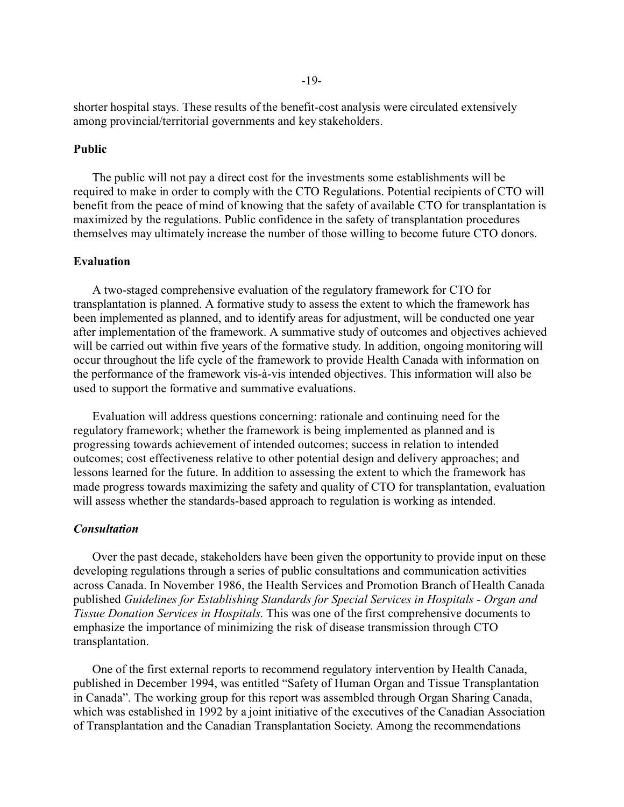shorter hospital stays. These results of the benefit-cost analysis were circulated extensively among provincial/territorial governments and key stakeholders.

## **Public**

The public will not pay a direct cost for the investments some establishments will be required to make in order to comply with the CTO Regulations. Potential recipients of CTO will benefit from the peace of mind of knowing that the safety of available CTO for transplantation is maximized by the regulations. Public confidence in the safety of transplantation procedures themselves may ultimately increase the number of those willing to become future CTO donors.

## **Evaluation**

A two-staged comprehensive evaluation of the regulatory framework for CTO for transplantation is planned. A formative study to assess the extent to which the framework has been implemented as planned, and to identify areas for adjustment, will be conducted one year after implementation of the framework. A summative study of outcomes and objectives achieved will be carried out within five years of the formative study. In addition, ongoing monitoring will occur throughout the life cycle of the framework to provide Health Canada with information on the performance of the framework vis-à-vis intended objectives. This information will also be used to support the formative and summative evaluations.

Evaluation will address questions concerning: rationale and continuing need for the regulatory framework; whether the framework is being implemented as planned and is progressing towards achievement of intended outcomes; success in relation to intended outcomes; cost effectiveness relative to other potential design and delivery approaches; and lessons learned for the future. In addition to assessing the extent to which the framework has made progress towards maximizing the safety and quality of CTO for transplantation, evaluation will assess whether the standards-based approach to regulation is working as intended.

## *Consultation*

Over the past decade, stakeholders have been given the opportunity to provide input on these developing regulations through a series of public consultations and communication activities across Canada. In November 1986, the Health Services and Promotion Branch of Health Canada published *Guidelines for Establishing Standards for Special Services in Hospitals - Organ and Tissue Donation Services in Hospitals*. This was one of the first comprehensive documents to emphasize the importance of minimizing the risk of disease transmission through CTO transplantation.

One of the first external reports to recommend regulatory intervention by Health Canada, published in December 1994, was entitled "Safety of Human Organ and Tissue Transplantation in Canada". The working group for this report was assembled through Organ Sharing Canada, which was established in 1992 by a joint initiative of the executives of the Canadian Association of Transplantation and the Canadian Transplantation Society. Among the recommendations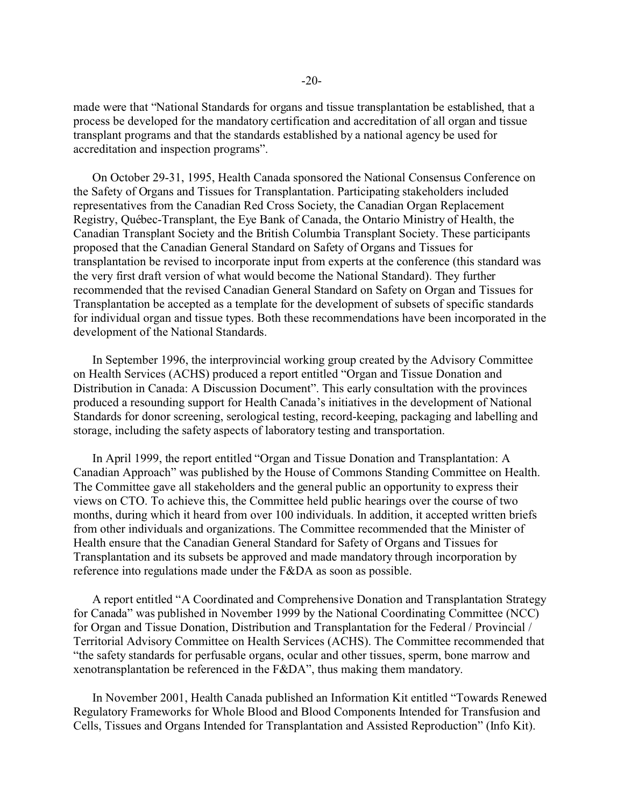made were that "National Standards for organs and tissue transplantation be established, that a process be developed for the mandatory certification and accreditation of all organ and tissue transplant programs and that the standards established by a national agency be used for accreditation and inspection programs".

On October 29-31, 1995, Health Canada sponsored the National Consensus Conference on the Safety of Organs and Tissues for Transplantation. Participating stakeholders included representatives from the Canadian Red Cross Society, the Canadian Organ Replacement Registry, Québec-Transplant, the Eye Bank of Canada, the Ontario Ministry of Health, the Canadian Transplant Society and the British Columbia Transplant Society. These participants proposed that the Canadian General Standard on Safety of Organs and Tissues for transplantation be revised to incorporate input from experts at the conference (this standard was the very first draft version of what would become the National Standard). They further recommended that the revised Canadian General Standard on Safety on Organ and Tissues for Transplantation be accepted as a template for the development of subsets of specific standards for individual organ and tissue types. Both these recommendations have been incorporated in the development of the National Standards.

In September 1996, the interprovincial working group created by the Advisory Committee on Health Services (ACHS) produced a report entitled "Organ and Tissue Donation and Distribution in Canada: A Discussion Document". This early consultation with the provinces produced a resounding support for Health Canada's initiatives in the development of National Standards for donor screening, serological testing, record-keeping, packaging and labelling and storage, including the safety aspects of laboratory testing and transportation.

In April 1999, the report entitled "Organ and Tissue Donation and Transplantation: A Canadian Approach" was published by the House of Commons Standing Committee on Health. The Committee gave all stakeholders and the general public an opportunity to express their views on CTO. To achieve this, the Committee held public hearings over the course of two months, during which it heard from over 100 individuals. In addition, it accepted written briefs from other individuals and organizations. The Committee recommended that the Minister of Health ensure that the Canadian General Standard for Safety of Organs and Tissues for Transplantation and its subsets be approved and made mandatory through incorporation by reference into regulations made under the F&DA as soon as possible.

A report entitled "A Coordinated and Comprehensive Donation and Transplantation Strategy for Canada" was published in November 1999 by the National Coordinating Committee (NCC) for Organ and Tissue Donation, Distribution and Transplantation for the Federal / Provincial / Territorial Advisory Committee on Health Services (ACHS). The Committee recommended that "the safety standards for perfusable organs, ocular and other tissues, sperm, bone marrow and xenotransplantation be referenced in the F&DA", thus making them mandatory.

In November 2001, Health Canada published an Information Kit entitled "Towards Renewed Regulatory Frameworks for Whole Blood and Blood Components Intended for Transfusion and Cells, Tissues and Organs Intended for Transplantation and Assisted Reproduction" (Info Kit).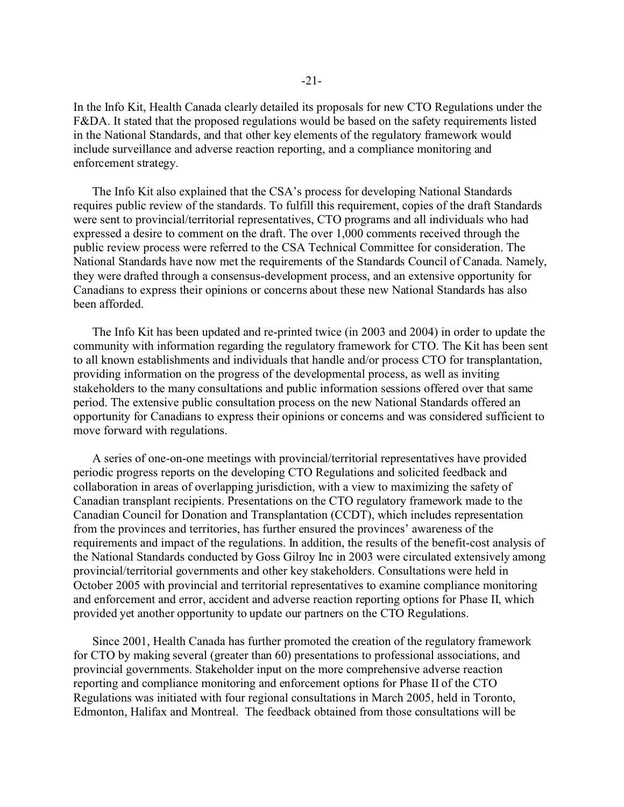In the Info Kit, Health Canada clearly detailed its proposals for new CTO Regulations under the F&DA. It stated that the proposed regulations would be based on the safety requirements listed in the National Standards, and that other key elements of the regulatory framework would include surveillance and adverse reaction reporting, and a compliance monitoring and enforcement strategy.

The Info Kit also explained that the CSA's process for developing National Standards requires public review of the standards. To fulfill this requirement, copies of the draft Standards were sent to provincial/territorial representatives, CTO programs and all individuals who had expressed a desire to comment on the draft. The over 1,000 comments received through the public review process were referred to the CSA Technical Committee for consideration. The National Standards have now met the requirements of the Standards Council of Canada. Namely, they were drafted through a consensus-development process, and an extensive opportunity for Canadians to express their opinions or concerns about these new National Standards has also been afforded.

The Info Kit has been updated and re-printed twice (in 2003 and 2004) in order to update the community with information regarding the regulatory framework for CTO. The Kit has been sent to all known establishments and individuals that handle and/or process CTO for transplantation, providing information on the progress of the developmental process, as well as inviting stakeholders to the many consultations and public information sessions offered over that same period. The extensive public consultation process on the new National Standards offered an opportunity for Canadians to express their opinions or concerns and was considered sufficient to move forward with regulations.

A series of one-on-one meetings with provincial/territorial representatives have provided periodic progress reports on the developing CTO Regulations and solicited feedback and collaboration in areas of overlapping jurisdiction, with a view to maximizing the safety of Canadian transplant recipients. Presentations on the CTO regulatory framework made to the Canadian Council for Donation and Transplantation (CCDT), which includes representation from the provinces and territories, has further ensured the provinces' awareness of the requirements and impact of the regulations. In addition, the results of the benefit-cost analysis of the National Standards conducted by Goss Gilroy Inc in 2003 were circulated extensively among provincial/territorial governments and other key stakeholders. Consultations were held in October 2005 with provincial and territorial representatives to examine compliance monitoring and enforcement and error, accident and adverse reaction reporting options for Phase II, which provided yet another opportunity to update our partners on the CTO Regulations.

Since 2001, Health Canada has further promoted the creation of the regulatory framework for CTO by making several (greater than 60) presentations to professional associations, and provincial governments. Stakeholder input on the more comprehensive adverse reaction reporting and compliance monitoring and enforcement options for Phase II of the CTO Regulations was initiated with four regional consultations in March 2005, held in Toronto, Edmonton, Halifax and Montreal. The feedback obtained from those consultations will be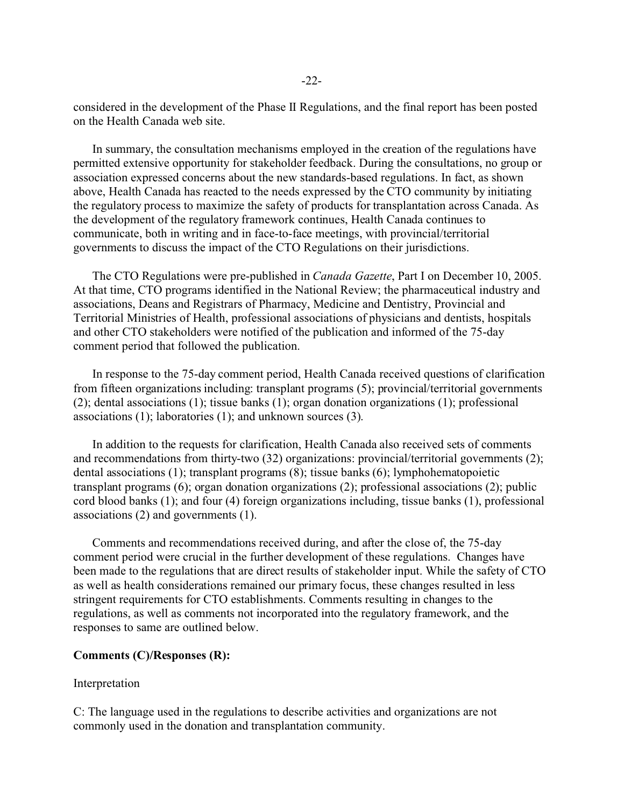considered in the development of the Phase II Regulations, and the final report has been posted on the Health Canada web site.

In summary, the consultation mechanisms employed in the creation of the regulations have permitted extensive opportunity for stakeholder feedback. During the consultations, no group or association expressed concerns about the new standards-based regulations. In fact, as shown above, Health Canada has reacted to the needs expressed by the CTO community by initiating the regulatory process to maximize the safety of products for transplantation across Canada. As the development of the regulatory framework continues, Health Canada continues to communicate, both in writing and in face-to-face meetings, with provincial/territorial governments to discuss the impact of the CTO Regulations on their jurisdictions.

The CTO Regulations were pre-published in *Canada Gazette*, Part I on December 10, 2005. At that time, CTO programs identified in the National Review; the pharmaceutical industry and associations, Deans and Registrars of Pharmacy, Medicine and Dentistry, Provincial and Territorial Ministries of Health, professional associations of physicians and dentists, hospitals and other CTO stakeholders were notified of the publication and informed of the 75-day comment period that followed the publication.

In response to the 75-day comment period, Health Canada received questions of clarification from fifteen organizations including: transplant programs (5); provincial/territorial governments (2); dental associations (1); tissue banks (1); organ donation organizations (1); professional associations (1); laboratories (1); and unknown sources (3).

In addition to the requests for clarification, Health Canada also received sets of comments and recommendations from thirty-two (32) organizations: provincial/territorial governments (2); dental associations (1); transplant programs (8); tissue banks (6); lymphohematopoietic transplant programs (6); organ donation organizations (2); professional associations (2); public cord blood banks (1); and four (4) foreign organizations including, tissue banks (1), professional associations (2) and governments (1).

Comments and recommendations received during, and after the close of, the 75-day comment period were crucial in the further development of these regulations. Changes have been made to the regulations that are direct results of stakeholder input. While the safety of CTO as well as health considerations remained our primary focus, these changes resulted in less stringent requirements for CTO establishments. Comments resulting in changes to the regulations, as well as comments not incorporated into the regulatory framework, and the responses to same are outlined below.

## **Comments (C)/Responses (R):**

## Interpretation

C: The language used in the regulations to describe activities and organizations are not commonly used in the donation and transplantation community.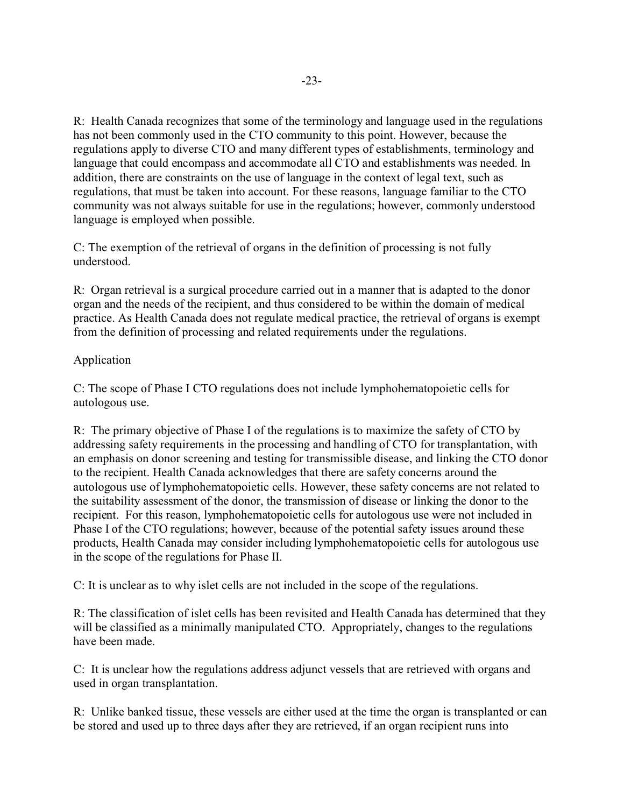R: Health Canada recognizes that some of the terminology and language used in the regulations has not been commonly used in the CTO community to this point. However, because the regulations apply to diverse CTO and many different types of establishments, terminology and language that could encompass and accommodate all CTO and establishments was needed. In addition, there are constraints on the use of language in the context of legal text, such as regulations, that must be taken into account. For these reasons, language familiar to the CTO community was not always suitable for use in the regulations; however, commonly understood language is employed when possible.

C: The exemption of the retrieval of organs in the definition of processing is not fully understood.

R: Organ retrieval is a surgical procedure carried out in a manner that is adapted to the donor organ and the needs of the recipient, and thus considered to be within the domain of medical practice. As Health Canada does not regulate medical practice, the retrieval of organs is exempt from the definition of processing and related requirements under the regulations.

# Application

C: The scope of Phase I CTO regulations does not include lymphohematopoietic cells for autologous use.

R: The primary objective of Phase I of the regulations is to maximize the safety of CTO by addressing safety requirements in the processing and handling of CTO for transplantation, with an emphasis on donor screening and testing for transmissible disease, and linking the CTO donor to the recipient. Health Canada acknowledges that there are safety concerns around the autologous use of lymphohematopoietic cells. However, these safety concerns are not related to the suitability assessment of the donor, the transmission of disease or linking the donor to the recipient. For this reason, lymphohematopoietic cells for autologous use were not included in Phase I of the CTO regulations; however, because of the potential safety issues around these products, Health Canada may consider including lymphohematopoietic cells for autologous use in the scope of the regulations for Phase II.

C: It is unclear as to why islet cells are not included in the scope of the regulations.

R: The classification of islet cells has been revisited and Health Canada has determined that they will be classified as a minimally manipulated CTO. Appropriately, changes to the regulations have been made.

C: It is unclear how the regulations address adjunct vessels that are retrieved with organs and used in organ transplantation.

R: Unlike banked tissue, these vessels are either used at the time the organ is transplanted or can be stored and used up to three days after they are retrieved, if an organ recipient runs into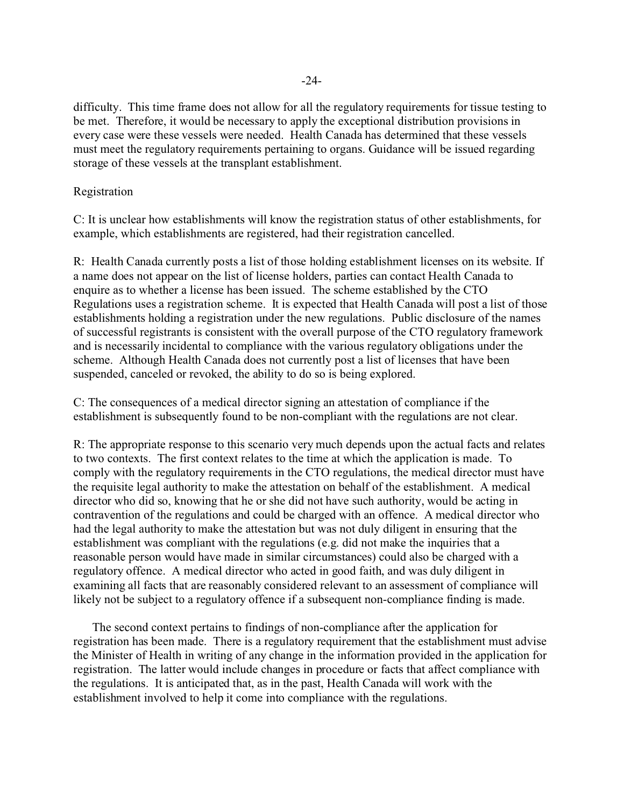difficulty. This time frame does not allow for all the regulatory requirements for tissue testing to be met. Therefore, it would be necessary to apply the exceptional distribution provisions in every case were these vessels were needed. Health Canada has determined that these vessels must meet the regulatory requirements pertaining to organs. Guidance will be issued regarding storage of these vessels at the transplant establishment.

## Registration

C: It is unclear how establishments will know the registration status of other establishments, for example, which establishments are registered, had their registration cancelled.

R: Health Canada currently posts a list of those holding establishment licenses on its website. If a name does not appear on the list of license holders, parties can contact Health Canada to enquire as to whether a license has been issued. The scheme established by the CTO Regulations uses a registration scheme. It is expected that Health Canada will post a list of those establishments holding a registration under the new regulations. Public disclosure of the names of successful registrants is consistent with the overall purpose of the CTO regulatory framework and is necessarily incidental to compliance with the various regulatory obligations under the scheme. Although Health Canada does not currently post a list of licenses that have been suspended, canceled or revoked, the ability to do so is being explored.

C: The consequences of a medical director signing an attestation of compliance if the establishment is subsequently found to be non-compliant with the regulations are not clear.

R: The appropriate response to this scenario very much depends upon the actual facts and relates to two contexts. The first context relates to the time at which the application is made. To comply with the regulatory requirements in the CTO regulations, the medical director must have the requisite legal authority to make the attestation on behalf of the establishment. A medical director who did so, knowing that he or she did not have such authority, would be acting in contravention of the regulations and could be charged with an offence. A medical director who had the legal authority to make the attestation but was not duly diligent in ensuring that the establishment was compliant with the regulations (e.g. did not make the inquiries that a reasonable person would have made in similar circumstances) could also be charged with a regulatory offence. A medical director who acted in good faith, and was duly diligent in examining all facts that are reasonably considered relevant to an assessment of compliance will likely not be subject to a regulatory offence if a subsequent non-compliance finding is made.

The second context pertains to findings of non-compliance after the application for registration has been made. There is a regulatory requirement that the establishment must advise the Minister of Health in writing of any change in the information provided in the application for registration. The latter would include changes in procedure or facts that affect compliance with the regulations. It is anticipated that, as in the past, Health Canada will work with the establishment involved to help it come into compliance with the regulations.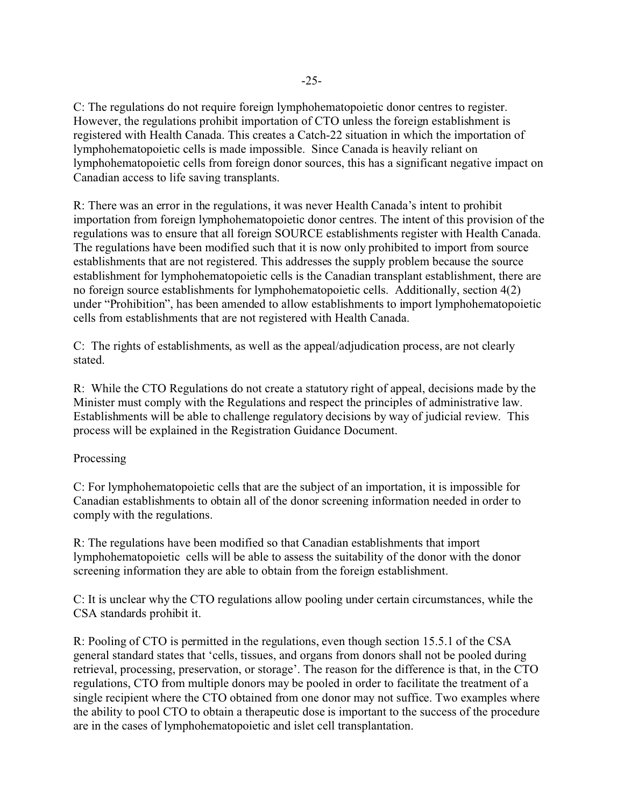C: The regulations do not require foreign lymphohematopoietic donor centres to register. However, the regulations prohibit importation of CTO unless the foreign establishment is registered with Health Canada. This creates a Catch-22 situation in which the importation of lymphohematopoietic cells is made impossible. Since Canada is heavily reliant on lymphohematopoietic cells from foreign donor sources, this has a significant negative impact on Canadian access to life saving transplants.

R: There was an error in the regulations, it was never Health Canada's intent to prohibit importation from foreign lymphohematopoietic donor centres. The intent of this provision of the regulations was to ensure that all foreign SOURCE establishments register with Health Canada. The regulations have been modified such that it is now only prohibited to import from source establishments that are not registered. This addresses the supply problem because the source establishment for lymphohematopoietic cells is the Canadian transplant establishment, there are no foreign source establishments for lymphohematopoietic cells. Additionally, section 4(2) under "Prohibition", has been amended to allow establishments to import lymphohematopoietic cells from establishments that are not registered with Health Canada.

C: The rights of establishments, as well as the appeal/adjudication process, are not clearly stated.

R: While the CTO Regulations do not create a statutory right of appeal, decisions made by the Minister must comply with the Regulations and respect the principles of administrative law. Establishments will be able to challenge regulatory decisions by way of judicial review. This process will be explained in the Registration Guidance Document.

# Processing

C: For lymphohematopoietic cells that are the subject of an importation, it is impossible for Canadian establishments to obtain all of the donor screening information needed in order to comply with the regulations.

R: The regulations have been modified so that Canadian establishments that import lymphohematopoietic cells will be able to assess the suitability of the donor with the donor screening information they are able to obtain from the foreign establishment.

C: It is unclear why the CTO regulations allow pooling under certain circumstances, while the CSA standards prohibit it.

R: Pooling of CTO is permitted in the regulations, even though section 15.5.1 of the CSA general standard states that 'cells, tissues, and organs from donors shall not be pooled during retrieval, processing, preservation, or storage'. The reason for the difference is that, in the CTO regulations, CTO from multiple donors may be pooled in order to facilitate the treatment of a single recipient where the CTO obtained from one donor may not suffice. Two examples where the ability to pool CTO to obtain a therapeutic dose is important to the success of the procedure are in the cases of lymphohematopoietic and islet cell transplantation.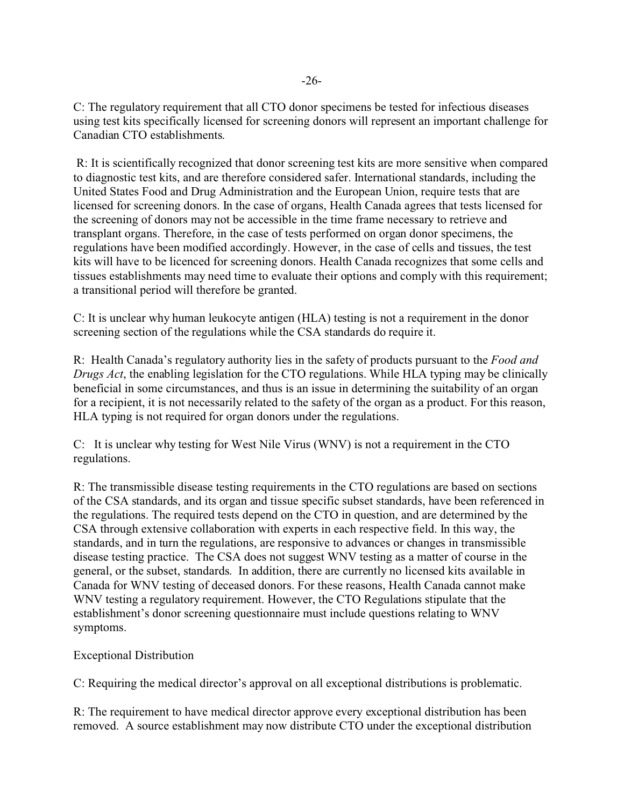C: The regulatory requirement that all CTO donor specimens be tested for infectious diseases using test kits specifically licensed for screening donors will represent an important challenge for Canadian CTO establishments.

 R: It is scientifically recognized that donor screening test kits are more sensitive when compared to diagnostic test kits, and are therefore considered safer. International standards, including the United States Food and Drug Administration and the European Union, require tests that are licensed for screening donors. In the case of organs, Health Canada agrees that tests licensed for the screening of donors may not be accessible in the time frame necessary to retrieve and transplant organs. Therefore, in the case of tests performed on organ donor specimens, the regulations have been modified accordingly. However, in the case of cells and tissues, the test kits will have to be licenced for screening donors. Health Canada recognizes that some cells and tissues establishments may need time to evaluate their options and comply with this requirement; a transitional period will therefore be granted.

C: It is unclear why human leukocyte antigen (HLA) testing is not a requirement in the donor screening section of the regulations while the CSA standards do require it.

R: Health Canada's regulatory authority lies in the safety of products pursuant to the *Food and Drugs Act*, the enabling legislation for the CTO regulations. While HLA typing may be clinically beneficial in some circumstances, and thus is an issue in determining the suitability of an organ for a recipient, it is not necessarily related to the safety of the organ as a product. For this reason, HLA typing is not required for organ donors under the regulations.

C: It is unclear why testing for West Nile Virus (WNV) is not a requirement in the CTO regulations.

R: The transmissible disease testing requirements in the CTO regulations are based on sections of the CSA standards, and its organ and tissue specific subset standards, have been referenced in the regulations. The required tests depend on the CTO in question, and are determined by the CSA through extensive collaboration with experts in each respective field. In this way, the standards, and in turn the regulations, are responsive to advances or changes in transmissible disease testing practice. The CSA does not suggest WNV testing as a matter of course in the general, or the subset, standards. In addition, there are currently no licensed kits available in Canada for WNV testing of deceased donors. For these reasons, Health Canada cannot make WNV testing a regulatory requirement. However, the CTO Regulations stipulate that the establishment's donor screening questionnaire must include questions relating to WNV symptoms.

# Exceptional Distribution

C: Requiring the medical director's approval on all exceptional distributions is problematic.

R: The requirement to have medical director approve every exceptional distribution has been removed. A source establishment may now distribute CTO under the exceptional distribution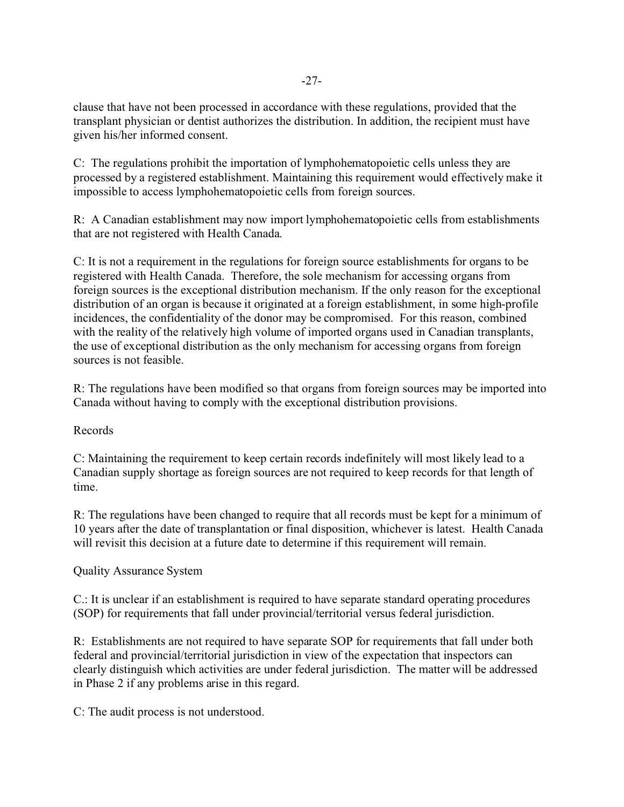clause that have not been processed in accordance with these regulations, provided that the transplant physician or dentist authorizes the distribution. In addition, the recipient must have given his/her informed consent.

C: The regulations prohibit the importation of lymphohematopoietic cells unless they are processed by a registered establishment. Maintaining this requirement would effectively make it impossible to access lymphohematopoietic cells from foreign sources.

R: A Canadian establishment may now import lymphohematopoietic cells from establishments that are not registered with Health Canada.

C: It is not a requirement in the regulations for foreign source establishments for organs to be registered with Health Canada. Therefore, the sole mechanism for accessing organs from foreign sources is the exceptional distribution mechanism. If the only reason for the exceptional distribution of an organ is because it originated at a foreign establishment, in some high-profile incidences, the confidentiality of the donor may be compromised. For this reason, combined with the reality of the relatively high volume of imported organs used in Canadian transplants, the use of exceptional distribution as the only mechanism for accessing organs from foreign sources is not feasible.

R: The regulations have been modified so that organs from foreign sources may be imported into Canada without having to comply with the exceptional distribution provisions.

# Records

C: Maintaining the requirement to keep certain records indefinitely will most likely lead to a Canadian supply shortage as foreign sources are not required to keep records for that length of time.

R: The regulations have been changed to require that all records must be kept for a minimum of 10 years after the date of transplantation or final disposition, whichever is latest. Health Canada will revisit this decision at a future date to determine if this requirement will remain.

# Quality Assurance System

C.: It is unclear if an establishment is required to have separate standard operating procedures (SOP) for requirements that fall under provincial/territorial versus federal jurisdiction.

R: Establishments are not required to have separate SOP for requirements that fall under both federal and provincial/territorial jurisdiction in view of the expectation that inspectors can clearly distinguish which activities are under federal jurisdiction. The matter will be addressed in Phase 2 if any problems arise in this regard.

C: The audit process is not understood.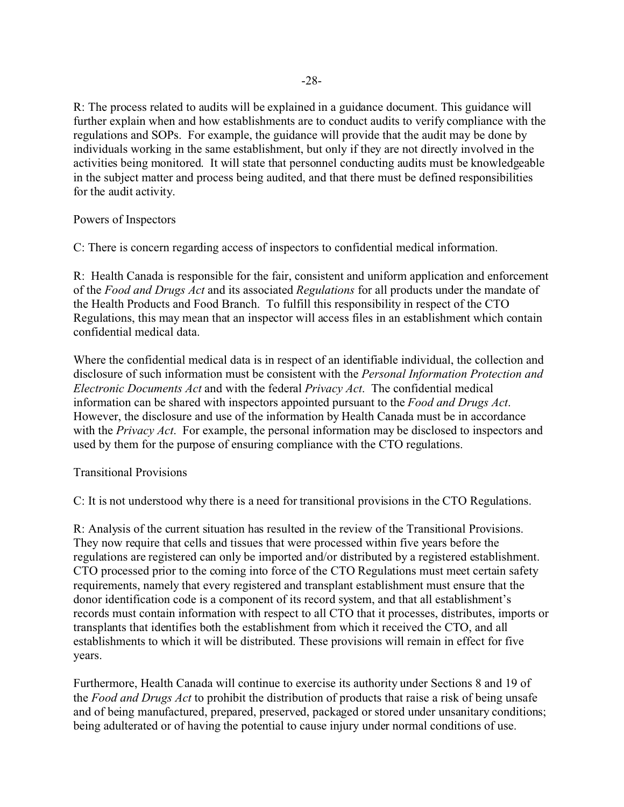R: The process related to audits will be explained in a guidance document. This guidance will further explain when and how establishments are to conduct audits to verify compliance with the regulations and SOPs. For example, the guidance will provide that the audit may be done by individuals working in the same establishment, but only if they are not directly involved in the activities being monitored. It will state that personnel conducting audits must be knowledgeable in the subject matter and process being audited, and that there must be defined responsibilities for the audit activity.

# Powers of Inspectors

C: There is concern regarding access of inspectors to confidential medical information.

R: Health Canada is responsible for the fair, consistent and uniform application and enforcement of the *Food and Drugs Act* and its associated *Regulations* for all products under the mandate of the Health Products and Food Branch. To fulfill this responsibility in respect of the CTO Regulations, this may mean that an inspector will access files in an establishment which contain confidential medical data.

Where the confidential medical data is in respect of an identifiable individual, the collection and disclosure of such information must be consistent with the *Personal Information Protection and Electronic Documents Act* and with the federal *Privacy Act*. The confidential medical information can be shared with inspectors appointed pursuant to the *Food and Drugs Act*. However, the disclosure and use of the information by Health Canada must be in accordance with the *Privacy Act*. For example, the personal information may be disclosed to inspectors and used by them for the purpose of ensuring compliance with the CTO regulations.

## Transitional Provisions

C: It is not understood why there is a need for transitional provisions in the CTO Regulations.

R: Analysis of the current situation has resulted in the review of the Transitional Provisions. They now require that cells and tissues that were processed within five years before the regulations are registered can only be imported and/or distributed by a registered establishment. CTO processed prior to the coming into force of the CTO Regulations must meet certain safety requirements, namely that every registered and transplant establishment must ensure that the donor identification code is a component of its record system, and that all establishment's records must contain information with respect to all CTO that it processes, distributes, imports or transplants that identifies both the establishment from which it received the CTO, and all establishments to which it will be distributed. These provisions will remain in effect for five years.

Furthermore, Health Canada will continue to exercise its authority under Sections 8 and 19 of the *Food and Drugs Act* to prohibit the distribution of products that raise a risk of being unsafe and of being manufactured, prepared, preserved, packaged or stored under unsanitary conditions; being adulterated or of having the potential to cause injury under normal conditions of use.